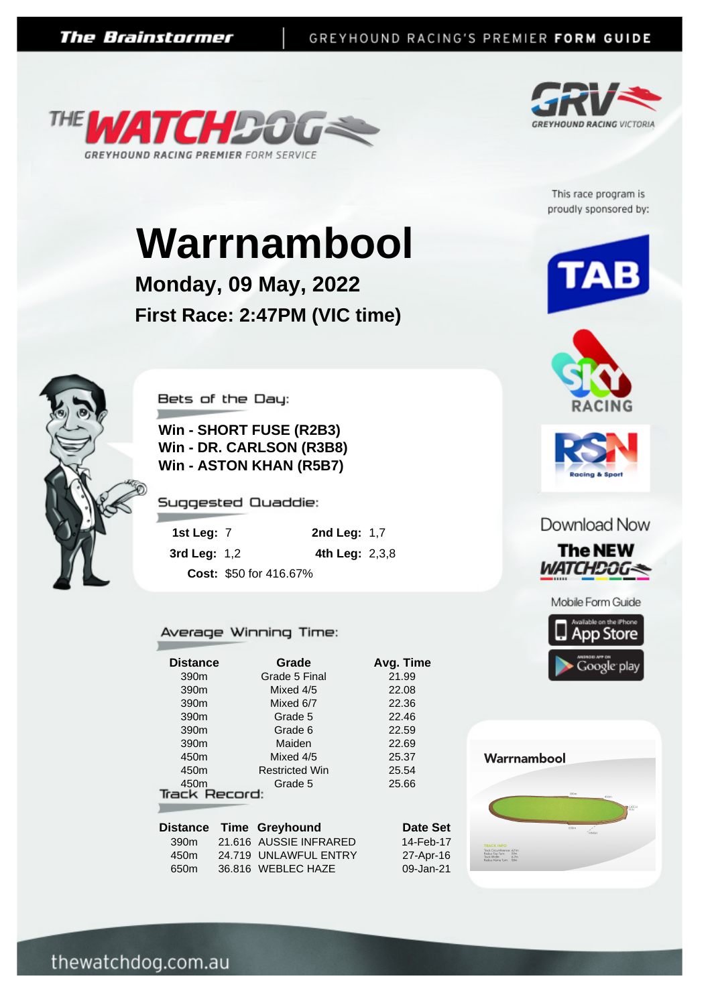



This race program is proudly sponsored by:

# **Warrnambool**

**Monday, 09 May, 2022 First Race: 2:47PM (VIC time)**



Bets of the Day:

**Win - SHORT FUSE (R2B3) Win - DR. CARLSON (R3B8) Win - ASTON KHAN (R5B7)**

Suggested Quaddie:

| 1st Leg: $7$        |                        | <b>2nd Leg: 1,7</b> |  |
|---------------------|------------------------|---------------------|--|
| <b>3rd Leg: 1,2</b> |                        | 4th Leg: $2,3,8$    |  |
|                     | Cost: \$50 for 416.67% |                     |  |

#### Average Winning Time:

| <b>Distance</b>      | Grade                  | Avg. Time |
|----------------------|------------------------|-----------|
| 390 <sub>m</sub>     | Grade 5 Final          | 21.99     |
| 390 <sub>m</sub>     | Mixed 4/5              | 22.08     |
| 390 <sub>m</sub>     | Mixed 6/7              | 22.36     |
| 390 <sub>m</sub>     | Grade 5                | 22.46     |
| 390 <sub>m</sub>     | Grade 6                | 22.59     |
| 390 <sub>m</sub>     | Maiden                 | 22.69     |
| 450 <sub>m</sub>     | Mixed 4/5              | 25.37     |
| 450m                 | <b>Restricted Win</b>  | 25.54     |
| 450 <sub>m</sub>     | Grade 5                | 25.66     |
| <b>Track Record:</b> |                        |           |
|                      |                        |           |
| <b>Distance</b>      | Time Greyhound         | Date Set  |
| 390m                 | 21.616 AUSSIE INFRARED | 14-Feb-17 |
| 450 <sub>m</sub>     | 24.719 UNLAWFUL ENTRY  | 27-Apr-16 |
| 650 <sub>m</sub>     | 36.816 WEBLEC HAZE     | 09-Jan-21 |





#### Download Now







## Warrnambool



thewatchdog.com.au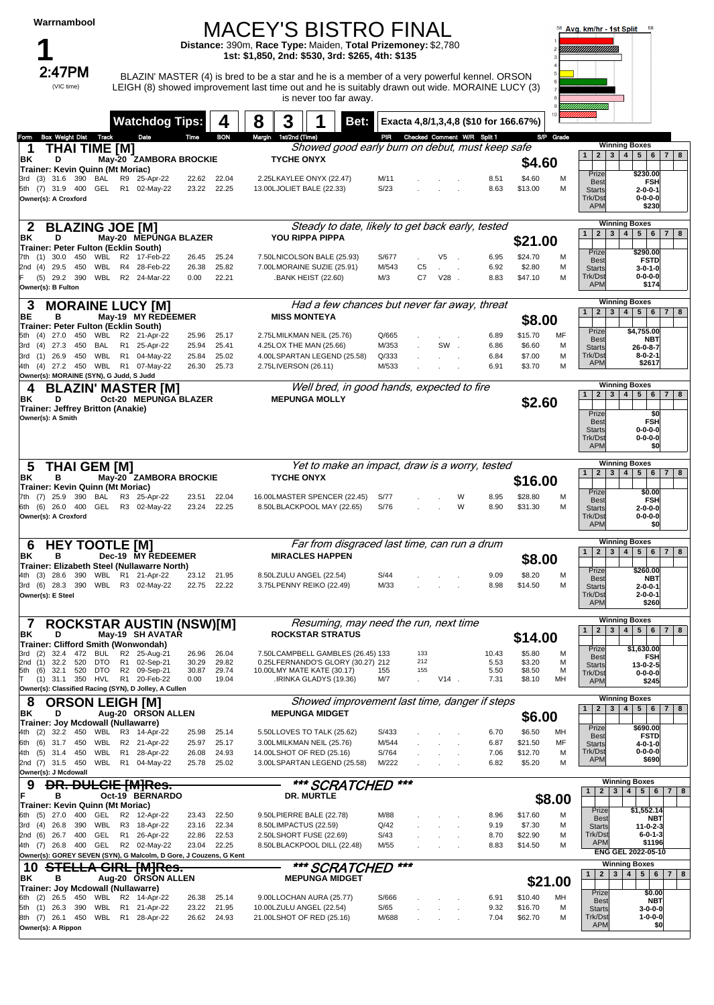#### MACEY'S BISTRO FINAL

**Distance:** 390m, **Race Type:** Maiden, **Total Prizemoney:** \$2,780 **1st: \$1,850, 2nd: \$530, 3rd: \$265, 4th: \$135**



 $2:47\textsf{PM}$  BLAZIN' MASTER (4) is bred to be a star and he is a member of a very powerful kennel. ORSON LEIGH (8) showed improvement last time out and he is suitably drawn out wide. MORAINE LUCY (3) is never too far away.



|                                                                                |                                  | <b>Watchdog Tips:</b>     |                | 4              | 3<br>8                |                                                                        | Bet: I | Exacta 4,8/1,3,4,8 (\$10 for 166.67%) |                |                           |   |              |                    |           |                                  |                                                                   |
|--------------------------------------------------------------------------------|----------------------------------|---------------------------|----------------|----------------|-----------------------|------------------------------------------------------------------------|--------|---------------------------------------|----------------|---------------------------|---|--------------|--------------------|-----------|----------------------------------|-------------------------------------------------------------------|
| <b>Box Weight Dist Track</b><br>Form                                           |                                  | Date                      | Time           | <b>BON</b>     | Margin 1st/2nd (Time) |                                                                        |        | PIR Checked Comment W/R Split 1       |                |                           |   |              |                    | S/P Grade |                                  |                                                                   |
| <b>THAI TIME [M]</b><br>ΒK<br>D                                                |                                  | May-20 ZAMBORA BROCKIE    |                |                |                       | Showed good early burn on debut, must keep safe<br><b>TYCHE ONYX</b>   |        |                                       |                |                           |   |              | \$4.60             |           | 1                                | <b>Winning Boxes</b><br>2 3 4 5 6 7 8                             |
| Trainer: Kevin Quinn (Mt Moriac)<br>3rd (3) 31.6 390<br>BAL                    |                                  | R9 25-Apr-22              | 22.62          | 22.04          |                       | 2.25LKAYLEE ONYX (22.47)                                               |        | M/11                                  |                |                           |   | 8.51         | \$4.60             | M         | Prize                            | \$230.00                                                          |
| 5th (7) 31.9 400<br>GEL                                                        |                                  | R1 02-May-22              | 23.22          | 22.25          |                       | 13.00LJOLIET BALE (22.33)                                              |        | S/23                                  |                |                           |   | 8.63         | \$13.00            | м         | <b>Best</b><br><b>Starts</b>     | <b>FSH</b><br>$2 - 0 - 0 - 1$                                     |
| Owner(s): A Croxford                                                           |                                  |                           |                |                |                       |                                                                        |        |                                       |                |                           |   |              |                    |           | Trk/Dst                          | $0 - 0 - 0 - 0$                                                   |
|                                                                                |                                  |                           |                |                |                       |                                                                        |        |                                       |                |                           |   |              |                    |           | <b>APM</b>                       | \$230                                                             |
| <b>BLAZING JOE [M]</b><br>2                                                    |                                  |                           |                |                |                       | Steady to date, likely to get back early, tested                       |        |                                       |                |                           |   |              |                    |           |                                  | <b>Winning Boxes</b>                                              |
| ΒK<br>D                                                                        |                                  | May-20 MEPUNGA BLAZER     |                |                |                       | <b>YOU RIPPA PIPPA</b>                                                 |        |                                       |                |                           |   |              | \$21.00            |           | 1                                | 2 3 4 5 6 7 8                                                     |
| Trainer: Peter Fulton (Ecklin South)<br>7th (1) 30.0<br>450<br>WBL             |                                  | R2 17-Feb-22              | 26.45          | 25.24          |                       | 7.50LNICOLSON BALE (25.93)                                             |        | S/677                                 |                | V5<br>$\sim$              |   | 6.95         | \$24.70            | M         | Prize                            | \$290.00                                                          |
| 2nd (4) 29.5<br>450<br>WBL                                                     |                                  | R4 28-Feb-22              | 26.38          | 25.82          |                       | 7.00LMORAINE SUZIE (25.91)                                             |        | M/543                                 | C <sub>5</sub> | $\sim$ 10 $\pm$<br>$\sim$ |   | 6.92         | \$2.80             | М         | <b>Best</b><br><b>Starts</b>     | <b>FSTD</b><br>$3 - 0 - 1 - 0$                                    |
| WBL<br>$(5)$ 29.2<br>390                                                       |                                  | R2 24-Mar-22              | 0.00           | 22.21          |                       | <b>BANK HEIST (22.60)</b>                                              |        | M/3                                   | C7             | $V28$ .                   |   | 8.83         | \$47.10            | M         | Trk/Dst<br><b>APM</b>            | $0 - 0 - 0 - 0$<br>\$174                                          |
| Owner(s): B Fulton                                                             |                                  |                           |                |                |                       |                                                                        |        |                                       |                |                           |   |              |                    |           |                                  |                                                                   |
| <b>MORAINE LUCY [M]</b><br>3                                                   |                                  |                           |                |                |                       | Had a few chances but never far away, threat                           |        |                                       |                |                           |   |              |                    |           | 1 <sup>1</sup>                   | <b>Winning Boxes</b><br>2 3 4 5 6 7 8                             |
| BE<br>в<br>Trainer: Peter Fulton (Ecklin South)                                |                                  | May-19 MY REDEEMER        |                |                |                       | <b>MISS MONTEYA</b>                                                    |        |                                       |                |                           |   |              | \$8.00             |           |                                  |                                                                   |
| 5th (4) 27.0<br>450<br>WBL                                                     |                                  | R2 21-Apr-22              | 25.96          | 25.17          |                       | 2.75LMILKMAN NEIL (25.76)                                              |        | Q/665                                 |                |                           |   | 6.89         | \$15.70            | MF        | Prize<br><b>Best</b>             | \$4,755.00<br><b>NBT</b>                                          |
| 3rd (4) 27.3<br>450<br>BAL                                                     |                                  | R1 25-Apr-22              | 25.94          | 25.41          |                       | 4.25LOX THE MAN (25.66)                                                |        | M/353                                 |                | SW.                       |   | 6.86         | \$6.60             | M         | <b>Starts</b>                    | $26 - 0 - 8 - 7$                                                  |
| 3rd (1) 26.9 450<br>WBL<br>4th (4) 27.2 450 WBL R1 07-May-22                   |                                  | R1 04-May-22              | 25.84<br>26.30 | 25.02<br>25.73 | 2.75LIVERSON (26.11)  | 4.00LSPARTAN LEGEND (25.58)                                            |        | Q/333<br>M/533                        |                |                           |   | 6.84<br>6.91 | \$7.00<br>\$3.70   | M<br>M    | Trk/Dst<br><b>APM</b>            | $8 - 0 - 2 - 1$<br>\$2617                                         |
| Owner(s): MORAINE (SYN), G Judd, S Judd                                        |                                  |                           |                |                |                       |                                                                        |        |                                       |                |                           |   |              |                    |           |                                  |                                                                   |
| <b>BLAZIN' MASTER [M]</b><br>4                                                 |                                  |                           |                |                |                       | Well bred, in good hands, expected to fire                             |        |                                       |                |                           |   |              |                    |           |                                  | <b>Winning Boxes</b>                                              |
| D<br>BK                                                                        |                                  | Oct-20 MEPUNGA BLAZER     |                |                |                       | <b>MEPUNGA MOLLY</b>                                                   |        |                                       |                |                           |   |              | \$2.60             |           | 2 <sup>1</sup><br>1 <sup>1</sup> | 3   4   5   6   7   8                                             |
| <b>Trainer: Jeffrey Britton (Anakie)</b><br>Owner(s): A Smith                  |                                  |                           |                |                |                       |                                                                        |        |                                       |                |                           |   |              |                    |           | Prize                            | \$0                                                               |
|                                                                                |                                  |                           |                |                |                       |                                                                        |        |                                       |                |                           |   |              |                    |           | <b>Best</b><br><b>Starts</b>     | <b>FSH</b><br>$0 - 0 - 0 - 0$                                     |
|                                                                                |                                  |                           |                |                |                       |                                                                        |        |                                       |                |                           |   |              |                    |           | Trk/Dst<br><b>APM</b>            | $0 - 0 - 0 - 0$<br>\$0                                            |
|                                                                                |                                  |                           |                |                |                       |                                                                        |        |                                       |                |                           |   |              |                    |           |                                  | <b>Winning Boxes</b>                                              |
| THAI GEM [M]<br>ა<br>в                                                         |                                  |                           |                |                |                       | Yet to make an impact, draw is a worry, tested<br><b>TYCHE ONYX</b>    |        |                                       |                |                           |   |              |                    |           | 2 <br>3 <br>$\vert$ 1 $\vert$    | 4 <br>5 6 <br>7   8                                               |
| ΒK<br>Trainer: Kevin Quinn (Mt Moriac)                                         |                                  | May-20 ZAMBORA BROCKIE    |                |                |                       |                                                                        |        |                                       |                |                           |   |              | \$16.00            |           |                                  |                                                                   |
| $(7)$ 25.9<br>390<br>BAL                                                       |                                  | R3 25-Apr-22              | 23.51          | 22.04          |                       | 16.00LMASTER SPENCER (22.45)                                           |        | S/77                                  |                |                           | W | 8.95         | \$28.80            | M         | Prize<br><b>Best</b>             | \$0.00<br><b>FSH</b>                                              |
| 6th (6) 26.0 400<br>GEL                                                        |                                  | R3 02-May-22              | 23.24          | 22.25          |                       | 8.50LBLACKPOOL MAY (22.65)                                             |        | S/76                                  |                |                           | W | 8.90         | \$31.30            | M         | <b>Starts</b>                    | $2 - 0 - 0 - 0$<br>$0 - 0 - 0 - 0$                                |
|                                                                                |                                  |                           |                |                |                       |                                                                        |        |                                       |                |                           |   |              |                    |           |                                  |                                                                   |
| Owner(s): A Croxford                                                           |                                  |                           |                |                |                       |                                                                        |        |                                       |                |                           |   |              |                    |           | Trk/Dst<br><b>APM</b>            | \$O                                                               |
|                                                                                |                                  |                           |                |                |                       |                                                                        |        |                                       |                |                           |   |              |                    |           |                                  | <b>Winning Boxes</b>                                              |
| <b>HEY TOOTLE IMI</b><br>6<br>в<br>ΒK                                          |                                  | Dec-19 MY REDEEMER        |                |                |                       | Far from disgraced last time, can run a drum<br><b>MIRACLES HAPPEN</b> |        |                                       |                |                           |   |              |                    |           | 3 <br>1<br>2                     | 4 <br>5   6   7   8                                               |
| Trainer: Elizabeth Steel (Nullawarre North)                                    |                                  |                           |                |                |                       |                                                                        |        |                                       |                |                           |   |              | \$8.00             |           | Prize                            | \$260.00                                                          |
| $(3)$ 28.6 390                                                                 |                                  | WBL R1 21-Apr-22          |                | 23.12 21.95    |                       | 8.50LZULU ANGEL (22.54)                                                |        | S/44                                  |                |                           |   | 9.09         | \$8.20             | M<br>M    | <b>Best</b>                      | <b>NBT</b>                                                        |
| 3rd (6) 28.3 390 WBL R3 02-May-22<br>Owner(s): E Steel                         |                                  |                           | 22.75          | 22.22          |                       | 3.75LPENNY REIKO (22.49)                                               |        | M/33                                  |                |                           |   | 8.98         | \$14.50            |           | <b>Starts</b><br>Trk/Dst         | 2-0-0-1<br>$2 - 0 - 0 - 1$                                        |
|                                                                                |                                  |                           |                |                |                       |                                                                        |        |                                       |                |                           |   |              |                    |           | <b>APM</b>                       | \$260                                                             |
| <b>ROCKSTAR AUSTIN (NSW)[M]</b>                                                |                                  |                           |                |                |                       | Resuming, may need the run, next time                                  |        |                                       |                |                           |   |              |                    |           |                                  | <b>Winning Boxes</b>                                              |
| D<br>ΒK                                                                        |                                  | May-19 SH AVATAR          |                |                |                       | <b>ROCKSTAR STRATUS</b>                                                |        |                                       |                |                           |   |              | \$14.00            |           | 1                                | 2 3 4 5 6 7 8                                                     |
| Trainer: Clifford Smith (Wonwondah)<br>(2)<br>32.4<br>472<br><b>BUL</b><br>3rd |                                  | R2 25-Aug-21              | 26.96          | 26.04          |                       | 7.50LCAMPBELL GAMBLES (26.45) 133                                      |        |                                       | 133            |                           |   | 10.43        | \$5.80             | M         | $ $ Prize                        | \$1,630.00                                                        |
| 2nd<br>(1)<br>32.2<br>520<br><b>DTO</b>                                        | R1                               | 02-Sep-21                 | 30.29          | 29.82          |                       | 0.25LFERNANDO'S GLORY (30.27) 212                                      |        |                                       | 212            |                           |   | 5.53         | \$3.20             | M         | <b>Best</b><br><b>Starts</b>     | FSH<br>$13 - 0 - 2 - 5$                                           |
| 32.1<br>520<br>5th<br>(6)<br><b>DTO</b><br>350<br>HVL<br>$(1)$ 31.1            | R <sub>2</sub><br>R <sub>1</sub> | 09-Sep-21<br>20-Feb-22    | 30.87<br>0.00  | 29.74<br>19.04 |                       | 10.00LMY MATE KATE (30.17)<br>.IRINKA GLADYS (19.36)                   |        | 155<br>M/7                            | 155            | $V14$ .                   |   | 5.50<br>7.31 | \$8.50<br>\$8.10   | M<br>MН   | Trk/Dst<br><b>APM</b>            | $0 - 0 - 0 - 0$<br>\$245                                          |
| Owner(s): Classified Racing (SYN), D Jolley, A Cullen                          |                                  |                           |                |                |                       |                                                                        |        |                                       |                |                           |   |              |                    |           |                                  |                                                                   |
| 8<br><b>ORSON LEIGH [M]</b>                                                    |                                  |                           |                |                |                       | Showed improvement last time, danger if steps                          |        |                                       |                |                           |   |              |                    |           | $2 \mid 3 \mid$<br>$\mathbf{1}$  | <b>Winning Boxes</b><br>$4 \mid 5 \mid$<br>$6 \mid$<br>$7 \mid 8$ |
| ΒK<br>D<br>Trainer: Joy Mcdowall (Nullawarre)                                  |                                  | Aug-20 ORSON ALLEN        |                |                |                       | <b>MEPUNGA MIDGET</b>                                                  |        |                                       |                |                           |   |              | \$6.00             |           |                                  |                                                                   |
| $(2)$ 32.2 450<br>4th                                                          |                                  | WBL R3 14-Apr-22          | 25.98          | 25.14          |                       | 5.50LLOVES TO TALK (25.62)                                             |        | S/433                                 |                |                           |   | 6.70         | \$6.50             | MН        | Prize<br><b>Best</b>             | \$690.00<br><b>FSTD</b>                                           |
| (6)<br>31.7<br>450<br>WBL<br>6th                                               |                                  | R2 21-Apr-22              | 25.97          | 25.17          |                       | 3.00LMILKMAN NEIL (25.76)                                              |        | M/544                                 |                |                           |   | 6.87         | \$21.50            | MF        | <b>Starts</b>                    | $4 - 0 - 1 - 0$                                                   |
| WBL<br>4th (5)<br>31.4<br>450<br>2nd (7) 31.5 450<br>WBL                       | R <sub>1</sub>                   | 28-Apr-22<br>R1 04-May-22 | 26.08<br>25.78 | 24.93<br>25.02 |                       | 14.00LSHOT OF RED (25.16)<br>3.00LSPARTAN LEGEND (25.58)               |        | S/764<br>M/222                        |                |                           |   | 7.06<br>6.82 | \$12.70<br>\$5.20  | M<br>M    | Trk/Dst<br><b>APM</b>            | $0 - 0 - 0 - 0$<br>\$690                                          |
| Owner(s): J Mcdowall                                                           |                                  |                           |                |                |                       |                                                                        |        |                                       |                |                           |   |              |                    |           |                                  |                                                                   |
| <b>DR. DULCIE [M]Res.</b>                                                      |                                  |                           |                |                |                       | *** SCRATCHED                                                          |        | ***                                   |                |                           |   |              |                    |           | 2 <br>$\mathbf{1}$               | <b>Winning Boxes</b><br>3   4   5   6   7   8                     |
| в<br>Trainer: Kevin Quinn (Mt Moriac)                                          |                                  | Oct-19 BERNARDO           |                |                |                       | <b>DR. MURTLE</b>                                                      |        |                                       |                |                           |   |              |                    | \$8.00    |                                  |                                                                   |
| 6th (5) 27.0<br>400<br>GEL                                                     |                                  | R2 12-Apr-22              | 23.43          | 22.50          |                       | 9.50LPIERRE BALE (22.78)                                               |        | M/88                                  |                |                           |   | 8.96         | \$17.60            | M         | Prize<br><b>Best</b>             | \$1,552.14<br>NBT                                                 |
| 390<br>WBL<br>(4)<br>26.8<br>3rd                                               |                                  | R3 18-Apr-22              | 23.16          | 22.34          |                       | 8.50LIMPACTUS (22.59)                                                  |        | Q/42                                  |                |                           |   | 9.19         | \$7.30             | M         | <b>Starts</b>                    | $11 - 0 - 2 - 3$                                                  |
| 400<br>GEL<br>2nd (6)<br>26.7<br>400<br>GEL<br>4th (7) 26.8                    | R <sub>1</sub>                   | 26-Apr-22<br>R2 02-May-22 | 22.86<br>23.04 | 22.53<br>22.25 |                       | 2.50LSHORT FUSE (22.69)<br>8.50LBLACKPOOL DILL (22.48)                 |        | S/43<br>M/55                          |                |                           |   | 8.70<br>8.83 | \$22.90<br>\$14.50 | М<br>M    | Trk/Dst<br><b>APM</b>            | $6 - 0 - 1 - 3$<br>\$1196                                         |
| Owner(s): GOREY SEVEN (SYN), G Malcolm, D Gore, J Couzens, G Kent              |                                  |                           |                |                |                       |                                                                        |        |                                       |                |                           |   |              |                    |           |                                  | ENG GEL 2022-05-10                                                |
| 10                                                                             |                                  | GIRL [M]Res.              |                |                |                       | *** SCRATCHED                                                          |        | ***                                   |                |                           |   |              |                    |           | $\mathbf{1}$                     | <b>Winning Boxes</b><br>2 3 4 5 6 7 8                             |
| ΒK<br>в<br>Trainer: Joy Mcdowall (Nullawarre)                                  |                                  | Aug-20 ORSON ALLEN        |                |                |                       | <b>MEPUNGA MIDGET</b>                                                  |        |                                       |                |                           |   |              |                    | \$21.00   |                                  |                                                                   |
| 26.5<br>450<br>WBL<br>6th (2)                                                  |                                  | R2 14-Apr-22              | 26.38          | 25.14          |                       | 9.00LLOCHAN AURA (25.77)                                               |        | S/666                                 |                |                           |   | 6.91         | \$10.40            | MН        | Prize<br><b>Best</b>             | \$0.00<br><b>NBT</b>                                              |
| <b>WBL</b><br>5th<br>$(1)$ 26.3<br>390<br>WBL<br>8th (7) 26.1<br>450           | R1                               | 21-Apr-22<br>R1 28-Apr-22 | 23.22<br>26.62 | 21.95<br>24.93 |                       | 10.00LZULU ANGEL (22.54)<br>21.00LSHOT OF RED (25.16)                  |        | S/65<br>M/688                         |                |                           |   | 9.32<br>7.04 | \$16.70<br>\$62.70 | м<br>M    | <b>Starts</b><br>Trk/Dst         | $3 - 0 - 0 - 0$<br>$1 - 0 - 0 - 0$                                |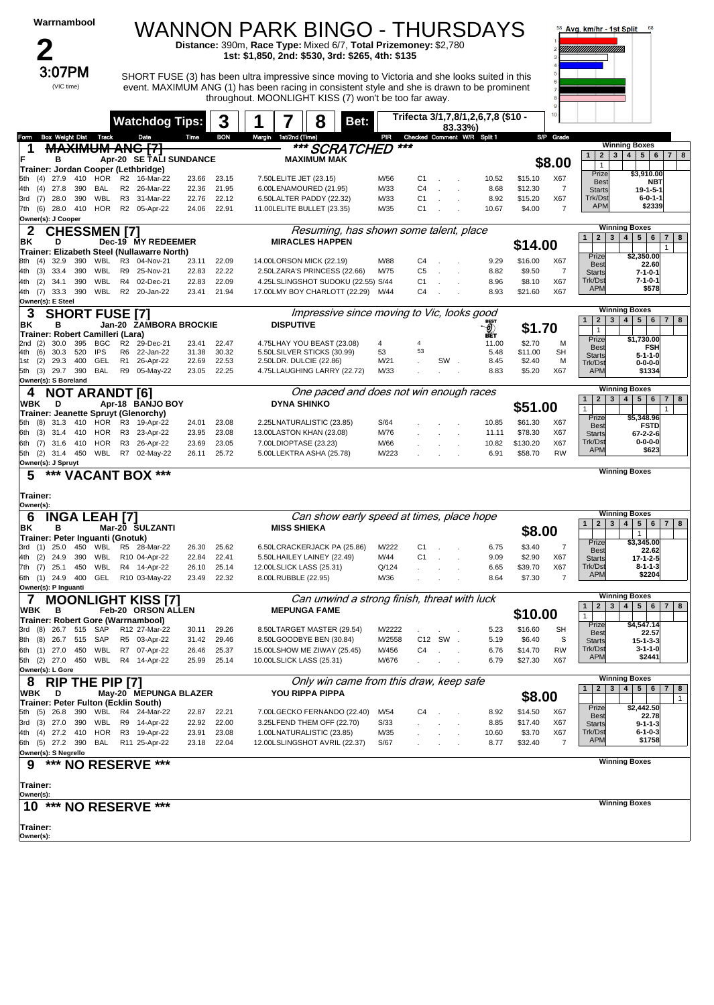| Warrnambool                                                            |                              |                   |                      | WANNON PARK BINGO - THURSDAYS                                                                                                                                                                 |                |                |                                                        |                    |                        |                                                                                                                     |                |                                  |                                       |                                    |                     |                  | Avg. km/hr - 1st Split                           | 68                                                                            |
|------------------------------------------------------------------------|------------------------------|-------------------|----------------------|-----------------------------------------------------------------------------------------------------------------------------------------------------------------------------------------------|----------------|----------------|--------------------------------------------------------|--------------------|------------------------|---------------------------------------------------------------------------------------------------------------------|----------------|----------------------------------|---------------------------------------|------------------------------------|---------------------|------------------|--------------------------------------------------|-------------------------------------------------------------------------------|
|                                                                        |                              |                   |                      |                                                                                                                                                                                               |                |                |                                                        |                    |                        | Distance: 390m, Race Type: Mixed 6/7, Total Prizemoney: \$2,780<br>1st: \$1,850, 2nd: \$530, 3rd: \$265, 4th: \$135 |                |                                  |                                       |                                    |                     |                  |                                                  |                                                                               |
|                                                                        | 3:07PM<br>(VIC time)         |                   |                      | SHORT FUSE (3) has been ultra impressive since moving to Victoria and she looks suited in this<br>event. MAXIMUM ANG (1) has been racing in consistent style and she is drawn to be prominent |                |                |                                                        |                    |                        | throughout. MOONLIGHT KISS (7) won't be too far away.                                                               |                |                                  |                                       |                                    |                     |                  |                                                  |                                                                               |
|                                                                        |                              |                   |                      | <b>Watchdog Tips:</b>                                                                                                                                                                         |                | 3              |                                                        |                    | 8                      | Bet:                                                                                                                |                |                                  | 83.33%)                               | Trifecta 3/1,7,8/1,2,6,7,8 (\$10 - |                     |                  |                                                  |                                                                               |
| Form<br>1                                                              | <b>Box Weight Dist Track</b> |                   |                      | Date<br><b>MAXIMUM ANG [7]</b>                                                                                                                                                                | Time           | <b>BON</b>     | Margin                                                 | 1st/2nd (Time)     |                        | <b>SCRATCHED</b>                                                                                                    | PIR            | ***                              |                                       | Checked Comment W/R Split 1        |                     | S/P Grade        |                                                  | <b>Winning Boxes</b>                                                          |
| F<br>в                                                                 |                              |                   |                      | Apr-20 SE TALI SUNDANCE                                                                                                                                                                       |                |                |                                                        |                    | <b>MAXIMUM MAK</b>     |                                                                                                                     |                |                                  |                                       |                                    |                     | \$8.00           | 2 <br>$\mathbf{1}$<br>$\mathbf{1}$               | 3   4   5   6   7   8                                                         |
| Trainer: Jordan Cooper (Lethbridge)<br>(4)<br>27.9<br>5th              | - 410                        | HOR               |                      | R2 16-Mar-22                                                                                                                                                                                  | 23.66          | 23.15          | 7.50LELITE JET (23.15)                                 |                    |                        |                                                                                                                     | M/56           | C1                               |                                       | 10.52                              | \$15.10             | X67              | Prize                                            | \$3,910.00                                                                    |
| (4)<br>27.8<br>4th                                                     | 390                          | BAL               | R <sub>2</sub>       | 26-Mar-22                                                                                                                                                                                     | 22.36          | 21.95          | 6.00LENAMOURED (21.95)                                 |                    |                        |                                                                                                                     | M/33           | C <sub>4</sub>                   |                                       | 8.68                               | \$12.30             | 7                | Best<br><b>Starts</b>                            | <b>NBT</b><br>$19 - 1 - 5 - 1$                                                |
| 28.0<br>3rd (7)<br>7th (6) 28.0                                        | 390<br>410                   | WBL<br>HOR        |                      | R3 31-Mar-22<br>R2 05-Apr-22                                                                                                                                                                  | 22.76<br>24.06 | 22.12<br>22.91 | 6.50LALTER PADDY (22.32)<br>11.00LELITE BULLET (23.35) |                    |                        |                                                                                                                     | M/33<br>M/35   | C <sub>1</sub><br>C <sub>1</sub> |                                       | 8.92<br>10.67                      | \$15.20<br>\$4.00   | X67<br>7         | Trk/Dst<br><b>APM</b>                            | $6 - 0 - 1 - 1$<br>\$2339                                                     |
| Owner(s): J Cooper                                                     |                              |                   |                      |                                                                                                                                                                                               |                |                |                                                        |                    |                        |                                                                                                                     |                |                                  |                                       |                                    |                     |                  |                                                  |                                                                               |
| 2<br>ΒK<br>D                                                           | <b>CHESSMEN [7]</b>          |                   |                      | Dec-19 MY REDEEMER                                                                                                                                                                            |                |                |                                                        |                    | <b>MIRACLES HAPPEN</b> | Resuming, has shown some talent, place                                                                              |                |                                  |                                       |                                    |                     |                  | 2 <br>$\mathbf{1}$                               | <b>Winning Boxes</b><br>3   4   5   6<br>7 8                                  |
|                                                                        |                              |                   |                      | Trainer: Elizabeth Steel (Nullawarre North)                                                                                                                                                   |                |                |                                                        |                    |                        |                                                                                                                     |                |                                  |                                       |                                    | \$14.00             |                  | Prize                                            | \$2,350.00                                                                    |
| 32.9<br>(4)<br>8th<br>(3)<br>4th                                       | 390<br>33.4 390              | WBL<br>WBL        | R3<br>R9             | 04-Nov-21<br>25-Nov-21                                                                                                                                                                        | 23.11<br>22.83 | 22.09<br>22.22 | 14.00LORSON MICK (22.19)                               |                    |                        | 2.50LZARA'S PRINCESS (22.66)                                                                                        | M/88<br>M/75   | C4<br>C <sub>5</sub>             |                                       | 9.29<br>8.82                       | \$16.00<br>\$9.50   | X67<br>7         | <b>Best</b><br><b>Starts</b>                     | 22.60<br>$7 - 1 - 0 - 1$                                                      |
| (2)<br>4th                                                             | 34.1 390                     | WBL               |                      | R4 02-Dec-21                                                                                                                                                                                  | 22.83          | 22.09          |                                                        |                    |                        | 4.25LSLINGSHOT SUDOKU (22.55) S/44                                                                                  |                | C <sub>1</sub>                   |                                       | 8.96                               | \$8.10              | X67              | Trk/Dst                                          | $7 - 1 - 0 - 1$                                                               |
| 4th (7)<br>Owner(s): E Steel                                           | 33.3 390                     |                   |                      | WBL R2 20-Jan-22                                                                                                                                                                              | 23.41          | 21.94          |                                                        |                    |                        | 17.00LMY BOY CHARLOTT (22.29) M/44                                                                                  |                | C <sub>4</sub>                   |                                       | 8.93                               | \$21.60             | X67              | <b>APM</b>                                       | \$578                                                                         |
| 3                                                                      | <b>SHORT FUSE [7]</b>        |                   |                      |                                                                                                                                                                                               |                |                |                                                        |                    |                        | Impressive since moving to Vic. looks good                                                                          |                |                                  |                                       |                                    |                     |                  |                                                  | <b>Winning Boxes</b>                                                          |
| ΒK<br>в<br>Trainer: Robert Camilleri (Lara)                            |                              |                   |                      | Jan-20 ZAMBORA BROCKIE                                                                                                                                                                        |                |                |                                                        | <b>DISPUTIVE</b>   |                        |                                                                                                                     |                |                                  |                                       | <b>BEST</b><br>-0)<br>нĚт          | \$1.70              |                  | $\mathbf{1}$<br>$\mathbf{1}$                     | 2 3 4 5 6 7 8                                                                 |
| 30.0<br>2nd<br>(2)                                                     | 395                          | <b>BGC</b>        | R <sub>2</sub>       | 29-Dec-21                                                                                                                                                                                     | 23.41          | 22.47          |                                                        |                    |                        | 4.75LHAY YOU BEAST (23.08)                                                                                          | 4              | 4                                |                                       | 11.00                              | \$2.70              | M                | Prize<br><b>Best</b>                             | \$1,730.00<br><b>FSH</b>                                                      |
| (6)<br>30.3<br>4th.<br>(2)<br>29.3<br>1st                              | 520<br>400                   | <b>IPS</b><br>GEL | R6<br>R <sub>1</sub> | 22-Jan-22<br>26-Apr-22                                                                                                                                                                        | 31.38<br>22.69 | 30.32<br>22.53 | 5.50LSILVER STICKS (30.99)<br>2.50LDR. DULCIE (22.86)  |                    |                        |                                                                                                                     | 53<br>M/21     | 53                               | SW.                                   | 5.48<br>8.45                       | \$11.00<br>\$2.40   | <b>SH</b><br>M   | <b>Starts</b><br>Trk/Dst                         | $5 - 1 - 1 - 0$<br>$0 - 0 - 0 - 0$                                            |
| 5th (3) 29.7 390<br>Owner(s): S Boreland                               |                              | <b>BAL</b>        | R9                   | 05-May-22                                                                                                                                                                                     | 23.05          | 22.25          |                                                        |                    |                        | 4.75LLAUGHING LARRY (22.72)                                                                                         | M/33           |                                  |                                       | 8.83                               | \$5.20              | X67              | <b>APM</b>                                       | \$1334                                                                        |
| 4                                                                      | <b>NOT ARANDT [6]</b>        |                   |                      |                                                                                                                                                                                               |                |                |                                                        |                    |                        | One paced and does not win enough races                                                                             |                |                                  |                                       |                                    |                     |                  |                                                  | <b>Winning Boxes</b>                                                          |
| WBK<br>D                                                               |                              |                   |                      | Apr-18 BANJO BOY                                                                                                                                                                              |                |                |                                                        | <b>DYNA SHINKO</b> |                        |                                                                                                                     |                |                                  |                                       |                                    | \$51.00             |                  | $\mathbf{1}$<br>$\mathbf{1}$                     | 2   3   4   5   6<br>$7 \mid 8$                                               |
| Trainer: Jeanette Spruyt (Glenorchy)<br>31.3<br>5th (8)                | 410                          | HOR               |                      | R3 19-Apr-22                                                                                                                                                                                  | 24.01          | 23.08          | 2.25LNATURALISTIC (23.85)                              |                    |                        |                                                                                                                     | S/64           |                                  |                                       | 10.85                              | \$61.30             | X67              | Prize<br><b>Best</b>                             | \$5,348.96<br><b>FSTD</b>                                                     |
| (3)<br>6th                                                             | 31.4 410                     | HOR               | R3                   | 23-Apr-22                                                                                                                                                                                     | 23.95          | 23.08          | 13.00LASTON KHAN (23.08)                               |                    |                        |                                                                                                                     | M/76           |                                  |                                       | 11.11                              | \$78.30             | X67              | <b>Starts</b>                                    | 67-2-2-6                                                                      |
| 6th (7) 31.6<br>5th (2) 31.4 450                                       | 410                          | HOR R3            |                      | 26-Apr-22<br>WBL R7 02-May-22                                                                                                                                                                 | 23.69<br>26.11 | 23.05<br>25.72 | 7.00LDIOPTASE (23.23)<br>5.00LLEKTRA ASHA (25.78)      |                    |                        |                                                                                                                     | M/66<br>M/223  |                                  |                                       | 10.82<br>6.91                      | \$130.20<br>\$58.70 | X67<br><b>RW</b> | Trk/Dst<br><b>APM</b>                            | $0 - 0 - 0 - 0$<br>\$623                                                      |
| Owner(s): J Spruyt                                                     |                              |                   |                      |                                                                                                                                                                                               |                |                |                                                        |                    |                        |                                                                                                                     |                |                                  |                                       |                                    |                     |                  |                                                  | <b>Winning Boxes</b>                                                          |
| 5                                                                      |                              |                   |                      | *** VACANT BOX ***                                                                                                                                                                            |                |                |                                                        |                    |                        |                                                                                                                     |                |                                  |                                       |                                    |                     |                  |                                                  |                                                                               |
| Trainer:<br>Owner(s):                                                  |                              |                   |                      |                                                                                                                                                                                               |                |                |                                                        |                    |                        |                                                                                                                     |                |                                  |                                       |                                    |                     |                  |                                                  |                                                                               |
| 6                                                                      | <b>INGA LEAH [7]</b>         |                   |                      |                                                                                                                                                                                               |                |                |                                                        |                    |                        | Can show early speed at times, place hope                                                                           |                |                                  |                                       |                                    |                     |                  | $\overline{2}$<br>$\mathbf{3}$                   | <b>Winning Boxes</b><br>4 <sup>1</sup><br>5 <sup>1</sup><br>$6 \mid 7 \mid 8$ |
| ΒK<br>в<br>Trainer: Peter Inguanti (Gnotuk)                            |                              |                   |                      | Mar-20 SULZANTI                                                                                                                                                                               |                |                |                                                        | <b>MISS SHIEKA</b> |                        |                                                                                                                     |                |                                  |                                       |                                    | \$8.00              |                  |                                                  | $\mathbf{1}$                                                                  |
| 3rd (1) 25.0 450 WBL R5 28-Mar-22                                      |                              |                   |                      |                                                                                                                                                                                               | 26.30          | 25.62          |                                                        |                    |                        | 6.50LCRACKERJACK PA (25.86) M/222                                                                                   |                |                                  |                                       | 6.75                               | \$3.40              |                  | Prize<br><b>Best</b>                             | \$3,345.00<br>22.62                                                           |
| 4th (2) 24.9 390<br>7th (7) 25.1 450                                   |                              | WBL               |                      | R10 04-Apr-22<br>WBL R4 14-Apr-22                                                                                                                                                             | 22.84<br>26.10 | 22.41<br>25.14 | 5.50LHAILEY LAINEY (22.49)<br>12.00LSLICK LASS (25.31) |                    |                        |                                                                                                                     | M/44<br>Q/124  | C1                               |                                       | 9.09<br>6.65                       | \$2.90<br>\$39.70   | X67<br>X67       | <b>Starts</b><br>Trk/Dst                         | $17 - 1 - 2 - 5$<br>$8 - 1 - 1 - 3$                                           |
| 6th (1) 24.9 400                                                       |                              |                   |                      | GEL R10 03-May-22                                                                                                                                                                             | 23.49          | 22.32          | 8.00LRUBBLE (22.95)                                    |                    |                        |                                                                                                                     | M/36           |                                  |                                       | 8.64                               | \$7.30              | 7                | <b>APM</b>                                       | \$2204                                                                        |
| Owner(s): P Inguanti<br>$\mathcal{L}$                                  |                              |                   |                      | <b>MOONLIGHT KISS [7]</b>                                                                                                                                                                     |                |                |                                                        |                    |                        | Can unwind a strong finish, threat with luck                                                                        |                |                                  |                                       |                                    |                     |                  |                                                  | <b>Winning Boxes</b>                                                          |
| WBK<br>в                                                               |                              |                   |                      | Feb-20 ORSON ALLEN                                                                                                                                                                            |                |                |                                                        |                    | <b>MEPUNGA FAME</b>    |                                                                                                                     |                |                                  |                                       |                                    | \$10.00             |                  | $\mathbf{1}$<br>$\mathbf{1}$                     | 2 3 4 5 6 7 8                                                                 |
| Trainer: Robert Gore (Warrnambool)<br>3rd (8) 26.7 515 SAP             |                              |                   |                      | R12 27-Mar-22                                                                                                                                                                                 | 30.11          | 29.26          |                                                        |                    |                        | 8.50LTARGET MASTER (29.54)                                                                                          | M/2222         |                                  |                                       | 5.23                               | \$16.60             | SH               | Prize<br><b>Best</b>                             | \$4,547.14<br>22.57                                                           |
| 8th (8) 26.7 515 SAP                                                   |                              |                   |                      | R5 03-Apr-22                                                                                                                                                                                  | 31.42          | 29.46          | 8.50LGOODBYE BEN (30.84)                               |                    |                        |                                                                                                                     | M/2558         |                                  | C12 SW.                               | 5.19                               | \$6.40              | S                | <b>Starts</b>                                    | $15 - 1 - 3 - 3$                                                              |
| 6th (1) 27.0 450 WBL R7 07-Apr-22<br>5th (2) 27.0 450 WBL R4 14-Apr-22 |                              |                   |                      |                                                                                                                                                                                               | 26.46<br>25.99 | 25.37<br>25.14 | 10.00LSLICK LASS (25.31)                               |                    |                        | 15.00LSHOW ME ZIWAY (25.45)                                                                                         | M/456<br>M/676 | C4                               | <b>Contractor</b><br>$\sim$ 100 $\mu$ | 6.76<br>6.79                       | \$14.70<br>\$27.30  | <b>RW</b><br>X67 | Trk/Dst<br><b>APM</b>                            | 3-1-1-0<br>\$2441                                                             |
| Owner(s): L Gore                                                       |                              |                   |                      |                                                                                                                                                                                               |                |                |                                                        |                    |                        |                                                                                                                     |                |                                  |                                       |                                    |                     |                  |                                                  | <b>Winning Boxes</b>                                                          |
| 8.<br>WBK<br>- D                                                       | RIP THE PIP [7]              |                   |                      | May-20 MEPUNGA BLAZER                                                                                                                                                                         |                |                |                                                        |                    | <b>YOU RIPPA PIPPA</b> | Only win came from this draw, keep safe                                                                             |                |                                  |                                       |                                    |                     |                  | $\overline{2}$<br>3 <sup>1</sup><br>$\mathbf{1}$ | 4   5   6   7   8                                                             |
| Trainer: Peter Fulton (Ecklin South)                                   |                              |                   |                      |                                                                                                                                                                                               |                |                |                                                        |                    |                        |                                                                                                                     |                |                                  |                                       |                                    | \$8.00              |                  | Prize                                            | $\mathbf{1}$<br>\$2,442.50                                                    |
| 5th (5) 26.8 390 WBL R4 24-Mar-22<br>3rd (3) 27.0 390 WBL R9 14-Apr-22 |                              |                   |                      |                                                                                                                                                                                               | 22.87<br>22.92 | 22.21<br>22.00 |                                                        |                    |                        | 7.00LGECKO FERNANDO (22.40)<br>3.25LFEND THEM OFF (22.70)                                                           | M/54<br>S/33   | C4                               |                                       | 8.92<br>8.85                       | \$14.50<br>\$17.40  | X67<br>X67       | <b>Best</b><br><b>Starts</b>                     | 22.78<br>$9 - 1 - 1 - 3$                                                      |
| 4th (4) 27.2 410 HOR R3 19-Apr-22                                      |                              |                   |                      |                                                                                                                                                                                               | 23.91          | 23.08          | 1.00LNATURALISTIC (23.85)                              |                    |                        |                                                                                                                     | M/35           |                                  |                                       | 10.60                              | \$3.70              | X67              | Trk/Dst<br><b>APM</b>                            | $6 - 1 - 0 - 3$<br>\$1758                                                     |
| 6th (5) 27.2 390 BAL R11 25-Apr-22<br>Owner(s): S Negrello             |                              |                   |                      |                                                                                                                                                                                               |                | 23.18 22.04    |                                                        |                    |                        | 12.00LSLINGSHOT AVRIL (22.37)                                                                                       | S/67           |                                  |                                       | 8.77                               | \$32.40             | 7                |                                                  |                                                                               |
| 9                                                                      |                              |                   |                      | *** NO RESERVE ***                                                                                                                                                                            |                |                |                                                        |                    |                        |                                                                                                                     |                |                                  |                                       |                                    |                     |                  |                                                  | <b>Winning Boxes</b>                                                          |
|                                                                        |                              |                   |                      |                                                                                                                                                                                               |                |                |                                                        |                    |                        |                                                                                                                     |                |                                  |                                       |                                    |                     |                  |                                                  |                                                                               |
| Trainer:<br>Owner(s):                                                  |                              |                   |                      |                                                                                                                                                                                               |                |                |                                                        |                    |                        |                                                                                                                     |                |                                  |                                       |                                    |                     |                  |                                                  |                                                                               |
|                                                                        |                              |                   |                      | 10 *** NO RESERVE ***                                                                                                                                                                         |                |                |                                                        |                    |                        |                                                                                                                     |                |                                  |                                       |                                    |                     |                  |                                                  | <b>Winning Boxes</b>                                                          |
| Trainer:                                                               |                              |                   |                      |                                                                                                                                                                                               |                |                |                                                        |                    |                        |                                                                                                                     |                |                                  |                                       |                                    |                     |                  |                                                  |                                                                               |
| Owner(s):                                                              |                              |                   |                      |                                                                                                                                                                                               |                |                |                                                        |                    |                        |                                                                                                                     |                |                                  |                                       |                                    |                     |                  |                                                  |                                                                               |
|                                                                        |                              |                   |                      |                                                                                                                                                                                               |                |                |                                                        |                    |                        |                                                                                                                     |                |                                  |                                       |                                    |                     |                  |                                                  |                                                                               |
|                                                                        |                              |                   |                      |                                                                                                                                                                                               |                |                |                                                        |                    |                        |                                                                                                                     |                |                                  |                                       |                                    |                     |                  |                                                  |                                                                               |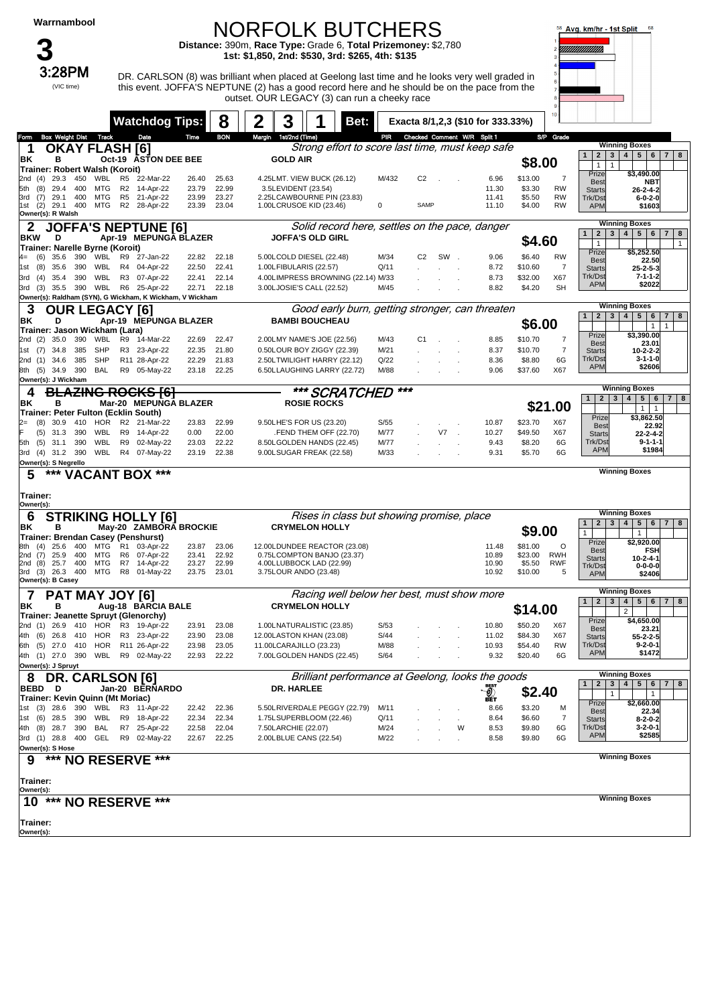#### NORFOLK BUTCHERS

**Distance:** 390m, **Race Type:** Grade 6, **Total Prizemoney:** \$2,780 **1st: \$1,850, 2nd: \$530, 3rd: \$265, 4th: \$135**



 $3:28PM$  DR. CARLSON (8) was brilliant when placed at Geelong last time and he looks very well graded in this event. JOFFA'S NEPTUNE (2) has a good record here and he should be on the pace from the outset. OUR LEGACY (3) can run a cheeky race



|                                                                      |                | <b>Watchdog Tips:</b>     |                | 8              | 2      | 3                                                                  | Bet: |              |                                 |     |   | Exacta 8/1,2,3 (\$10 for 333.33%) |                   | 10                       |                                      |                                                       |
|----------------------------------------------------------------------|----------------|---------------------------|----------------|----------------|--------|--------------------------------------------------------------------|------|--------------|---------------------------------|-----|---|-----------------------------------|-------------------|--------------------------|--------------------------------------|-------------------------------------------------------|
| <b>Box Weight Dist Track</b><br>om                                   |                | Date                      | Time           | <b>BON</b>     | Margin | 1st/2nd (Time)                                                     |      |              | PIR Checked Comment W/R Split 1 |     |   |                                   |                   | S/P Grade                |                                      |                                                       |
| <b>OKAY FLASH [6]</b><br>1                                           |                |                           |                |                |        | Strong effort to score last time, must keep safe                   |      |              |                                 |     |   |                                   |                   |                          | $\mathbf{1}$<br>2 <br>3 <sup>1</sup> | <b>Winning Boxes</b><br>4   5   6<br>78               |
| в<br>ΒK                                                              |                | Oct-19 ASTON DEE BEE      |                |                |        | <b>GOLD AIR</b>                                                    |      |              |                                 |     |   |                                   | \$8.00            |                          | $\mathbf{1}$<br>$\mathbf{1}$         |                                                       |
| Trainer: Robert Walsh (Koroit)                                       |                |                           |                |                |        |                                                                    |      |              |                                 |     |   |                                   |                   |                          | Prize                                | \$3,490.00                                            |
| (4)<br>29.3<br>450<br>WBL<br>2nd                                     | R5             | 22-Mar-22                 | 26.40          | 25.63          |        | 4.25LMT. VIEW BUCK (26.12)                                         |      | M/432        | C2                              |     |   | 6.96                              | \$13.00           | 7<br><b>RW</b>           | Best                                 | NBT                                                   |
| (8)<br>29.4<br>400<br>MTG<br>5th<br>3rd<br>(7)<br>29.1<br>400<br>MTG | R5             | R2 14-Apr-22<br>21-Apr-22 | 23.79<br>23.99 | 22.99<br>23.27 |        | 3.5LEVIDENT (23.54)<br>2.25LCAWBOURNE PIN (23.83)                  |      |              |                                 |     |   | 11.30<br>11.41                    | \$3.30<br>\$5.50  | <b>RW</b>                | <b>Starts</b><br>Trk/Dst             | 26-2-4-2<br>$6 - 0 - 2 - 0$                           |
| (2)<br>29.1<br>400<br>MTG<br>1st                                     |                | R2 28-Apr-22              | 23.39          | 23.04          |        | 1.00LCRUSOE KID (23.46)                                            |      | 0            | SAMP                            |     |   | 11.10                             | \$4.00            | RW                       | <b>APM</b>                           | \$1603                                                |
| Owner(s): R Walsh                                                    |                |                           |                |                |        |                                                                    |      |              |                                 |     |   |                                   |                   |                          |                                      |                                                       |
| <b>JOFFA'S NEPTUNE [6]</b>                                           |                |                           |                |                |        | Solid record here, settles on the pace, danger                     |      |              |                                 |     |   |                                   |                   |                          | $\mathbf{1}$<br>3                    | <b>Winning Boxes</b><br>$5 \mid 6$                    |
| BKW<br>D                                                             |                | Apr-19 MEPUNGA BLAZER     |                |                |        | <b>JOFFA'S OLD GIRL</b>                                            |      |              |                                 |     |   |                                   | \$4.60            |                          | $\mathbf{2}$<br>$\mathbf{1}$         | 4 <sup>1</sup><br>$\overline{7}$<br>8<br>$\mathbf{1}$ |
| Trainer: Narelle Byrne (Koroit)                                      |                |                           |                |                |        |                                                                    |      |              |                                 |     |   |                                   |                   |                          | Prize                                | \$5,252.50                                            |
| 35.6<br>390<br>WBL<br>(6)<br>4=<br>35.6<br>390<br>WBL                | R9             | 27-Jan-22                 | 22.82<br>22.50 | 22.18<br>22.41 |        | 5.00LCOLD DIESEL (22.48)<br>1.00LFIBULARIS (22.57)                 |      | M/34<br>Q/11 | C <sub>2</sub>                  | SW. |   | 9.06<br>8.72                      | \$6.40<br>\$10.60 | <b>RW</b><br>7           | <b>Best</b>                          | 22.50                                                 |
| (8)<br>1st<br>WBL<br>390<br>3rd<br>(4)<br>35.4                       | R3             | R4 04-Apr-22<br>07-Apr-22 | 22.41          | 22.14          |        | 4.00LIMPRESS BROWNING (22.14) M/33                                 |      |              |                                 |     |   | 8.73                              | \$32.00           | X67                      | <b>Starts</b><br>Trk/Dst             | 25-2-5-3<br>$7 - 1 - 1 - 2$                           |
| (3)<br>35.5 390 WBL<br>3rd                                           |                | R6 25-Apr-22              | 22.71          | 22.18          |        | 3.00LJOSIE'S CALL (22.52)                                          |      | M/45         |                                 |     |   | 8.82                              | \$4.20            | <b>SH</b>                | <b>APM</b>                           | \$2022                                                |
| Owner(s): Raldham (SYN), G Wickham, K Wickham, V Wickham             |                |                           |                |                |        |                                                                    |      |              |                                 |     |   |                                   |                   |                          |                                      |                                                       |
| 3<br><b>OUR LEGAC</b>                                                |                | Y [6]                     |                |                |        | Good early burn, getting stronger, can threaten                    |      |              |                                 |     |   |                                   |                   |                          |                                      | <b>Winning Boxes</b>                                  |
| ΒK<br>D                                                              |                | Apr-19 MEPUNGA BLAZER     |                |                |        | <b>BAMBI BOUCHEAU</b>                                              |      |              |                                 |     |   |                                   | \$6.00            |                          | $\mathbf{1}$<br>$\mathbf{2}$<br>3    | 5<br>4<br>6<br>$7 \mid 8$                             |
| Trainer: Jason Wickham (Lara)                                        |                |                           |                |                |        |                                                                    |      |              |                                 |     |   |                                   |                   |                          | Prize                                | $\mathbf{1}$<br>$\mathbf{1}$<br>\$3,390.00            |
| (2)<br>35.0<br>390<br>WBL<br>2nd                                     |                | R9 14-Mar-22              | 22.69          | 22.47          |        | 2.00LMY NAME'S JOE (22.56)                                         |      | M/43         | C1                              |     |   | 8.85                              | \$10.70           | 7                        | <b>Best</b>                          | 23.01                                                 |
| 34.8<br>385<br><b>SHP</b><br>(7)<br>1st                              |                | R3 23-Apr-22              | 22.35          | 21.80          |        | 0.50LOUR BOY ZIGGY (22.39)                                         |      | M/21         |                                 |     |   | 8.37                              | \$10.70           | $\overline{7}$           | <b>Starts</b>                        | 10-2-2-2                                              |
| 385<br><b>SHP</b><br>2nd (1)<br>34.6                                 |                | R11 28-Apr-22             | 22.29          | 21.83          |        | 2.50LTWILIGHT HARRY (22.12)                                        |      | Q/22         |                                 |     |   | 8.36                              | \$8.80            | 6G                       | Trk/Dst<br><b>APN</b>                | $3 - 1 - 1 - 0$<br>\$2606                             |
| 390<br>(5)<br>34.9<br>BAL<br>8th<br>Owner(s): J Wickham              |                | R9 05-May-22              | 23.18          | 22.25          |        | 6.50LLAUGHING LARRY (22.72)                                        |      | M/88         |                                 |     |   | 9.06                              | \$37.60           | X67                      |                                      |                                                       |
| 4                                                                    |                | <del>ZING ROCKS [6]</del> |                |                |        | *** SCRATCHED                                                      |      |              | ***                             |     |   |                                   |                   |                          |                                      | <b>Winning Boxes</b>                                  |
| в<br>ΒK                                                              |                | Mar-20 MEPUNGA BLAZER     |                |                |        | <b>ROSIE ROCKS</b>                                                 |      |              |                                 |     |   |                                   |                   |                          | $\mathbf{1}$<br>$2 \mid 3$           | 4 <br>5   6   7   8                                   |
| Trainer: Peter Fulton (Ecklin South)                                 |                |                           |                |                |        |                                                                    |      |              |                                 |     |   |                                   |                   | \$21.00                  |                                      | $\mathbf{1}$<br>$\overline{1}$                        |
| 30.9<br>410<br>HOR<br>(8)                                            |                | R2 21-Mar-22              | 23.83          | 22.99          |        | 9.50LHE'S FOR US (23.20)                                           |      | S/55         |                                 |     |   | 10.87                             | \$23.70           | X67                      | Prize<br><b>Best</b>                 | \$3,862.50<br>22.92                                   |
| (5)<br>31.3<br>390<br>WBL                                            | R9             | 14-Apr-22                 | 0.00           | 22.00          |        | FEND THEM OFF (22.70)                                              |      | M/77         |                                 | V7  |   | 10.27                             | \$49.50           | X67                      | <b>Starts</b>                        | 22-2-4-2                                              |
| 390<br>WBL<br>(5)<br>31.1<br>5th                                     | R9             | 02-May-22                 | 23.03          | 22.22          |        | 8.50LGOLDEN HANDS (22.45)                                          |      | M/77         |                                 |     |   | 9.43                              | \$8.20            | 6G                       | Trk/Dst                              | $9 - 1 - 1 - 1$                                       |
| $(4)$ 31.2 390<br>WBL<br>3rd                                         |                | R4 07-May-22              | 23.19          | 22.38          |        | 9.00LSUGAR FREAK (22.58)                                           |      | M/33         |                                 |     |   | 9.31                              | \$5.70            | 6G                       | <b>APM</b>                           | \$1984                                                |
| Owner(s): S Negrello                                                 |                |                           |                |                |        |                                                                    |      |              |                                 |     |   |                                   |                   |                          |                                      | <b>Winning Boxes</b>                                  |
| 5<br>***<br><b>VACANT BOX ***</b>                                    |                |                           |                |                |        |                                                                    |      |              |                                 |     |   |                                   |                   |                          |                                      |                                                       |
|                                                                      |                |                           |                |                |        |                                                                    |      |              |                                 |     |   |                                   |                   |                          |                                      |                                                       |
|                                                                      |                |                           |                |                |        |                                                                    |      |              |                                 |     |   |                                   |                   |                          |                                      |                                                       |
| Trainer:<br>Owner(s):                                                |                |                           |                |                |        |                                                                    |      |              |                                 |     |   |                                   |                   |                          |                                      |                                                       |
|                                                                      |                |                           |                |                |        |                                                                    |      |              |                                 |     |   |                                   |                   |                          |                                      | <b>Winning Boxes</b>                                  |
| 6<br><b>STRIKING HOLLY [6]</b><br>ΒK<br>в                            |                | May-20 ZAMBORA BROCKIE    |                |                |        | Rises in class but showing promise, place<br><b>CRYMELON HOLLY</b> |      |              |                                 |     |   |                                   |                   |                          | $2 \mid 3 \mid$<br>$\mathbf{1}$      | 4   5   6  <br>78                                     |
| Trainer: Brendan Casey (Penshurst)                                   |                |                           |                |                |        |                                                                    |      |              |                                 |     |   |                                   | \$9.00            |                          |                                      | $\mathbf{1}$                                          |
| 25.6<br>400<br>MTG<br>(4)<br>8th                                     |                | R1 03-Apr-22              | 23.87          | 23.06          |        | 12.00LDUNDEE REACTOR (23.08)                                       |      |              |                                 |     |   | 11.48                             | \$81.00           | O                        | Prize<br><b>Best</b>                 | \$2,920.00<br><b>FSH</b>                              |
| (7)<br>25.9<br>400<br>MTG<br>2nd<br>(8)<br>25.7<br>400<br>MTG<br>2nd | R <sub>6</sub> | 07-Apr-22                 | 23.41<br>23.27 | 22.92<br>22.99 |        | 0.75LCOMPTON BANJO (23.37)                                         |      |              |                                 |     |   | 10.89<br>10.90                    | \$23.00<br>\$5.50 | <b>RWH</b><br><b>RWF</b> | <b>Starts</b>                        | 10-2-4-1                                              |
| 26.3<br>400<br>MTG<br>3rd<br>(3)                                     | R8             | R7 14-Apr-22<br>01-May-22 | 23.75          | 23.01          |        | 4.00LLUBBOCK LAD (22.99)<br>3.75LOUR ANDO (23.48)                  |      |              |                                 |     |   | 10.92                             | \$10.00           | 5                        | Trk/Dst<br><b>APM</b>                | $0 - 0 - 0 - 0$<br>\$2406                             |
| Owner(s): B Casey                                                    |                |                           |                |                |        |                                                                    |      |              |                                 |     |   |                                   |                   |                          |                                      |                                                       |
| 7<br><b>PAT MAY JOY [6]</b>                                          |                |                           |                |                |        | Racing well below her best, must show more                         |      |              |                                 |     |   |                                   |                   |                          |                                      | <b>Winning Boxes</b>                                  |
| ΒK<br>в                                                              |                | Aug-18 BARCIA BALE        |                |                |        | <b>CRYMELON HOLLY</b>                                              |      |              |                                 |     |   |                                   |                   |                          | 2 <sub>1</sub><br>3 <br>$\mathbf{1}$ | 5 6 <br>4 <sup>1</sup><br>7 8                         |
| Trainer: Jeanette Spruyt (Glenorchy)                                 |                |                           |                |                |        |                                                                    |      |              |                                 |     |   |                                   | \$14.00           |                          | Prize                                | $\overline{2}$<br>\$4,650.00                          |
| HOR<br>2nd (1) 26.9<br>410                                           |                | R3 19-Apr-22              | 23.91          | 23.08          |        | 1.00LNATURALISTIC (23.85)                                          |      | S/53         |                                 |     |   | 10.80                             | \$50.20           | X67                      | <b>Best</b>                          | 23.21                                                 |
| 4th (6) 26.8 410 HOR R3 23-Apr-22                                    |                |                           | 23.90          | 23.08          |        | 12.00LASTON KHAN (23.08)                                           |      | S/44         |                                 |     |   | 11.02                             | \$84.30           | X67                      | <b>Starts</b>                        | 55-2-2-5                                              |
| 6th (5) 27.0 410 HOR R11 26-Apr-22                                   |                |                           | 23.98          | 23.05          |        | 11.00LCARAJILLO (23.23)                                            |      | M/88         |                                 |     |   | 10.93                             | \$54.40           | RW                       | Trk/Ds<br><b>APM</b>                 | 9-2-0-1<br>\$1472                                     |
| 4th (1) 27.0 390 WBL R9 02-May-22<br>Owner(s): J Spruyt              |                |                           |                | 22.93 22.22    |        | 7.00LGOLDEN HANDS (22.45)                                          |      | S/64         |                                 |     |   | 9.32                              | \$20.40           | 6G                       |                                      |                                                       |
|                                                                      |                |                           |                |                |        | Brilliant performance at Geelong, looks the goods                  |      |              |                                 |     |   |                                   |                   |                          |                                      | <b>Winning Boxes</b>                                  |
| 8 DR. CARLSON [6]<br>BEBD D                                          |                | Jan-20 BERNARDO           |                |                |        | DR. HARLEE                                                         |      |              |                                 |     |   |                                   |                   |                          | $2^{\circ}$<br>1                     | $3 \mid 4 \mid$<br>5   6   7   8                      |
| Trainer: Kevin Quinn (Mt Moriac)                                     |                |                           |                |                |        |                                                                    |      |              |                                 |     |   | J.                                | \$2.40            |                          | $\mathbf{1}$                         | $\mathbf{1}$                                          |
| 1st (3) 28.6 390 WBL R3 11-Apr-22                                    |                |                           | 22.42          | 22.36          |        | 5.50LRIVERDALE PEGGY (22.79)                                       |      | M/11         |                                 |     |   | 8.66                              | \$3.20            | M                        | Prize<br><b>Best</b>                 | \$2,660.00<br>22.34                                   |
| 1st (6) 28.5 390                                                     |                | WBL R9 18-Apr-22          | 22.34          | 22.34          |        | 1.75LSUPERBLOOM (22.46)                                            |      | Q/11         |                                 |     |   | 8.64                              | \$6.60            | 7                        | <b>Starts</b>                        | $8 - 2 - 0 - 2$                                       |
| 4th (8) 28.7 390 BAL                                                 |                | R7 25-Apr-22              | 22.58          | 22.04          |        | 7.50LARCHIE (22.07)                                                |      | M/24         |                                 |     | W | 8.53                              | \$9.80            | 6G                       | Trk/Dst<br><b>APM</b>                | $3 - 2 - 0 - 1$<br>\$2585                             |
| 3rd (1) 28.8 400 GEL R9 02-May-22                                    |                |                           |                | 22.67 22.25    |        | 2.00LBLUE CANS (22.54)                                             |      | M/22         |                                 |     |   | 8.58                              | \$9.80            | 6G                       |                                      |                                                       |
| Owner(s): S Hose                                                     |                |                           |                |                |        |                                                                    |      |              |                                 |     |   |                                   |                   |                          |                                      | <b>Winning Boxes</b>                                  |
| *** NO RESERVE ***<br>9                                              |                |                           |                |                |        |                                                                    |      |              |                                 |     |   |                                   |                   |                          |                                      |                                                       |
| Trainer:                                                             |                |                           |                |                |        |                                                                    |      |              |                                 |     |   |                                   |                   |                          |                                      |                                                       |
| Owner(s):                                                            |                |                           |                |                |        |                                                                    |      |              |                                 |     |   |                                   |                   |                          |                                      |                                                       |
| 10 *** NO RESERVE ***                                                |                |                           |                |                |        |                                                                    |      |              |                                 |     |   |                                   |                   |                          |                                      | <b>Winning Boxes</b>                                  |
|                                                                      |                |                           |                |                |        |                                                                    |      |              |                                 |     |   |                                   |                   |                          |                                      |                                                       |
| Trainer:<br>Owner(s):                                                |                |                           |                |                |        |                                                                    |      |              |                                 |     |   |                                   |                   |                          |                                      |                                                       |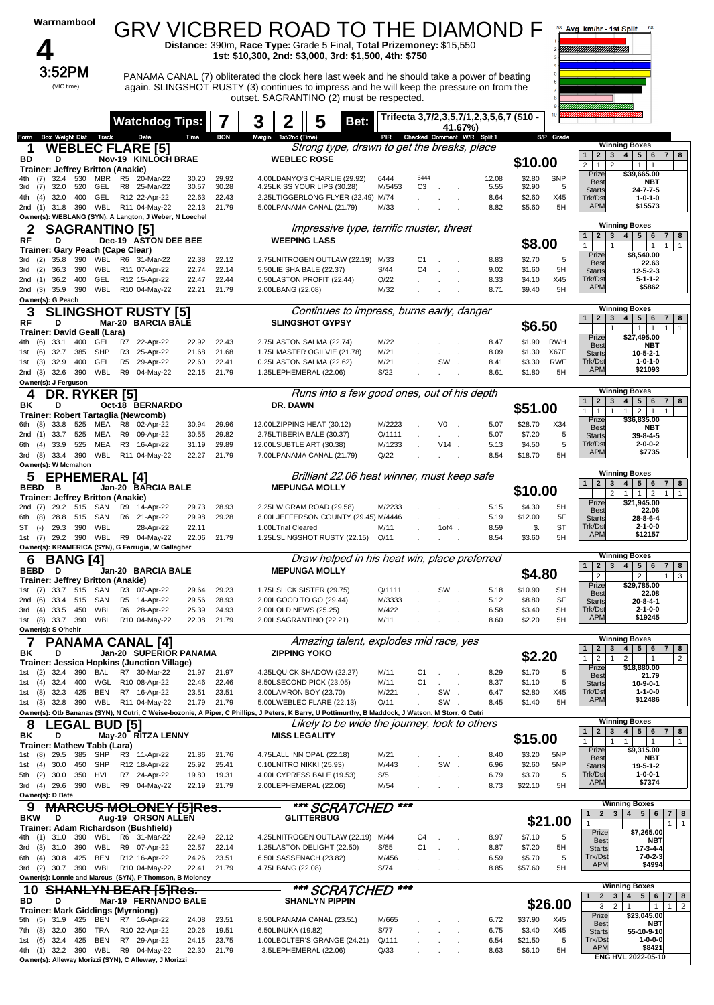|                          | Warrnambool                               |            |                       |                |                                                                       |                |                |        |                                                       |                       | <b>GRV VICBRED ROAD TO THE DIAMOND F</b><br>Distance: 390m, Race Type: Grade 5 Final, Total Prizemoney: \$15,550                                                                                                                                                                               |                  |                                  |         |                             |              |                                          |                  | 58 Avg. km/hr - 1st Split                                 | 68                                                                                                                                         |                   |
|--------------------------|-------------------------------------------|------------|-----------------------|----------------|-----------------------------------------------------------------------|----------------|----------------|--------|-------------------------------------------------------|-----------------------|------------------------------------------------------------------------------------------------------------------------------------------------------------------------------------------------------------------------------------------------------------------------------------------------|------------------|----------------------------------|---------|-----------------------------|--------------|------------------------------------------|------------------|-----------------------------------------------------------|--------------------------------------------------------------------------------------------------------------------------------------------|-------------------|
|                          | 3:52PM<br>(VIC time)                      |            |                       |                |                                                                       |                |                |        |                                                       |                       | 1st: \$10,300, 2nd: \$3,000, 3rd: \$1,500, 4th: \$750<br>PANAMA CANAL (7) obliterated the clock here last week and he should take a power of beating<br>again. SLINGSHOT RUSTY (3) continues to impress and he will keep the pressure on from the<br>outset. SAGRANTINO (2) must be respected. |                  |                                  |         |                             |              |                                          |                  |                                                           |                                                                                                                                            |                   |
|                          |                                           |            |                       |                | <b>Watchdog Tips:</b>                                                 |                |                | 3      | 2                                                     |                       | Bet:                                                                                                                                                                                                                                                                                           |                  |                                  |         | 41.67%)                     |              | - Trifecta 3,7/2,3,5,7/1,2,3,5,6,7 (\$10 |                  |                                                           |                                                                                                                                            |                   |
| Form                     | <b>Box Weight Dist</b>                    |            | Track                 |                | Date                                                                  | Time           | <b>BON</b>     | Margin | 1st/2nd (Time)                                        |                       | Strong type, drawn to get the breaks, place                                                                                                                                                                                                                                                    | PR               |                                  |         | Checked Comment W/R Split 1 |              | SP                                       | Grade            |                                                           | <b>Winning Boxes</b>                                                                                                                       |                   |
| 1<br>BD                  | D                                         |            |                       |                | <b>WEBLEC FLARE [5]</b><br>Nov-19 KINLOCH BRAE                        |                |                |        | <b>WEBLEC ROSE</b>                                    |                       |                                                                                                                                                                                                                                                                                                |                  |                                  |         |                             |              | \$10.00                                  |                  | $\mathbf{2}$<br>$\mathbf{1}$                              | 4 <br>$5 \mid 6$<br>3 <br>$\overline{7}$                                                                                                   | 8                 |
| (7)<br>4th.              | Trainer: Jeffrey Britton (Anakie)<br>32.4 | 530        | MBR                   |                | R5 20-Mar-22                                                          | 30.20          | 29.92          |        | 4.00LDANYO'S CHARLIE (29.92)                          |                       |                                                                                                                                                                                                                                                                                                | 6444             | 6444                             |         |                             | 12.08        | \$2.80                                   | <b>SNP</b>       | $\overline{2}$<br>$\mathbf{1}$<br>$\overline{2}$<br>Prize | $\mathbf{1}$<br>$\mathbf{1}$<br>\$39,665.00                                                                                                |                   |
| 3rd<br>(7)               | 32.0                                      | 520        | GEL                   |                | R8 25-Mar-22                                                          | 30.57          | 30.28          |        | 4.25LKISS YOUR LIPS (30.28)                           |                       |                                                                                                                                                                                                                                                                                                | M/5453           | CЗ                               |         |                             | 5.55         | \$2.90                                   | 5                | Best<br><b>Starts</b>                                     | <b>NBT</b><br>24-7-7-5                                                                                                                     |                   |
| 4th<br>(4)               | 32.0                                      | 400        | GEL                   |                | R12 22-Apr-22<br>2nd (1) 31.8 390 WBL R11 04-May-22                   | 22.63<br>22.13 | 22.43<br>21.79 |        | 5.00LPANAMA CANAL (21.79)                             |                       | 2.25LTIGGERLONG FLYER (22.49) M/74                                                                                                                                                                                                                                                             | M/33             |                                  |         |                             | 8.64<br>8.82 | \$2.60<br>\$5.60                         | X45<br>5H        | Trk/Dst<br><b>APM</b>                                     | $1 - 0 - 1 - 0$<br>\$15573                                                                                                                 |                   |
|                          |                                           |            |                       |                | Owner(s): WEBLANG (SYN), A Langton, J Weber, N Loechel                |                |                |        |                                                       |                       |                                                                                                                                                                                                                                                                                                |                  |                                  |         |                             |              |                                          |                  |                                                           |                                                                                                                                            |                   |
| 2<br>RF                  | D                                         |            | <b>SAGRANTINO [5]</b> |                | Dec-19 ASTON DEE BEE                                                  |                |                |        | <b>WEEPING LASS</b>                                   |                       | Impressive type, terrific muster, threat                                                                                                                                                                                                                                                       |                  |                                  |         |                             |              | \$8.00                                   |                  | $\mathbf{2}$<br>$\mathbf{3}$<br>$\mathbf{1}$              | <b>Winning Boxes</b><br>$4 \mid 5$<br>$\overline{7}$<br>6                                                                                  | 8                 |
|                          | Trainer: Gary Peach (Cape Clear)          |            |                       |                |                                                                       |                |                |        |                                                       |                       |                                                                                                                                                                                                                                                                                                |                  |                                  |         |                             |              |                                          |                  | $\mathbf{1}$<br>$\mathbf{1}$<br>Prize                     | $\mathbf{1}$<br>$\mathbf{1}$<br>\$8,540.00                                                                                                 | $\mathbf{1}$      |
| 3rd<br>(2)<br>3rd<br>(2) | 35.8<br>36.3                              | 390<br>390 | WBL<br>WBL            | R6             | 31-Mar-22<br>R11 07-Apr-22                                            | 22.38<br>22.74 | 22.12<br>22.14 |        | 5.50LIEISHA BALE (22.37)                              |                       | 2.75LNITROGEN OUTLAW (22.19) M/33                                                                                                                                                                                                                                                              | S/44             | C <sub>1</sub><br>C <sub>4</sub> |         |                             | 8.83<br>9.02 | \$2.70<br>\$1.60                         | 5<br>5H          | Best<br><b>Starts</b>                                     | 22.63<br>$12 - 5 - 2 - 3$                                                                                                                  |                   |
| 2nd (1)                  | 36.2                                      | 400        | <b>GEL</b>            |                | R12 15-Apr-22                                                         | 22.47          | 22.44          |        | 0.50LASTON PROFIT (22.44)                             |                       |                                                                                                                                                                                                                                                                                                | Q/22             |                                  |         |                             | 8.33         | \$4.10                                   | X45              | Trk/Dst<br><b>APM</b>                                     | $5 - 1 - 1 - 2$<br>\$5862                                                                                                                  |                   |
|                          | 2nd (3) 35.9 390<br>Owner(s): G Peach     |            | WBL                   |                | R10 04-May-22                                                         | 22.21          | 21.79          |        | 2.00LBANG (22.08)                                     |                       |                                                                                                                                                                                                                                                                                                | M/32             |                                  |         |                             | 8.71         | \$9.40                                   | 5H               |                                                           |                                                                                                                                            |                   |
| 3<br>RF                  | D                                         |            |                       |                | <b>SLINGSHOT RUSTY [5]</b><br>Mar-20 BARCIA BALE                      |                |                |        | <b>SLINGSHOT GYPSY</b>                                |                       | Continues to impress, burns early, danger                                                                                                                                                                                                                                                      |                  |                                  |         |                             |              | \$6.50                                   |                  | $\overline{2}$<br>$\mathbf{1}$                            | <b>Winning Boxes</b><br>$\mathbf{3}$<br>4 <sup>1</sup><br>5 <sub>5</sub><br>6<br>$\overline{7}$                                            | 8                 |
| 4th<br>(6)               | Trainer: David Geall (Lara)<br>33.1       | 400        | GEL                   | R7             | 22-Apr-22                                                             | 22.92          | 22.43          |        | 2.75LASTON SALMA (22.74)                              |                       |                                                                                                                                                                                                                                                                                                | M/22             |                                  |         |                             | 8.47         | \$1.90                                   | RWH              | $\mathbf{1}$<br>Prize                                     | $\mathbf{1}$<br>$\mathbf{1}$<br>$\mathbf{1}$<br>\$27,495.00                                                                                | $\mathbf{1}$      |
| (6)<br>1st               | 32.7                                      | 385        | SHP                   | R <sub>3</sub> | 25-Apr-22                                                             | 21.68          | 21.68          |        | 1.75LMASTER OGILVIE (21.78)                           |                       |                                                                                                                                                                                                                                                                                                | M/21             |                                  |         |                             | 8.09         | \$1.30                                   | X67F             | <b>Best</b><br><b>Starts</b>                              | <b>NBT</b><br>$10 - 5 - 2 - 1$                                                                                                             |                   |
| 1st<br>(3)               | 32.9                                      | 400        | <b>GEL</b><br>WBL     | R <sub>5</sub> | 29-Apr-22                                                             | 22.60          | 22.41          |        | 0.25LASTON SALMA (22.62)                              |                       |                                                                                                                                                                                                                                                                                                | M/21<br>S/22     |                                  | SW      |                             | 8.41         | \$3.30                                   | <b>RWF</b><br>5H | Trk/Dst<br><b>APM</b>                                     | $1 - 0 - 1 - 0$<br>\$21093                                                                                                                 |                   |
| 2nd (3)                  | 32.6<br>Owner(s): J Ferguson              | 390        |                       | R9             | 04-May-22                                                             | 22.15          | 21.79          |        | 1.25LEPHEMERAL (22.06)                                |                       |                                                                                                                                                                                                                                                                                                |                  |                                  |         |                             | 8.61         | \$1.80                                   |                  |                                                           |                                                                                                                                            |                   |
| 4                        | DR.                                       |            | <b>RYKER [5]</b>      |                |                                                                       |                |                |        |                                                       |                       | Runs into a few good ones, out of his depth                                                                                                                                                                                                                                                    |                  |                                  |         |                             |              |                                          |                  | $\mathbf{2}$<br>$\mathbf{3}$<br>$\mathbf{1}$              | <b>Winning Boxes</b><br>5 <sub>5</sub><br>4<br>6<br>$\overline{7}$                                                                         | 8                 |
| ΒK                       | D                                         |            |                       |                | Oct-18 BERNARDO<br>Trainer: Robert Tartaglia (Newcomb)                |                |                |        | DR. DAWN                                              |                       |                                                                                                                                                                                                                                                                                                |                  |                                  |         |                             |              | \$51.00                                  |                  | 1<br>$\mathbf{1}$<br>$\mathbf{1}$                         | $\overline{2}$<br>1<br>$\overline{1}$                                                                                                      |                   |
| 6th (8)                  | 33.8                                      | 525        | MEA                   | R8             | 02-Apr-22                                                             | 30.94          | 29.96          |        | 12.00LZIPPING HEAT (30.12)                            |                       |                                                                                                                                                                                                                                                                                                | M/2223           |                                  | V0      |                             | 5.07         | \$28.70                                  | X34              | Prize<br>Best                                             | \$36,835.00<br>NBT                                                                                                                         |                   |
| 2nd (1)<br>6th (4)       | 33.7<br>33.9                              | 525<br>525 | MEA<br>MEA            | R9<br>R3       | 09-Apr-22<br>16-Apr-22                                                | 30.55<br>31.19 | 29.82<br>29.89 |        | 2.75LTIBERIA BALE (30.37)<br>12.00LSUBTLE ART (30.38) |                       |                                                                                                                                                                                                                                                                                                | Q/1111<br>M/1233 |                                  | $V14$ . | in 1                        | 5.07<br>5.13 | \$7.20<br>\$4.50                         | 5<br>5           | <b>Starts</b><br>Trk/Dst                                  | 39-8-4-5<br>$2 - 0 - 0 - 2$                                                                                                                |                   |
|                          | 3rd (8) 33.4 390                          |            | WBL                   |                | R11 04-May-22                                                         | 22.27          | 21.79          |        | 7.00LPANAMA CANAL (21.79)                             |                       |                                                                                                                                                                                                                                                                                                | Q/22             |                                  |         |                             | 8.54         | \$18.70                                  | 5H               | <b>APM</b>                                                | \$7735                                                                                                                                     |                   |
| 5                        | Owner(s): W Mcmahon                       |            | <b>EPHEMERAL</b>      |                | $\lceil 4 \rceil$                                                     |                |                |        |                                                       |                       | Brilliant 22.06 heat winner, must keep safe                                                                                                                                                                                                                                                    |                  |                                  |         |                             |              |                                          |                  |                                                           | <b>Winning Boxes</b>                                                                                                                       |                   |
| BEBD                     | в                                         |            |                       |                | Jan-20 BARCIA BALE                                                    |                |                |        | <b>MEPUNGA MOLLY</b>                                  |                       |                                                                                                                                                                                                                                                                                                |                  |                                  |         |                             |              | \$10.00                                  |                  | $\overline{2}$<br>$\mathbf{1}$<br>3                       | 4<br>5 <sub>1</sub><br>6<br>$\mathbf{7}$<br>$\overline{2}$<br>1<br>$\mathbf{1}$<br>$\overline{2}$<br>$\mathbf{1}$                          | 8<br>$\mathbf{1}$ |
| 2nd (7)                  | Trainer: Jeffrey Britton (Anakie)<br>29.2 | 515        | SAN                   | R9             | 14-Apr-22                                                             | 29.73          | 28.93          |        | 2.25LWIGRAM ROAD (29.58)                              |                       |                                                                                                                                                                                                                                                                                                | M/2233           |                                  |         |                             | 5.15         | \$4.30                                   | 5H               | Prize                                                     | \$21,945.00                                                                                                                                |                   |
| (8)<br>6th               | 28.8                                      | 515        | SAN                   | R6             | 21-Apr-22                                                             | 29.98          | 29.28          |        |                                                       |                       | 8.00LJEFFERSON COUNTY (29.45) M/4446                                                                                                                                                                                                                                                           |                  |                                  |         |                             | 5.19         | \$12.00                                  | 5F               | <b>Best</b><br><b>Starts</b>                              | 22.06<br>28-8-6-4                                                                                                                          |                   |
| ST<br>$(-)$              | 29.3<br>1st (7) 29.2                      | 390<br>390 | WBL                   |                | 28-Apr-22<br>WBL R9 04-May-22                                         | 22.11<br>22.06 | 21.79          |        | 1.00LTrial Cleared                                    |                       | 1.25LSLINGSHOT RUSTY (22.15)                                                                                                                                                                                                                                                                   | M/11<br>Q/11     |                                  | 1of4.   |                             | 8.59<br>8.54 | \$.<br>\$3.60                            | <b>ST</b><br>5H  | Trk/Dst<br><b>APM</b>                                     | $2 - 1 - 0 - 0$<br>\$12157                                                                                                                 |                   |
|                          |                                           |            |                       |                | Owner(s): KRAMERICA (SYN), G Farrugia, W Gallagher                    |                |                |        |                                                       |                       |                                                                                                                                                                                                                                                                                                |                  |                                  |         |                             |              |                                          |                  |                                                           |                                                                                                                                            |                   |
| 6<br>BEBD D              | <b>BANG [4]</b>                           |            |                       |                | Jan-20 BARCIA BALE                                                    |                |                |        | <b>MEPUNGA MOLLY</b>                                  |                       | Draw helped in his heat win, place preferred                                                                                                                                                                                                                                                   |                  |                                  |         |                             |              | \$4.80                                   |                  | $\mathbf{2}$<br>$\mathbf{1}$<br>$\overline{2}$            | <b>Winning Boxes</b><br>$\overline{\mathbf{4}}$<br>5 <sub>5</sub><br>$\mathbf{3}$<br>6<br>$\overline{7}$<br>$\overline{2}$<br>$\mathbf{1}$ | 8<br>$\mathbf{3}$ |
| 1st (7)                  | Trainer: Jeffrey Britton (Anakie)         |            | 33.7 515 SAN          |                | R3 07-Apr-22                                                          | 29.64          | 29.23          |        | 1.75LSLICK SISTER (29.75)                             |                       |                                                                                                                                                                                                                                                                                                | Q/1111           |                                  | SW.     |                             | 5.18         | \$10.90                                  | SН               | Prize<br><b>Best</b>                                      | \$29,785.00<br>22.08                                                                                                                       |                   |
| 2nd (6)                  | 3rd (4) 33.5 450                          | 33.4 515   | SAN<br>WBL            |                | R5 14-Apr-22<br>R6 28-Apr-22                                          | 29.56<br>25.39 | 28.93<br>24.93 |        | 2.00LGOOD TO GO (29.44)<br>2.00LOLD NEWS (25.25)      |                       |                                                                                                                                                                                                                                                                                                | M/3333<br>M/422  |                                  |         |                             | 5.12<br>6.58 | \$8.80<br>\$3.40                         | <b>SF</b><br>SН  | <b>Starts</b><br>Trk/Dst                                  | $20 - 8 - 4 - 1$<br>$2 - 1 - 0 - 0$                                                                                                        |                   |
|                          | 1st (8) 33.7 390                          |            |                       |                | WBL R10 04-May-22                                                     | 22.08          | 21.79          |        | 2.00LSAGRANTINO (22.21)                               |                       |                                                                                                                                                                                                                                                                                                | M/11             |                                  |         |                             | 8.60         | \$2.20                                   | 5H               | <b>APM</b>                                                | \$19245                                                                                                                                    |                   |
|                          | Owner(s): S O'hehir                       |            |                       |                |                                                                       |                |                |        |                                                       |                       | Amazing talent, explodes mid race, yes                                                                                                                                                                                                                                                         |                  |                                  |         |                             |              |                                          |                  |                                                           | <b>Winning Boxes</b>                                                                                                                       |                   |
| 7<br>ΒK                  | D                                         |            |                       |                | <b>PANAMA CANAL [4]</b><br>Jan-20 SUPERIOR PANAMA                     |                |                |        | <b>ZIPPING YOKO</b>                                   |                       |                                                                                                                                                                                                                                                                                                |                  |                                  |         |                             |              | \$2.20                                   |                  | $\mathbf{2}$<br>$\mathbf{3}$<br>$\mathbf{1}$              | 5 <sup>5</sup><br>4 <br>6<br>$\overline{7}$                                                                                                | 8                 |
|                          |                                           |            |                       |                | Trainer: Jessica Hopkins (Junction Village)                           |                |                |        |                                                       |                       |                                                                                                                                                                                                                                                                                                |                  |                                  |         |                             |              |                                          |                  | $\overline{2}$<br>1<br>$\mathbf{1}$<br>Prize              | $\overline{2}$<br>$\mathbf{1}$<br>\$18,880.00                                                                                              | $\overline{2}$    |
| 1st<br>(2)<br>1st (4)    | 32.4<br>32.4                              | 390<br>400 | BAL<br>WGL            |                | R7 30-Mar-22<br>R10 08-Apr-22                                         | 21.97<br>22.46 | 21.97<br>22.46 |        | 4.25LQUICK SHADOW (22.27)<br>8.50LSECOND PICK (23.05) |                       |                                                                                                                                                                                                                                                                                                | M/11<br>M/11     | C <sub>1</sub><br>C <sub>1</sub> |         |                             | 8.29<br>8.37 | \$1.70<br>\$1.10                         | 5<br>5           | <b>Best</b><br><b>Starts</b>                              | 21.79<br>$10-9-0-1$                                                                                                                        |                   |
| 1st (8)                  |                                           | 32.3 425   | <b>BEN</b><br>WBL     |                | R7 16-Apr-22<br>R11 04-May-22                                         | 23.51          | 23.51          |        | 3.00LAMRON BOY (23.70)                                |                       |                                                                                                                                                                                                                                                                                                | M/221<br>Q/11    |                                  | SW.     |                             | 6.47         | \$2.80                                   | X45              | Trk/Dst<br><b>APM</b>                                     | 1-1-0-0<br>\$12486                                                                                                                         |                   |
|                          | 1st (3) 32.8                              | 390        |                       |                |                                                                       | 21.79          | 21.79          |        | 5.00LWEBLEC FLARE (22.13)                             |                       | Owner(s): Otb Bananas (SYN), N Cutri, C Weise-bozonie, A Piper, C Phillips, J Peters, K Barry, U Pottimurthy, B Maddock, J Watson, M Storr, G Cutri                                                                                                                                            |                  |                                  | SW      |                             | 8.45         | \$1.40                                   | 5H               |                                                           |                                                                                                                                            |                   |
| 8                        |                                           |            | <b>_EGAL BUD [5]</b>  |                |                                                                       |                |                |        |                                                       |                       | Likely to be wide the journey, look to others                                                                                                                                                                                                                                                  |                  |                                  |         |                             |              |                                          |                  | $\mathbf{2}$<br>3<br>$\mathbf{1}$                         | <b>Winning Boxes</b><br>5 <sup>5</sup><br>4<br>6<br>$\overline{7}$                                                                         | 8                 |
| ΒK                       | D<br>Trainer: Mathew Tabb (Lara)          |            |                       |                | May-20 RITZA LENNY                                                    |                |                |        | <b>MISS LEGALITY</b>                                  |                       |                                                                                                                                                                                                                                                                                                |                  |                                  |         |                             |              | \$15.00                                  |                  | $\mathbf{1}$<br>$\mathbf{1}$                              | $\mathbf{1}$<br>$\mathbf{1}$                                                                                                               | $\mathbf{1}$      |
| 1st (8)                  | 29.5                                      | 385        | SHP                   |                | R3 11-Apr-22                                                          | 21.86          | 21.76          |        | 4.75LALL INN OPAL (22.18)                             |                       |                                                                                                                                                                                                                                                                                                | M/21             |                                  |         |                             | 8.40         | \$3.20                                   | 5NP              | Prize<br>Best                                             | \$9,315.00<br>NBT                                                                                                                          |                   |
| (4)<br>1st<br>5th (2)    | 30.0<br>30.0                              | 450<br>350 | SHP<br>HVL            |                | R12 18-Apr-22<br>R7 24-Apr-22                                         | 25.92<br>19.80 | 25.41<br>19.31 |        | 0.10LNITRO NIKKI (25.93)<br>4.00LCYPRESS BALE (19.53) |                       |                                                                                                                                                                                                                                                                                                | M/443<br>S/5     |                                  | SW      |                             | 6.96<br>6.79 | \$2.60<br>\$3.70                         | 5NP<br>5         | <b>Starts</b><br>Trk/Dst                                  | 19-5-1-2<br>$1 - 0 - 0 - 1$                                                                                                                |                   |
|                          | 3rd (4) 29.6 390                          |            | WBL                   |                | R9 04-May-22                                                          | 22.19          | 21.79          |        | 2.00LEPHEMERAL (22.06)                                |                       |                                                                                                                                                                                                                                                                                                | M/54             |                                  |         |                             | 8.73         | \$22.10                                  | 5H               | <b>APM</b>                                                | \$7374                                                                                                                                     |                   |
| 9                        | Owner(s): D Bate                          |            |                       |                | <del>\RCUS MOLONEY [5]Res.</del>                                      |                |                |        |                                                       |                       | *** SCRATCHED                                                                                                                                                                                                                                                                                  | ***              |                                  |         |                             |              |                                          |                  |                                                           | <b>Winning Boxes</b>                                                                                                                       |                   |
| <b>BKW</b>               | D                                         |            |                       |                | Aug-19 ORSON ALLEN                                                    |                |                |        |                                                       | <b>GLITTERBUG</b>     |                                                                                                                                                                                                                                                                                                |                  |                                  |         |                             |              |                                          | \$21.00          | 1<br>$\overline{2}$<br>$\mathbf{1}$                       | 5 <sup>1</sup><br>$\mathbf{3}$<br>4 <sup>1</sup><br>6<br>$\mathbf{7}$                                                                      | 8<br>$\mathbf{1}$ |
| 4th<br>(1)               | 31.0                                      | 390        | WBL                   |                | Trainer: Adam Richardson (Bushfield)<br>R6 31-Mar-22                  | 22.49          | 22.12          |        |                                                       |                       | 4.25LNITROGEN OUTLAW (22.19)                                                                                                                                                                                                                                                                   | M/44             | C <sub>4</sub>                   |         |                             | 8.97         | \$7.10                                   | 5                | Prize                                                     | \$7,265.00                                                                                                                                 |                   |
| (3)<br>3rd               | 31.0                                      | 390        | WBL                   |                | R9 07-Apr-22                                                          | 22.57          | 22.14          |        | 1.25LASTON DELIGHT (22.50)                            |                       |                                                                                                                                                                                                                                                                                                | S/65             | C <sub>1</sub>                   |         |                             | 8.87         | \$7.20                                   | 5H               | <b>Best</b><br><b>Starts</b>                              | NBT<br>$17 - 3 - 4 - 4$                                                                                                                    |                   |
| 6th (4)<br>3rd (2)       | 30.8<br>30.7                              | 425<br>390 | <b>BEN</b><br>WBL     |                | R12 16-Apr-22<br>R10 04-May-22                                        | 24.26<br>22.41 | 23.51<br>21.79 |        | 6.50LSASSENACH (23.82)<br>4.75LBANG (22.08)           |                       |                                                                                                                                                                                                                                                                                                | M/456<br>S/74    |                                  |         |                             | 6.59<br>8.85 | \$5.70<br>\$57.60                        | 5<br>5H          | Trk/Dst<br><b>APM</b>                                     | $7 - 0 - 2 - 3$<br>\$4994                                                                                                                  |                   |
|                          |                                           |            |                       |                | Owner(s): Lonnie and Marcus (SYN), P Thomson, B Moloney               |                |                |        |                                                       |                       |                                                                                                                                                                                                                                                                                                |                  |                                  |         |                             |              |                                          |                  |                                                           |                                                                                                                                            |                   |
| 10                       | D                                         |            |                       |                | <b>SHANLYN BEAR [5]Res.</b>                                           |                |                |        |                                                       | <b>SHANLYN PIPPIN</b> | *** SCRATCHED                                                                                                                                                                                                                                                                                  | ***              |                                  |         |                             |              |                                          |                  | $\mathbf{1}$<br>2                                         | <b>Winning Boxes</b><br>5 <sup>1</sup><br>$\mathbf{3}$<br>4<br>6<br>$\overline{7}$                                                         | 8                 |
| BD                       | Trainer: Mark Giddings (Myrniong)         |            |                       |                | Mar-19 FERNANDO BALE                                                  |                |                |        |                                                       |                       |                                                                                                                                                                                                                                                                                                |                  |                                  |         |                             |              |                                          | \$26.00          | 3<br>Prize                                                | $\overline{2}$<br>$\mathbf{1}$<br>$\mathbf{1}$<br>1<br>\$23,045.00                                                                         | $\overline{2}$    |
| 5th (5)<br>(8)<br>7th    | 31.9<br>32.0                              | 425<br>350 | BEN<br>TRA            |                | R7 16-Apr-22<br>R10 22-Apr-22                                         | 24.08<br>20.26 | 23.51<br>19.51 |        | 8.50LPANAMA CANAL (23.51)<br>6.50LINUKA (19.82)       |                       |                                                                                                                                                                                                                                                                                                | M/665<br>S/77    |                                  |         |                             | 6.72<br>6.75 | \$37.90<br>\$3.40                        | X45<br>X45       | <b>Best</b>                                               | NBT                                                                                                                                        |                   |
| (6)<br>1st               | 32.4                                      | 425        | <b>BEN</b>            |                | R7 29-Apr-22                                                          | 24.15          | 23.75          |        |                                                       |                       | 1.00LBOLTER'S GRANGE (24.21)                                                                                                                                                                                                                                                                   | Q/111            |                                  |         |                             | 6.54         | \$21.50                                  | 5                | <b>Starts</b><br>Trk/Dst                                  | 55-10-9-10<br>1-0-0-0                                                                                                                      |                   |
| 4th (1)                  | 32.2                                      | 390        | WBL                   |                | R9 04-May-22<br>Owner(s): Alleway Morizzi (SYN), C Alleway, J Morizzi | 22.30          | 21.79          |        | 3.5LEPHEMERAL (22.06)                                 |                       |                                                                                                                                                                                                                                                                                                | Q/33             |                                  |         |                             | 8.63         | \$6.10                                   | 5H               | <b>APM</b>                                                | \$8421<br>ENG HVL 2022-05-10                                                                                                               |                   |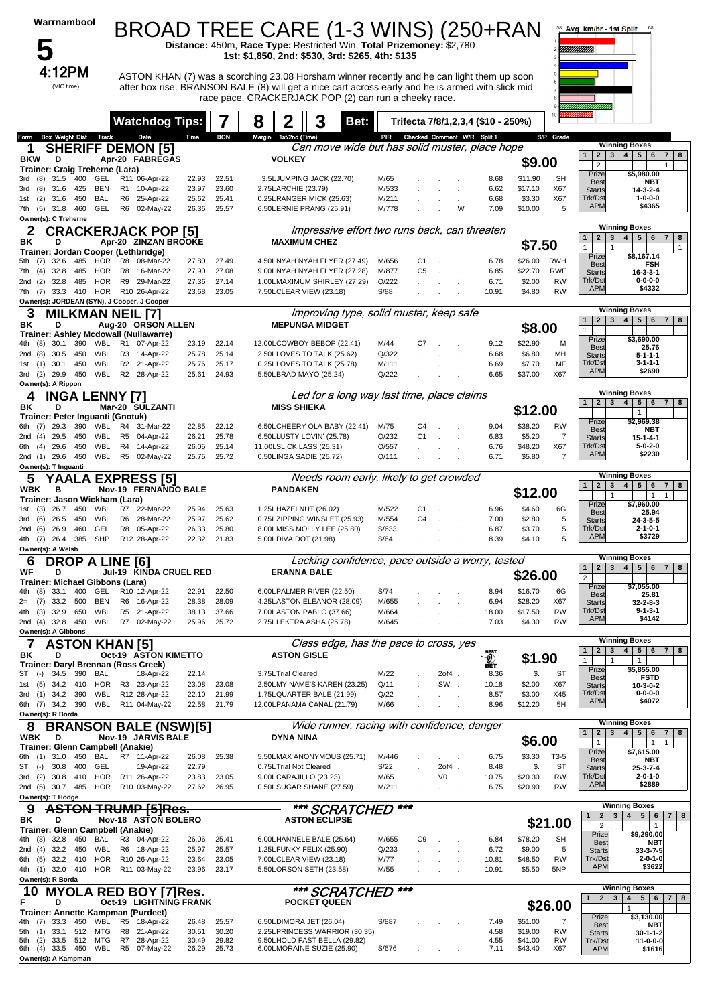| Warrnambool                                                                 | BROAD TREE CARE (1-3 WINS) (250+RAN                                                                                                                                                             |                                  |                |                                                       | Distance: 450m, Race Type: Restricted Win, Total Prizemoney: \$2,780                                      |                |                |                            |                                       |                    |                        | 58 Avg. km/hr - 1st Split<br>uuuun               | 68                                                                                       |
|-----------------------------------------------------------------------------|-------------------------------------------------------------------------------------------------------------------------------------------------------------------------------------------------|----------------------------------|----------------|-------------------------------------------------------|-----------------------------------------------------------------------------------------------------------|----------------|----------------|----------------------------|---------------------------------------|--------------------|------------------------|--------------------------------------------------|------------------------------------------------------------------------------------------|
| 4:12PM<br>(VIC time)                                                        | ASTON KHAN (7) was a scorching 23.08 Horsham winner recently and he can light them up soon<br>after box rise. BRANSON BALE (8) will get a nice cart across early and he is armed with slick mid |                                  |                |                                                       | 1st: \$1,850, 2nd: \$530, 3rd: \$265, 4th: \$135<br>race pace. CRACKERJACK POP (2) can run a cheeky race. |                |                |                            |                                       |                    |                        |                                                  |                                                                                          |
|                                                                             | <b>Watchdog Tips:</b>                                                                                                                                                                           |                                  | 8              | 2                                                     | 3<br>Bet:                                                                                                 |                |                |                            | Trifecta 7/8/1, 2, 3, 4 (\$10 - 250%) |                    |                        |                                                  |                                                                                          |
| <b>Box Weight Dist Track</b><br>Form<br><b>SHERIFF DEMON [5]</b>            | Date                                                                                                                                                                                            | Time<br><b>BON</b>               | Margin         | 1st/2nd (Time)                                        | Can move wide but has solid muster, place hope                                                            | PIR            |                |                            | Checked Comment W/R Split 1           |                    | S/P Grade              |                                                  | <b>Winning Boxes</b>                                                                     |
| <b>BKW</b><br>D                                                             | Apr-20 FABREGAS                                                                                                                                                                                 |                                  |                | <b>VOLKEY</b>                                         |                                                                                                           |                |                |                            |                                       | \$9.00             |                        | $\overline{2}$<br>$\mathbf{1}$<br>$\overline{2}$ | $3 \mid 4 \mid 5 \mid$<br>6<br>$\overline{7}$<br>8<br>1                                  |
| Trainer: Craig Treherne (Lara)<br>31.5<br>400<br>GEL<br>(8)<br>3rd          | R11 06-Apr-22                                                                                                                                                                                   | 22.93<br>22.51                   |                | 3.5LJUMPING JACK (22.70)                              |                                                                                                           | M/65           |                |                            | 8.68                                  | \$11.90            | <b>SH</b>              | Prize<br><b>Best</b>                             | \$5,980.00<br><b>NBT</b>                                                                 |
| (8)<br>31.6<br>425<br>BEN<br>3rd                                            | R1 10-Apr-22                                                                                                                                                                                    | 23.97                            | 23.60          | 2.75LARCHIE (23.79)                                   |                                                                                                           | M/533          |                |                            | 6.62                                  | \$17.10            | X67                    | <b>Starts</b>                                    | 14-3-2-4                                                                                 |
| 450<br><b>BAL</b><br>(2)<br>31.6<br>1st<br>$(5)$ 31.8<br>460<br>GEL<br>7th  | R6 25-Apr-22<br>R6 02-May-22                                                                                                                                                                    | 25.41<br>25.62<br>26.36<br>25.57 |                | 0.25LRANGER MICK (25.63)<br>6.50LERNIE PRANG (25.91)  |                                                                                                           | M/211<br>M/778 |                | W                          | 6.68<br>7.09                          | \$3.30<br>\$10.00  | X67<br>5               | Trk/Dst<br><b>APM</b>                            | 1-0-0-0<br>\$4365                                                                        |
| Owner(s): C Treherne                                                        |                                                                                                                                                                                                 |                                  |                |                                                       |                                                                                                           |                |                |                            |                                       |                    |                        |                                                  | <b>Winning Boxes</b>                                                                     |
| 2<br>ΒK<br>D                                                                | <b>CRACKERJACK POP [5]</b><br>Apr-20 ZINZAN BROOKE                                                                                                                                              |                                  |                | <b>MAXIMUM CHEZ</b>                                   | Impressive effort two runs back, can threaten                                                             |                |                |                            |                                       | \$7.50             |                        | $\mathbf{2}$<br>$\mathbf{3}$<br>$\mathbf{1}$     | $4 \mid 5 \mid$<br>6<br>$\overline{7}$<br>8                                              |
| Trainer: Jordan Cooper (Lethbridge)<br><b>HOR</b><br>32.6<br>485<br>5th (7) | R8<br>08-Mar-22                                                                                                                                                                                 | 27.80                            | 27.49          |                                                       | 4.50LNYAH NYAH FLYER (27.49)                                                                              | M/656          | C <sub>1</sub> |                            | 6.78                                  | \$26.00            | <b>RWH</b>             | $\mathbf{1}$<br>$\mathbf{1}$<br>Prize            | $\mathbf{1}$<br>\$8,167.14                                                               |
| 32.8<br>485<br>HOR<br>7th<br>(4)                                            | R8<br>16-Mar-22                                                                                                                                                                                 | 27.90                            | 27.08          |                                                       | 9.00LNYAH NYAH FLYER (27.28)                                                                              | M/877          | C <sub>5</sub> |                            | 6.85                                  | \$22.70            | <b>RWF</b>             | <b>Best</b><br><b>Starts</b>                     | <b>FSH</b><br>$16 - 3 - 3 - 1$                                                           |
| 485<br>HOR<br>(2)<br>32.8<br>2nd<br>7th (7) 33.3 410 HOR R10 26-Apr-22      | R9<br>29-Mar-22                                                                                                                                                                                 | 27.36<br>23.68                   | 27.14<br>23.05 | 7.50LCLEAR VIEW (23.18)                               | 1.00LMAXIMUM SHIRLEY (27.29)                                                                              | Q/222<br>S/88  |                |                            | 6.71<br>10.91                         | \$2.00<br>\$4.80   | <b>RW</b><br><b>RW</b> | Trk/Dst<br><b>APM</b>                            | $0 - 0 - 0 - 0$<br>\$4332                                                                |
| Owner(s): JORDEAN (SYN), J Cooper, J Cooper                                 |                                                                                                                                                                                                 |                                  |                |                                                       |                                                                                                           |                |                |                            |                                       |                    |                        |                                                  |                                                                                          |
| 3<br><b>MILKMAN NEIL [7]</b><br>ΒK<br>D                                     | Aug-20 ORSON ALLEN                                                                                                                                                                              |                                  |                | <b>MEPUNGA MIDGET</b>                                 | Improving type, solid muster, keep safe                                                                   |                |                |                            |                                       |                    |                        | $\mathbf{2}$<br>$\mathbf{1}$                     | <b>Winning Boxes</b><br>$3 \mid 4 \mid 5 \mid$<br>$6\phantom{.0}$<br>7 <sup>1</sup><br>8 |
| Trainer: Ashley Mcdowall (Nullawarre)                                       |                                                                                                                                                                                                 |                                  |                |                                                       |                                                                                                           |                |                |                            |                                       | \$8.00             |                        | Prize                                            | \$3,690.00                                                                               |
| (8)<br>30.1<br>390<br>WBL<br>4th -<br>WBL<br>(8)<br>30.5<br>450<br>2nd      | R1 07-Apr-22<br>R <sub>3</sub><br>14-Apr-22                                                                                                                                                     | 23.19<br>25.78                   | 22.14<br>25.14 |                                                       | 12.00LCOWBOY BEBOP (22.41)<br>2.50LLOVES TO TALK (25.62)                                                  | M/44<br>Q/322  | C7             |                            | 9.12<br>6.68                          | \$22.90<br>\$6.80  | M<br>MН                | <b>Best</b><br><b>Starts</b>                     | 25.76<br>5-1-1-1                                                                         |
| 30.1<br>450<br>WBL<br>1st (1)                                               | R2 21-Apr-22                                                                                                                                                                                    | 25.76                            | 25.17          |                                                       | 0.25LLOVES TO TALK (25.78)                                                                                | M/111          |                |                            | 6.69                                  | \$7.70             | MF                     | Trk/Dst                                          | 3-1-1-1                                                                                  |
| WBL<br>(2)<br>29.9<br>450<br>3rd<br>Owner(s): A Rippon                      | R2 28-Apr-22                                                                                                                                                                                    | 25.61                            | 24.93          | 5.50LBRAD MAYO (25.24)                                |                                                                                                           | Q/222          |                |                            | 6.65                                  | \$37.00            | X67                    | <b>APM</b>                                       | \$2690                                                                                   |
| <b>INGA LENNY [7]</b><br>4                                                  |                                                                                                                                                                                                 |                                  |                |                                                       | Led for a long way last time, place claims                                                                |                |                |                            |                                       |                    |                        | $\mathbf{1}$                                     | <b>Winning Boxes</b>                                                                     |
| ΒK<br>D<br>Trainer: Peter Inguanti (Gnotuk)                                 | Mar-20 SULZANTI                                                                                                                                                                                 |                                  |                | <b>MISS SHIEKA</b>                                    |                                                                                                           |                |                |                            |                                       | \$12.00            |                        | $2 \mid 3 \mid$                                  | 4 <sup>1</sup><br>$5 \mid 6$<br>8<br>$\mathbf{7}$<br>$\mathbf{1}$                        |
| 29.3<br>390<br>WBL<br>6th (7)                                               | R4 31-Mar-22                                                                                                                                                                                    | 22.85                            | 22.12          |                                                       | 6.50LCHEERY OLA BABY (22.41)                                                                              | M/75           | C4             |                            | 9.04                                  | \$38.20            | <b>RW</b>              | Prize<br><b>Best</b>                             | \$2,969.38<br><b>NBT</b>                                                                 |
| WBL<br>2nd (4)<br>29.5<br>450<br>29.6<br>WBL<br>(4)<br>450                  | R <sub>5</sub><br>04-Apr-22<br>R4 14-Apr-22                                                                                                                                                     | 26.21<br>26.05                   | 25.78<br>25.14 | 6.50LLUSTY LOVIN' (25.78)<br>11.00LSLICK LASS (25.31) |                                                                                                           | Q/232<br>Q/557 | C <sub>1</sub> |                            | 6.83<br>6.76                          | \$5.20<br>\$48.20  | 7<br>X67               | <b>Starts</b><br>Trk/Dst                         | $15 - 1 - 4 - 1$<br>$5 - 0 - 2 - 0$                                                      |
| 6th<br>2nd (1) 29.6<br>WBL<br>450                                           | R5 02-May-22                                                                                                                                                                                    | 25.75                            | 25.72          | 0.50LINGA SADIE (25.72)                               |                                                                                                           | Q/111          |                |                            | 6.71                                  | \$5.80             | 7                      | <b>APM</b>                                       | \$2230                                                                                   |
| Owner(s): T Inguanti                                                        |                                                                                                                                                                                                 |                                  |                |                                                       |                                                                                                           |                |                |                            |                                       |                    |                        |                                                  | <b>Winning Boxes</b>                                                                     |
| YAALA EXPRESS [5]<br>5<br>WBK<br>в                                          | Nov-19 FERNANDO BALE                                                                                                                                                                            |                                  |                | <b>PANDAKEN</b>                                       | Needs room early, likely to get crowded                                                                   |                |                |                            |                                       | \$12.00            |                        | $\mathbf{2}$<br>$\mathbf{1}$                     | $4 \mid 5 \mid$<br>$3^{\circ}$<br>6<br>$\overline{7}$<br>8                               |
| Trainer: Jason Wickham (Lara)<br>26.7<br>450<br>WBL                         | R7 22-Mar-22                                                                                                                                                                                    | 25.94                            | 25.63          |                                                       |                                                                                                           | M/522          | C1             |                            |                                       | \$4.60             | 6G                     | $\mathbf{1}$<br>Prize                            | $\overline{1}$<br>$\mathbf{1}$<br>\$7,960.00                                             |
| 1st (3)<br>WBL<br>3rd<br>(6)<br>26.5<br>450                                 | R6<br>28-Mar-22                                                                                                                                                                                 | 25.97                            | 25.62          | 1.25LHAZELNUT (26.02)                                 | 0.75LZIPPING WINSLET (25.93)                                                                              | M/554          | C <sub>4</sub> |                            | 6.96<br>7.00                          | \$2.80             | 5                      | <b>Best</b><br><b>Starts</b>                     | 25.94<br>24-3-5-5                                                                        |
| 26.9<br>460<br>GEL<br>(6)<br>2nd                                            | R8 05-Apr-22                                                                                                                                                                                    | 26.33                            | 25.80          |                                                       | 8.00LMISS MOLLY LEE (25.80)                                                                               | S/633          |                |                            | 6.87                                  | \$3.70             | 5                      | Trk/Dst<br><b>APM</b>                            | $2 - 1 - 0 - 1$<br>\$3729                                                                |
| 4th (7) 26.4<br>385<br>SHP<br>Owner(s): A Welsh                             | R12 28-Apr-22                                                                                                                                                                                   | 22.32<br>21.83                   |                | 5.00LDIVA DOT (21.98)                                 |                                                                                                           | S/64           |                |                            | 8.39                                  | \$4.10             | 5                      |                                                  |                                                                                          |
| <b>DROP A LINE [6]</b><br>6                                                 |                                                                                                                                                                                                 |                                  |                | <b>ERANNA BALE</b>                                    | Lacking confidence, pace outside a worry, tested                                                          |                |                |                            |                                       |                    |                        | $\mathbf{1}$                                     | <b>Winning Boxes</b><br>2 3 4 5 6<br>$7 \mid 8$                                          |
| WF<br>D<br>Trainer: Michael Gibbons (Lara)                                  | Jul-19 KINDA CRUEL RED                                                                                                                                                                          |                                  |                |                                                       |                                                                                                           |                |                |                            |                                       | \$26.00            |                        | $\overline{2}$<br>Prize                          | \$7,055.00                                                                               |
| 33.1<br>400<br>GEL<br>4th (8)                                               | R10 12-Apr-22                                                                                                                                                                                   | 22.91                            | 22.50          |                                                       | 6.00LPALMER RIVER (22.50)<br>4.25LASTON ELEANOR (28.09)                                                   | S/74           |                |                            | 8.94                                  | \$16.70            | 6G                     | <b>Best</b>                                      | 25.81                                                                                    |
| 33.2 500<br>BEN<br>(7)<br>2=<br>WBL<br>(3)<br>32.9<br>650<br>4th            | R6 16-Apr-22<br>R5<br>21-Apr-22                                                                                                                                                                 | 28.38<br>38.13                   | 28.09<br>37.66 | 7.00LASTON PABLO (37.66)                              |                                                                                                           | M/655<br>M/664 |                |                            | 6.94<br>18.00                         | \$28.20<br>\$17.50 | X67<br>RW              | <b>Starts</b><br>Trk/Dst                         | $32 - 2 - 8 - 3$<br>$9 - 1 - 3 - 1$                                                      |
| 2nd (4) 32.8 450<br>Owner(s): A Gibbons                                     | WBL R7 02-May-22                                                                                                                                                                                | 25.96                            | 25.72          | 2.75LLEKTRA ASHA (25.78)                              |                                                                                                           | M/645          |                |                            | 7.03                                  | \$4.30             | <b>RW</b>              | <b>APM</b>                                       | \$4142                                                                                   |
| <b>ASTON KHAN [5]</b>                                                       |                                                                                                                                                                                                 |                                  |                |                                                       | Class edge, has the pace to cross, yes                                                                    |                |                |                            |                                       |                    |                        |                                                  | <b>Winning Boxes</b>                                                                     |
| ΒK<br>D<br>Trainer: Darvl Brennan (Ross Creek)                              | <b>Oct-19 ASTON KIMETTO</b>                                                                                                                                                                     |                                  |                | <b>ASTON GISLE</b>                                    |                                                                                                           |                |                |                            | <b>BEST</b><br>்ஜ                     | \$1.90             |                        | $\overline{2}$<br>1<br>1                         | 4   5   6<br>$3^{\circ}$<br>$7 \mid 8$<br>$\mathbf{1}$                                   |
| 34.5 390<br>BAL<br>ST (-)                                                   | 18-Apr-22                                                                                                                                                                                       | 22.14                            |                | 3.75LTrial Cleared                                    |                                                                                                           | M/22           |                | 2of4.                      | 8.36                                  | \$.                | ST                     | Prize<br><b>Best</b>                             | \$5,855.00<br><b>FSTD</b>                                                                |
| 1st (5)<br>34.2<br>410<br>HOR<br>WBL<br>3rd (1) 34.2 390                    | R3 23-Apr-22<br>R12 28-Apr-22                                                                                                                                                                   | 23.08<br>22.10                   | 23.08<br>21.99 |                                                       | 2.50LMY NAME'S KAREN (23.25)<br>1.75LQUARTER BALE (21.99)                                                 | Q/11<br>Q/22   |                | SW.                        | 10.18<br>8.57                         | \$2.00<br>\$3.00   | X67<br>X45             | <b>Starts</b><br>Trk/Dst                         | $10-3-0-2$<br>$0 - 0 - 0 - 0$                                                            |
| WBL<br>6th (7) 34.2 390                                                     | R11 04-May-22                                                                                                                                                                                   | 22.58<br>21.79                   |                |                                                       | 12.00LPANAMA CANAL (21.79)                                                                                | M/66           |                |                            | 8.96                                  | \$12.20            | 5H                     | <b>APM</b>                                       | \$4072                                                                                   |
| Owner(s): R Borda<br>8                                                      | <b>BRANSON BALE (NSW)[5]</b>                                                                                                                                                                    |                                  |                |                                                       | Wide runner, racing with confidence, danger                                                               |                |                |                            |                                       |                    |                        |                                                  | <b>Winning Boxes</b>                                                                     |
| WBK<br>D                                                                    | Nov-19 JARVIS BALE                                                                                                                                                                              |                                  |                | <b>DYNA NINA</b>                                      |                                                                                                           |                |                |                            |                                       | \$6.00             |                        | $\mathbf{2}$<br>$\mathbf{1}$<br>$\mathbf{1}$     | $4 \mid 5 \mid 6$<br>$\mathbf{3}$<br>7   8<br>$\mathbf{1}$<br>$\mathbf{1}$               |
| Trainer: Glenn Campbell (Anakie)<br>BAL<br>6th (1) 31.0<br>450              | R7 11-Apr-22                                                                                                                                                                                    | 26.08                            | 25.38          |                                                       | 5.50LMAX ANONYMOUS (25.71)                                                                                | M/446          |                |                            | 6.75                                  | \$3.30             | T3-5                   | Prize                                            | \$7,615.00                                                                               |
| ST (-)<br>30.8<br>400<br>GEL                                                | 19-Apr-22                                                                                                                                                                                       | 22.79                            |                | 0.75LTrial Not Cleared                                |                                                                                                           | S/22           |                | 2of4.                      | 8.48                                  | \$.                | <b>ST</b>              | <b>Best</b><br><b>Starts</b>                     | NBT<br>$25 - 3 - 7 - 4$                                                                  |
| (2)<br>30.8<br>410<br>HOR<br>3rd<br>2nd (5) 30.7 485 HOR R10 03-May-22      | R11 26-Apr-22                                                                                                                                                                                   | 23.83<br>26.95<br>27.62          | 23.05          | 9.00LCARAJILLO (23.23)<br>0.50LSUGAR SHANE (27.59)    |                                                                                                           | M/65<br>M/211  |                | V <sub>0</sub><br>$\Delta$ | 10.75<br>6.75                         | \$20.30<br>\$20.90 | RW<br><b>RW</b>        | Trk/Dst<br><b>APM</b>                            | $2 - 0 - 1 - 0$<br>\$2889                                                                |
| Owner(s): T Hodge                                                           |                                                                                                                                                                                                 |                                  |                |                                                       |                                                                                                           |                |                |                            |                                       |                    |                        |                                                  |                                                                                          |
| 9<br>BK<br>D                                                                | <b>ASTON TRUMP [5]Res.</b><br><b>Nov-18 ASTON BOLERO</b>                                                                                                                                        |                                  |                |                                                       | *** SCRATCHED<br><b>ASTON ECLIPSE</b>                                                                     |                | ***            |                            |                                       |                    |                        | $\mathbf{1}$<br>$\overline{2}$                   | <b>Winning Boxes</b><br>5 <sup>5</sup><br>4 <br>3 <sup>1</sup><br>6<br>7 8               |
| Trainer: Glenn Campbell (Anakie)                                            |                                                                                                                                                                                                 |                                  |                |                                                       |                                                                                                           |                |                |                            |                                       |                    | \$21.00                | $\overline{2}$<br>Prize                          | $\mathbf{1}$<br>\$9,290.00                                                               |
| 4th (8)<br>32.8<br>450<br>BAL<br>32.2<br>WBL<br>2nd (4)<br>450              | R3 04-Apr-22<br>R6 18-Apr-22                                                                                                                                                                    | 26.06<br>25.41<br>25.57<br>25.97 |                | 1.25LFUNKY FELIX (25.90)                              | 6.00LHANNELE BALE (25.64)                                                                                 | M/655<br>Q/233 | C <sub>9</sub> |                            | 6.84<br>6.72                          | \$78.20<br>\$9.00  | SН<br>5                | <b>Best</b><br><b>Starts</b>                     | NBT<br>$33 - 3 - 7 - 5$                                                                  |
| HOR<br>32.2 410<br>6th (5)                                                  | R10 26-Apr-22                                                                                                                                                                                   | 23.64                            | 23.05          | 7.00LCLEAR VIEW (23.18)                               |                                                                                                           | M/77           |                |                            | 10.81                                 | \$48.50            | RW                     | Trk/Dst                                          | $2 - 0 - 1 - 0$                                                                          |
| 4th (1) 32.0 410 HOR<br>Owner(s): R Borda                                   | R11 03-May-22                                                                                                                                                                                   | 23.96<br>23.17                   |                | 5.50LORSON SETH (23.58)                               |                                                                                                           | M/55           |                |                            | 10.91                                 | \$5.50             | 5NP                    | <b>APM</b>                                       | \$3622                                                                                   |
| 10                                                                          | <b>MYOLA RED BOY [7]Res.</b>                                                                                                                                                                    |                                  |                |                                                       | *** SCRATCHED                                                                                             |                | ***            |                            |                                       |                    |                        | $\mathbf{2}$<br>$\mathbf{1}$                     | <b>Winning Boxes</b><br>4 <br>5 6 <br>3<br>7 <sup>1</sup><br>8                           |
| D<br>Trainer: Annette Kampman (Purdeet)                                     | Oct-19 LIGHTNING FRANK                                                                                                                                                                          |                                  |                |                                                       | <b>POCKET QUEEN</b>                                                                                       |                |                |                            |                                       |                    | \$26.00                |                                                  | $\mathbf{1}$                                                                             |
| 450<br>WBL<br>4th (7) 33.3                                                  | R5<br>18-Apr-22                                                                                                                                                                                 | 25.57<br>26.48                   |                | 6.50LDIMORA JET (26.04)                               |                                                                                                           | S/887          |                |                            | 7.49                                  | \$51.00            | $\overline{7}$         | Prize<br><b>Best</b>                             | \$3,130.00<br>NBT                                                                        |
| 33.1<br>512<br>MTG<br>5th<br>(1)<br>33.5<br>512<br>MTG<br>(2)<br>5th        | R8<br>21-Apr-22<br>R7<br>28-Apr-22                                                                                                                                                              | 30.51<br>30.49                   | 30.20<br>29.82 |                                                       | 2.25LPRINCESS WARRIOR (30.35)<br>9.50LHOLD FAST BELLA (29.82)                                             |                |                |                            | 4.58<br>4.55                          | \$19.00<br>\$41.00 | <b>RW</b><br>RW        | <b>Starts</b><br>Trk/Dst                         | $30-1-1-2$<br>11-0-0-0                                                                   |
| 6th (4) 33.5<br>450<br>WBL<br>Owner(s): A Kampman                           | R5<br>07-May-22                                                                                                                                                                                 | 26.29                            | 25.73          |                                                       | 6.00LMORAINE SUZIE (25.90)                                                                                | S/676          |                |                            | 7.11                                  | \$43.40            | X67                    | <b>APM</b>                                       | \$1616                                                                                   |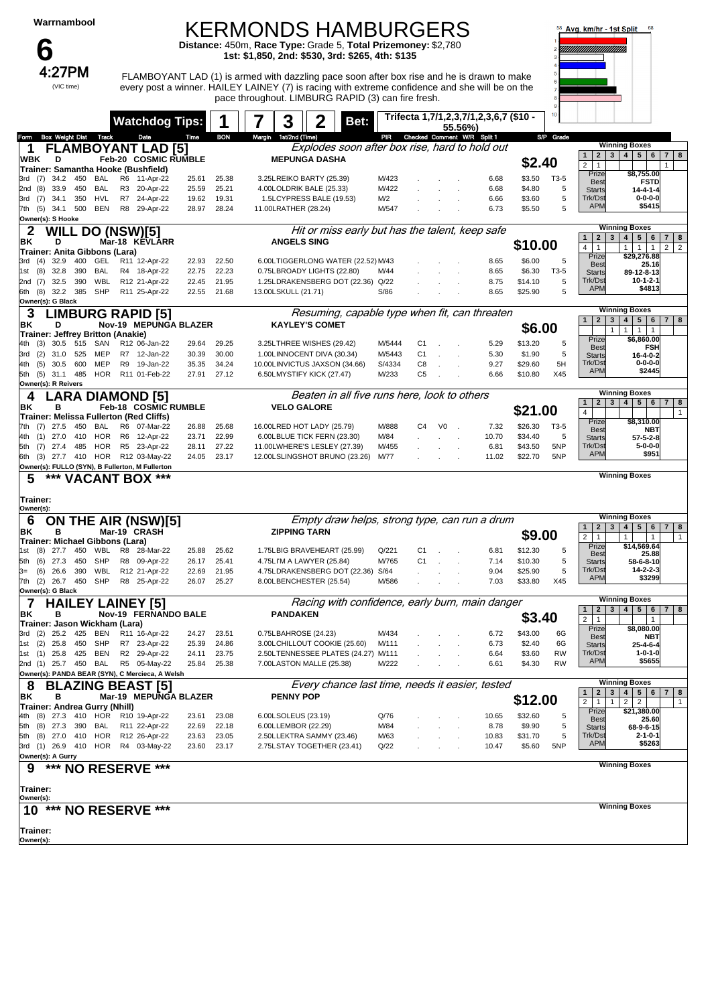| Warrnambool<br>n                                          |                          |                |                                                          |                |                | <b>KERMONDS HAMBURGERS</b><br>Distance: 450m, Race Type: Grade 5, Total Prizemoney: \$2,780<br>1st: \$1,850, 2nd: \$530, 3rd: \$265, 4th: \$135                                                                                                     |                                                                        |      |              |                |                |                                                   |                    |            | Avg. km/hr - 1st Split                                                         | 68                                                                                                  |
|-----------------------------------------------------------|--------------------------|----------------|----------------------------------------------------------|----------------|----------------|-----------------------------------------------------------------------------------------------------------------------------------------------------------------------------------------------------------------------------------------------------|------------------------------------------------------------------------|------|--------------|----------------|----------------|---------------------------------------------------|--------------------|------------|--------------------------------------------------------------------------------|-----------------------------------------------------------------------------------------------------|
| 4:27PM<br>(VIC time)                                      |                          |                |                                                          |                |                | FLAMBOYANT LAD (1) is armed with dazzling pace soon after box rise and he is drawn to make<br>every post a winner. HAILEY LAINEY (7) is racing with extreme confidence and she will be on the<br>pace throughout. LIMBURG RAPID (3) can fire fresh. |                                                                        |      |              |                |                |                                                   |                    |            |                                                                                |                                                                                                     |
|                                                           |                          |                | <b>Watchdog Tips:</b>                                    |                |                | 3                                                                                                                                                                                                                                                   |                                                                        | Bet: |              |                |                | Trifecta 1,7/1,2,3,7/1,2,3,6,7 (\$10 -<br>55.56%) |                    |            |                                                                                |                                                                                                     |
| <b>Box Weight Dist</b><br>Form                            | Track                    |                | Date                                                     | Time           | <b>BON</b>     | Margin 1st/2nd (Time)                                                                                                                                                                                                                               |                                                                        |      | PR           |                |                | Checked Comment W/R Split 1                       |                    | S/P Grade  |                                                                                | <b>Winning Boxes</b>                                                                                |
| 1<br><b>WBK</b><br>D                                      |                          |                | <b>FLAMBOYANT LAD [5]</b><br><b>Feb-20 COSMIC RUMBLE</b> |                |                |                                                                                                                                                                                                                                                     | Explodes soon after box rise, hard to hold out<br><b>MEPUNGA DASHA</b> |      |              |                |                |                                                   | \$2.40             |            | 2 <br>3 <sup>1</sup><br>$\mathbf{1}$                                           | 4   5   6<br>7 8                                                                                    |
| Trainer: Samantha Hooke (Bushfield)                       | 450                      |                |                                                          |                | 25.38          |                                                                                                                                                                                                                                                     |                                                                        |      | M/423        |                |                | 6.68                                              | \$3.50             | T3-5       | $\overline{2}$<br>$\mathbf{1}$<br>Prize                                        | $\mathbf{1}$<br>\$8,755.00                                                                          |
| 3rd (7)<br>34.2<br>33.9<br>2nd (8)                        | BAL<br>450<br>BAL        | R6<br>R3       | 11-Apr-22<br>20-Apr-22                                   | 25.61<br>25.59 | 25.21          |                                                                                                                                                                                                                                                     | 3.25LREIKO BARTY (25.39)<br>4.00LOLDRIK BALE (25.33)                   |      | M/422        |                |                | 6.68                                              | \$4.80             | 5          | <b>Best</b><br><b>Starts</b>                                                   | <b>FSTD</b><br>$14 - 4 - 1 - 4$                                                                     |
| 3rd (7)<br>34.1                                           | <b>HVL</b><br>350        | R7             | 24-Apr-22                                                | 19.62          | 19.31          |                                                                                                                                                                                                                                                     | 1.5LCYPRESS BALE (19.53)                                               |      | M/2          |                |                | 6.66                                              | \$3.60             | 5<br>5     | Trk/Dst<br><b>APM</b>                                                          | $0 - 0 - 0 - 0$<br>\$5415                                                                           |
| 7th (5) 34.1 500<br>Owner(s): S Hooke                     | <b>BEN</b>               | R <sub>8</sub> | 29-Apr-22                                                | 28.97          | 28.24          |                                                                                                                                                                                                                                                     | 11.00LRATHER (28.24)                                                   |      | M/547        |                |                | 6.73                                              | \$5.50             |            |                                                                                |                                                                                                     |
| $\mathbf 2$<br>WILL                                       | <b>DO (NSW)[5]</b>       |                |                                                          |                |                |                                                                                                                                                                                                                                                     | Hit or miss early but has the talent, keep safe                        |      |              |                |                |                                                   |                    |            | $\overline{2}$<br>$3^{\circ}$<br>$\mathbf{1}$                                  | <b>Winning Boxes</b><br>$5 \mid 6$<br>4 <br>$\overline{7}$<br>8                                     |
| BK<br>D<br>Trainer: Anita Gibbons (Lara)                  |                          |                | Mar-18 KEVLARR                                           |                |                |                                                                                                                                                                                                                                                     | <b>ANGELS SING</b>                                                     |      |              |                |                |                                                   | \$10.00            |            | $\overline{4}$<br>$\mathbf{1}$                                                 | $\overline{2}$<br>$1 \mid 1 \mid$<br>$\overline{1}$<br>2 <sup>1</sup>                               |
| 3rd (4) 32.9                                              | 400<br>GEL               |                | R11 12-Apr-22                                            | 22.93          | 22.50          |                                                                                                                                                                                                                                                     | 6.00LTIGGERLONG WATER (22.52) M/43                                     |      |              |                |                | 8.65                                              | \$6.00             | 5          | Prize<br><b>Best</b>                                                           | \$29,276.88<br>25.16                                                                                |
| 32.8<br>1st (8)<br>2nd $(7)$<br>32.5                      | 390<br>BAL<br>390<br>WBL |                | R4 18-Apr-22<br>R12 21-Apr-22                            | 22.75<br>22.45 | 22.23<br>21.95 |                                                                                                                                                                                                                                                     | 0.75LBROADY LIGHTS (22.80)<br>1.25LDRAKENSBERG DOT (22.36) Q/22        |      | M/44         |                |                | 8.65<br>8.75                                      | \$6.30<br>\$14.10  | T3-5<br>5  | <b>Starts</b><br>Trk/Dst                                                       | 89-12-8-13<br>$10 - 1 - 2 - 1$                                                                      |
| 6th (8) 32.2                                              | <b>SHP</b><br>385        |                | R11 25-Apr-22                                            | 22.55          | 21.68          | 13.00LSKULL (21.71)                                                                                                                                                                                                                                 |                                                                        |      | S/86         |                |                | 8.65                                              | \$25.90            | 5          | <b>APM</b>                                                                     | \$4813                                                                                              |
| Owner(s): G Black                                         |                          |                |                                                          |                |                |                                                                                                                                                                                                                                                     |                                                                        |      |              |                |                |                                                   |                    |            |                                                                                | <b>Winning Boxes</b>                                                                                |
| З<br>D<br>BK                                              |                          |                | <b>LIMBURG RAPID [5]</b><br>Nov-19 MEPUNGA BLAZER        |                |                |                                                                                                                                                                                                                                                     | Resuming, capable type when fit, can threaten<br><b>KAYLEY'S COMET</b> |      |              |                |                |                                                   | \$6.00             |            | $\overline{2}$<br>$\mathbf{3}$<br>$\mathbf{1}$                                 | $5 \mid 6$<br>$7 \mid 8$<br>4                                                                       |
| Trainer: Jeffrey Britton (Anakie)                         |                          |                |                                                          |                |                |                                                                                                                                                                                                                                                     |                                                                        |      | M/5444       |                |                |                                                   |                    |            | $\mathbf{1}$<br>Prize                                                          | 1<br>1<br>$\overline{1}$<br>\$6,860.00                                                              |
| 30.5<br>4th (3)<br>(2)<br>31.0<br>3rd                     | 515<br>SAN<br>MEP<br>525 |                | R12 06-Jan-22<br>R7 12-Jan-22                            | 29.64<br>30.39 | 29.25<br>30.00 |                                                                                                                                                                                                                                                     | 3.25LTHREE WISHES (29.42)<br>1.00LINNOCENT DIVA (30.34)                |      | M/5443       | C1<br>C1       |                | 5.29<br>5.30                                      | \$13.20<br>\$1.90  | 5<br>5     | <b>Best</b><br><b>Starts</b>                                                   | <b>FSH</b><br>16-4-0-2                                                                              |
| (5)<br>30.5<br>4th                                        | 600<br>MEP               | R9             | 19-Jan-22                                                | 35.35          | 34.24          |                                                                                                                                                                                                                                                     | 10.00LINVICTUS JAXSON (34.66)                                          |      | S/4334       | C8             |                | 9.27                                              | \$29.60            | 5H         | Trk/Dst<br><b>APM</b>                                                          | $0 - 0 - 0 - 0$<br>\$2445                                                                           |
| 5th (5) 31.1 485<br>Owner(s): R Reivers                   |                          |                | HOR R11 01-Feb-22                                        | 27.91          | 27.12          |                                                                                                                                                                                                                                                     | 6.50LMYSTIFY KICK (27.47)                                              |      | M/233        | C <sub>5</sub> |                | 6.66                                              | \$10.80            | X45        |                                                                                |                                                                                                     |
| 4                                                         |                          |                | ARA DIAMOND [5]                                          |                |                |                                                                                                                                                                                                                                                     | Beaten in all five runs here, look to others                           |      |              |                |                |                                                   |                    |            | 2 <sub>1</sub><br>3 <sup>1</sup><br>$\mathbf{1}$                               | <b>Winning Boxes</b><br>4   5   6<br>$\overline{7}$<br>8                                            |
| ΒK<br>в<br>Trainer: Melissa Fullerton (Red Cliffs)        |                          |                | <b>Feb-18 COSMIC RUMBLE</b>                              |                |                |                                                                                                                                                                                                                                                     | <b>VELO GALORE</b>                                                     |      |              |                |                |                                                   | \$21.00            |            | $\overline{4}$                                                                 | $\mathbf{1}$                                                                                        |
| 7th (7) 27.5                                              | 450<br>BAL               | R6             | 07-Mar-22                                                | 26.88          | 25.68          |                                                                                                                                                                                                                                                     | 16.00LRED HOT LADY (25.79)                                             |      | M/888        | C4             | V <sub>0</sub> | 7.32                                              | \$26.30            | T3-5       | Prize<br><b>Best</b>                                                           | \$8,310.00<br><b>NBT</b>                                                                            |
| 27.0<br>4th (1)                                           | HOR<br>410               | R6             | 12-Apr-22                                                | 23.71          | 22.99          |                                                                                                                                                                                                                                                     | 6.00LBLUE TICK FERN (23.30)                                            |      | M/84         |                |                | 10.70                                             | \$34.40            | 5          | <b>Starts</b><br>Trk/Dst                                                       | $57 - 5 - 2 - 8$<br>$5 - 0 - 0 - 0$                                                                 |
| 5th (7) 27.4 485<br>6th (3) 27.7 410 HOR R12 03-May-22    | HOR                      | R5             | 23-Apr-22                                                | 28.11<br>24.05 | 27.22<br>23.17 |                                                                                                                                                                                                                                                     | 11.00LWHERE'S LESLEY (27.39)<br>12.00LSLINGSHOT BRUNO (23.26) M/77     |      | M/455        |                |                | 6.81<br>11.02                                     | \$43.50<br>\$22.70 | 5NP<br>5NP | <b>APM</b>                                                                     | \$951                                                                                               |
| Owner(s): FULLO (SYN), B Fullerton, M Fullerton           |                          |                |                                                          |                |                |                                                                                                                                                                                                                                                     |                                                                        |      |              |                |                |                                                   |                    |            |                                                                                | <b>Winning Boxes</b>                                                                                |
| ***<br>5                                                  |                          |                | <b>VACANT BOX ***</b>                                    |                |                |                                                                                                                                                                                                                                                     |                                                                        |      |              |                |                |                                                   |                    |            |                                                                                |                                                                                                     |
| Trainer:                                                  |                          |                |                                                          |                |                |                                                                                                                                                                                                                                                     |                                                                        |      |              |                |                |                                                   |                    |            |                                                                                |                                                                                                     |
| Owner(s):<br>6                                            |                          |                | <b>ON THE AIR (NSW)[5]</b>                               |                |                |                                                                                                                                                                                                                                                     | Empty draw helps, strong type, can run a drum                          |      |              |                |                |                                                   |                    |            |                                                                                | <b>Winning Boxes</b>                                                                                |
| BK<br>в                                                   |                          |                | Mar-19 CRASH                                             |                |                |                                                                                                                                                                                                                                                     | <b>ZIPPING TARN</b>                                                    |      |              |                |                |                                                   | \$9.00             |            | $\mathbf{2}$<br>$\mathbf{3}$<br>$\mathbf{1}$<br>$\overline{2}$<br>$\mathbf{1}$ | $\overline{4}$<br>5 <sub>5</sub><br>$6 \mid 7$<br>8<br>$\mathbf{1}$<br>$\mathbf{1}$<br>$\mathbf{1}$ |
| Trainer: Michael Gibbons (Lara)<br>(8)<br>27.7 450<br>1st | WBL                      | R8             | 28-Mar-22                                                | 25.88          | 25.62          |                                                                                                                                                                                                                                                     | 1.75LBIG BRAVEHEART (25.99)                                            |      | Q/221        | C1             |                | 6.81                                              | \$12.30            | 5          | Prize                                                                          | \$14,569.64                                                                                         |
| (6)<br>27.3<br>5th                                        | 450<br>SHP               | R8             | 09-Apr-22                                                | 26.17          | 25.41          |                                                                                                                                                                                                                                                     | 4.75LI'M A LAWYER (25.84)                                              |      | M/765        | C1             |                | 7.14                                              | \$10.30            | 5          | <b>Best</b><br><b>Starts</b>                                                   | 25.88<br>58-6-8-10                                                                                  |
| 26.6<br>(6)<br>3=                                         | WBL<br>390               |                | R12 21-Apr-22                                            | 22.69          | 21.95          |                                                                                                                                                                                                                                                     | 4.75LDRAKENSBERG DOT (22.36) S/64                                      |      |              |                |                | 9.04                                              | \$25.90            | 5          | Trk/Dst<br><b>APM</b>                                                          | $14 - 2 - 2 - 3$<br>\$3299                                                                          |
| 7th (2) 26.7 450<br>Owner(s): G Black                     | SHP                      |                | R8 25-Apr-22                                             | 26.07          | 25.27          |                                                                                                                                                                                                                                                     | 8.00LBENCHESTER (25.54)                                                |      | M/586        |                |                | 7.03                                              | \$33.80            | X45        |                                                                                |                                                                                                     |
| 7                                                         | <b>HAILEY LAINEY [5]</b> |                |                                                          |                |                |                                                                                                                                                                                                                                                     | Racing with confidence, early burn, main danger                        |      |              |                |                |                                                   |                    |            | $2 \mid 3 \mid$<br>1                                                           | <b>Winning Boxes</b><br>4   5   6   7   8                                                           |
| BK<br>в<br>Trainer: Jason Wickham (Lara)                  |                          |                | Nov-19 FERNANDO BALE                                     |                |                |                                                                                                                                                                                                                                                     | <b>PANDAKEN</b>                                                        |      |              |                |                |                                                   | \$3.40             |            | $\overline{2}$<br>$\overline{1}$                                               | $\overline{1}$                                                                                      |
| 25.2<br>(2)<br>3rd                                        | 425<br>BEN               |                | R11 16-Apr-22                                            | 24.27          | 23.51          |                                                                                                                                                                                                                                                     | 0.75LBAHROSE (24.23)                                                   |      | M/434        |                |                | 6.72                                              | \$43.00            | 6G         | Prize<br><b>Best</b>                                                           | \$8,080.00<br>NBT                                                                                   |
| 25.8 450<br>1st (2)                                       | SHP                      |                | R7 23-Apr-22                                             | 25.39          | 24.86          |                                                                                                                                                                                                                                                     | 3.00LCHILLOUT COOKIE (25.60)                                           |      | M/111        |                |                | 6.73                                              | \$2.40             | 6G         | <b>Starts</b>                                                                  | $25 - 4 - 6 - 4$                                                                                    |
| 1st (1) 25.8 425<br>2nd (1) 25.7 450 BAL                  | BEN                      |                | R2 29-Apr-22<br>R5 05-May-22                             | 24.11<br>25.84 | 23.75<br>25.38 |                                                                                                                                                                                                                                                     | 2.50LTENNESSEE PLATES (24.27) M/111<br>7.00LASTON MALLE (25.38)        |      | M/222        |                |                | 6.64<br>6.61                                      | \$3.60<br>\$4.30   | RW<br>RW   | Trk/Dst<br><b>APM</b>                                                          | 1-0-1-0<br>\$5655                                                                                   |
| Owner(s): PANDA BEAR (SYN), C Mercieca, A Welsh           |                          |                |                                                          |                |                |                                                                                                                                                                                                                                                     |                                                                        |      |              |                |                |                                                   |                    |            |                                                                                |                                                                                                     |
| 8<br>ΒK<br>в                                              |                          |                | <b>BLAZING BEAST [5]</b><br>Mar-19 MEPUNGA BLAZER        |                |                |                                                                                                                                                                                                                                                     | Every chance last time, needs it easier, tested<br><b>PENNY POP</b>    |      |              |                |                |                                                   |                    |            | $\mathbf{2}$<br>3 <sup>1</sup><br>$\mathbf{1}$                                 | <b>Winning Boxes</b><br>4 <sup>1</sup><br>5   6   7   8                                             |
| Trainer: Andrea Gurry (Nhill)                             |                          |                |                                                          |                |                |                                                                                                                                                                                                                                                     |                                                                        |      |              |                |                |                                                   | \$12.00            |            | $\overline{2}$<br>$\mathbf{1}$<br>$\mathbf{1}$                                 | $\overline{2}$<br>$\overline{2}$<br>$\mathbf{1}$                                                    |
| 4th (8) 27.3 410 HOR                                      |                          |                | R10 19-Apr-22                                            | 23.61          | 23.08          |                                                                                                                                                                                                                                                     | 6.00LSOLEUS (23.19)                                                    |      | Q/76         |                |                | 10.65                                             | \$32.60            | 5          | Prize<br><b>Best</b>                                                           | \$21,380.00<br>25.60                                                                                |
| 5th (8) 27.3 390<br>5th (8) 27.0                          | BAL                      |                | R11 22-Apr-22<br>410 HOR R12 26-Apr-22                   | 22.69<br>23.63 | 22.18<br>23.05 |                                                                                                                                                                                                                                                     | 6.00LLEMBOR (22.29)<br>2.50LLEKTRA SAMMY (23.46)                       |      | M/84<br>M/63 |                |                | 8.78<br>10.83                                     | \$9.90<br>\$31.70  | 5<br>5     | <b>Starts</b><br>Trk/Dst                                                       | 68-9-6-15<br>$2 - 1 - 0 - 1$                                                                        |
| 3rd (1) 26.9 410 HOR R4 03-May-22                         |                          |                |                                                          | 23.60          | 23.17          |                                                                                                                                                                                                                                                     | 2.75LSTAY TOGETHER (23.41)                                             |      | Q/22         |                |                | 10.47                                             | \$5.60             | 5NP        | <b>APM</b>                                                                     | \$5263                                                                                              |
| Owner(s): A Gurry                                         |                          |                |                                                          |                |                |                                                                                                                                                                                                                                                     |                                                                        |      |              |                |                |                                                   |                    |            |                                                                                | <b>Winning Boxes</b>                                                                                |
| 9                                                         |                          |                | *** NO RESERVE ***                                       |                |                |                                                                                                                                                                                                                                                     |                                                                        |      |              |                |                |                                                   |                    |            |                                                                                |                                                                                                     |
| Trainer:                                                  |                          |                |                                                          |                |                |                                                                                                                                                                                                                                                     |                                                                        |      |              |                |                |                                                   |                    |            |                                                                                |                                                                                                     |
| Owner(s):<br>***<br>10                                    | <b>NO RESERVE</b>        |                | ***                                                      |                |                |                                                                                                                                                                                                                                                     |                                                                        |      |              |                |                |                                                   |                    |            |                                                                                | <b>Winning Boxes</b>                                                                                |
|                                                           |                          |                |                                                          |                |                |                                                                                                                                                                                                                                                     |                                                                        |      |              |                |                |                                                   |                    |            |                                                                                |                                                                                                     |
| Trainer:<br>Owner(s):                                     |                          |                |                                                          |                |                |                                                                                                                                                                                                                                                     |                                                                        |      |              |                |                |                                                   |                    |            |                                                                                |                                                                                                     |
|                                                           |                          |                |                                                          |                |                |                                                                                                                                                                                                                                                     |                                                                        |      |              |                |                |                                                   |                    |            |                                                                                |                                                                                                     |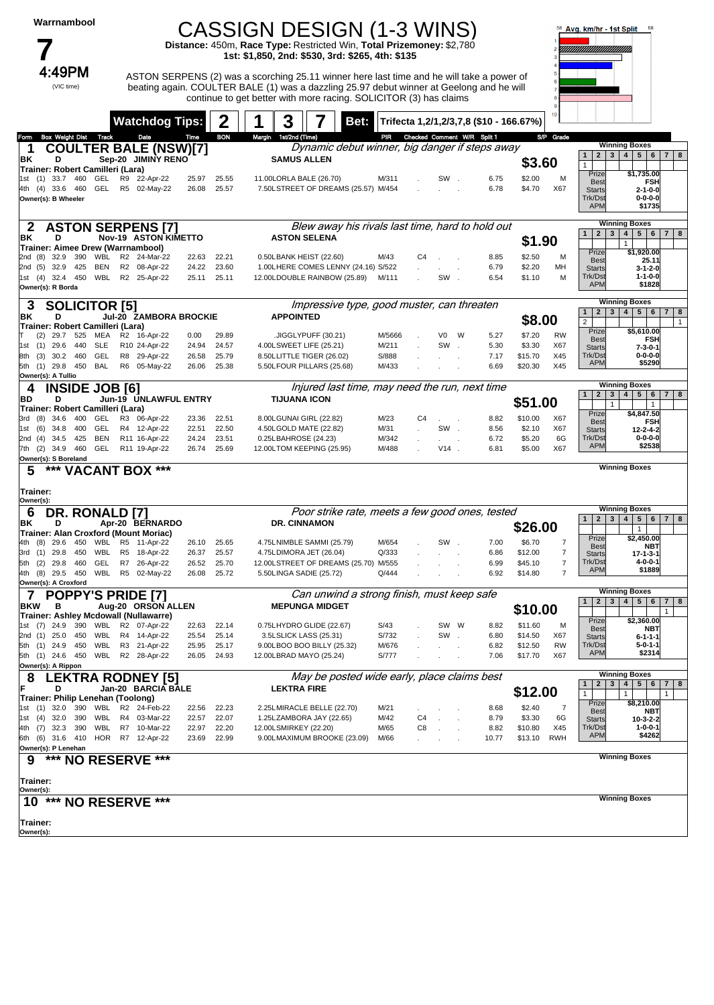| Warrnambool |
|-------------|
|             |

4:49PM

(VIC time)

### CASSIGN DESIGN (1-3 WINS)

**Distance:** 450m, **Race Type:** Restricted Win, **Total Prizemoney:** \$2,780 **1st: \$1,850, 2nd: \$530, 3rd: \$265, 4th: \$135**

 $4:49PM$  ASTON SERPENS (2) was a scorching 25.11 winner here last time and he will take a power of beating again. COULTER BALE (1) was a dazzling 25.97 debut winner at Geelong and he will continue to get better with more racing. SOLICITOR (3) has claims



|                       |                                      |     |            |                | <b>Watchdog Tips:</b>                                                  |                | 2                          | 3                     |                                                        | Bet:                                             |                                 |                |         |   |               | Trifecta 1,2/1,2/3,7,8 (\$10 - 166.67%) |                |                                                       |                                                                                      |
|-----------------------|--------------------------------------|-----|------------|----------------|------------------------------------------------------------------------|----------------|----------------------------|-----------------------|--------------------------------------------------------|--------------------------------------------------|---------------------------------|----------------|---------|---|---------------|-----------------------------------------|----------------|-------------------------------------------------------|--------------------------------------------------------------------------------------|
| Form                  | Box Weight Dist Track                |     |            |                | Date                                                                   | Time           | <b>BON</b>                 | Margin 1st/2nd (Time) |                                                        |                                                  | PIR Checked Comment W/R Split 1 |                |         |   |               |                                         | S/P Grade      |                                                       |                                                                                      |
| 1                     |                                      |     |            |                | <b>COULTER BALE (NSW)[7]</b>                                           |                |                            |                       |                                                        | Dynamic debut winner, big danger if steps away   |                                 |                |         |   |               |                                         |                |                                                       | <b>Winning Boxes</b>                                                                 |
| ΒK                    | D                                    |     |            |                | Sep-20 JIMINY RENO                                                     |                |                            |                       | <b>SAMUS ALLEN</b>                                     |                                                  |                                 |                |         |   |               | \$3.60                                  |                | $2 \mid 3 \mid$<br>1                                  | 4   5   6   7   8                                                                    |
|                       | Trainer: Robert Camilleri (Lara)     |     |            |                |                                                                        |                |                            |                       |                                                        |                                                  |                                 |                |         |   |               |                                         |                | $\mathbf{1}$<br>Prize                                 | \$1,735.00                                                                           |
| 1st                   | $(1)$ 33.7 460                       |     | GEL        |                | R9 22-Apr-22                                                           | 25.97          | 25.55                      |                       | 11.00LORLA BALE (26.70)                                |                                                  | M/311                           |                | SW.     |   | 6.75          | \$2.00                                  | М              | <b>Best</b>                                           | FSH                                                                                  |
|                       | 4th (4) 33.6 460                     |     |            |                | GEL R5 02-May-22                                                       | 26.08          | 25.57                      |                       |                                                        | 7.50LSTREET OF DREAMS (25.57) M/454              |                                 |                |         |   | 6.78          | \$4.70                                  | X67            | <b>Starts</b>                                         | $2 - 1 - 0 - 0$                                                                      |
|                       | Owner(s): B Wheeler                  |     |            |                |                                                                        |                |                            |                       |                                                        |                                                  |                                 |                |         |   |               |                                         |                | Trk/Dst<br><b>APM</b>                                 | $0 - 0 - 0 - 0$<br>\$1735                                                            |
|                       |                                      |     |            |                |                                                                        |                |                            |                       |                                                        |                                                  |                                 |                |         |   |               |                                         |                |                                                       |                                                                                      |
|                       |                                      |     |            |                | <b>ASTON SERPENS [7]</b>                                               |                |                            |                       |                                                        | Blew away his rivals last time, hard to hold out |                                 |                |         |   |               |                                         |                | $\mathbf{3}$<br>$\overline{2}$<br>1                   | <b>Winning Boxes</b><br>$\overline{4}$<br>5 <sup>1</sup><br>6<br>7 <sup>1</sup><br>8 |
| ΒK                    | D                                    |     |            |                | <b>Nov-19 ASTON KIMETTO</b>                                            |                |                            |                       | <b>ASTON SELENA</b>                                    |                                                  |                                 |                |         |   |               | \$1.90                                  |                |                                                       | $\mathbf{1}$                                                                         |
|                       | 2nd (8) 32.9 390 WBL                 |     |            |                | Trainer: Aimee Drew (Warrnambool)<br>R2 24-Mar-22                      | 22.63          | 22.21                      |                       | 0.50LBANK HEIST (22.60)                                |                                                  | M/43                            | C <sub>4</sub> |         |   | 8.85          | \$2.50                                  | м              | Prize                                                 | \$1,920.00                                                                           |
|                       | 2nd (5) 32.9 425                     |     | BEN        |                | R2 08-Apr-22                                                           | 24.22          | 23.60                      |                       |                                                        | 1.00LHERE COMES LENNY (24.16) S/522              |                                 |                |         |   | 6.79          | \$2.20                                  | MН             | <b>Best</b><br><b>Starts</b>                          | 25.11<br>$3 - 1 - 2 - 0$                                                             |
|                       |                                      |     |            |                | 1st (4) 32.4 450 WBL R2 25-Apr-22                                      | 25.11          | 25.11                      |                       |                                                        | 12.00LDOUBLE RAINBOW (25.89) M/111               |                                 |                | SW.     |   | 6.54          | \$1.10                                  | M              | Trk/Dst                                               | $1 - 1 - 0 - 0$                                                                      |
|                       | Owner(s): R Borda                    |     |            |                |                                                                        |                |                            |                       |                                                        |                                                  |                                 |                |         |   |               |                                         |                | <b>APM</b>                                            | \$1828                                                                               |
| З                     | <b>SOLICITOR [5]</b>                 |     |            |                |                                                                        |                |                            |                       |                                                        | Impressive type, good muster, can threaten       |                                 |                |         |   |               |                                         |                |                                                       | <b>Winning Boxes</b>                                                                 |
| ΒK                    | D                                    |     |            |                | Jul-20 ZAMBORA BROCKIE                                                 |                |                            | <b>APPOINTED</b>      |                                                        |                                                  |                                 |                |         |   |               |                                         |                | 2 <sup>1</sup><br>$\mathbf{3}$<br>1 <sup>1</sup>      | 4 <br>5 <br>6 <sup>1</sup><br>7 <sup>1</sup><br>8                                    |
|                       | Trainer: Robert Camilleri (Lara)     |     |            |                |                                                                        |                |                            |                       |                                                        |                                                  |                                 |                |         |   |               | \$8.00                                  |                | $\overline{2}$<br>Prize                               | $\mathbf{1}$                                                                         |
| (2)                   |                                      |     |            |                | 29.7 525 MEA R2 16-Apr-22                                              | 0.00           | 29.89                      |                       | .JIGGLYPUFF (30.21)                                    |                                                  | M/5666                          |                | V0      | W | 5.27          | \$7.20                                  | <b>RW</b>      | <b>Best</b>                                           | \$5,610.00<br>FSH                                                                    |
|                       | 1st (1) 29.6                         | 440 | <b>SLE</b> |                | R10 24-Apr-22                                                          | 24.94          | 24.57                      |                       | 4.00LSWEET LIFE (25.21)                                |                                                  | M/211                           |                | SW      |   | 5.30          | \$3.30                                  | X67            | <b>Starts</b>                                         | $7 - 3 - 0 - 1$                                                                      |
| (3)<br>8th            | 30.2 460<br>5th (1) 29.8 450 BAL     |     | GEL        |                | R8 29-Apr-22<br>R6 05-May-22                                           | 26.58<br>26.06 | 25.79<br>25.38             |                       | 8.50LLITTLE TIGER (26.02)<br>5.50LFOUR PILLARS (25.68) |                                                  | S/888<br>M/433                  |                |         |   | 7.17<br>6.69  | \$15.70<br>\$20.30                      | X45<br>X45     | Trk/Dst<br><b>APM</b>                                 | $0 - 0 - 0 - 0$<br>\$5290                                                            |
|                       | Owner(s): A Tullio                   |     |            |                |                                                                        |                |                            |                       |                                                        |                                                  |                                 |                |         |   |               |                                         |                |                                                       |                                                                                      |
| 4                     | <b>INSIDE JOB [6]</b>                |     |            |                |                                                                        |                |                            |                       |                                                        | Injured last time, may need the run, next time   |                                 |                |         |   |               |                                         |                |                                                       | <b>Winning Boxes</b>                                                                 |
| BD                    | D                                    |     |            |                | Jun-19 UNLAWFUL ENTRY                                                  |                |                            | <b>TIJUANA ICON</b>   |                                                        |                                                  |                                 |                |         |   |               | \$51.00                                 |                | 1 <sup>1</sup><br>$\overline{2}$<br>$\mathbf{3}$<br>1 | 4 <br>5 <sup>1</sup><br>6<br>7 <sup>1</sup><br>8<br>$\mathbf{1}$                     |
|                       | Trainer: Robert Camilleri (Lara)     |     |            |                |                                                                        |                |                            |                       |                                                        |                                                  |                                 |                |         |   |               |                                         |                | Prize                                                 | \$4,847.50                                                                           |
| 3rd (8)               | 34.6 400                             |     | GEL        |                | R3 06-Apr-22                                                           | 23.36          | 22.51                      |                       | 8.00LGUNAI GIRL (22.82)<br>4.50LGOLD MATE (22.82)      |                                                  | M/23                            | C <sub>4</sub> |         |   | 8.82          | \$10.00                                 | X67            | <b>Best</b>                                           | <b>FSH</b>                                                                           |
|                       | 1st (6) 34.8 400<br>2nd (4) 34.5 425 |     | GEL<br>BEN |                | R4 12-Apr-22<br>R11 16-Apr-22                                          | 22.51<br>24.24 | 22.50<br>23.51             |                       | 0.25LBAHROSE (24.23)                                   |                                                  | M/31<br>M/342                   |                | SW.     |   | 8.56<br>6.72  | \$2.10<br>\$5.20                        | X67<br>6G      | <b>Starts</b><br>Trk/Dst                              | $12 - 2 - 4 - 2$<br>$0 - 0 - 0 - 0$                                                  |
|                       | 7th (2) 34.9 460                     |     | GEL        |                | R11 19-Apr-22                                                          | 26.74          | 25.69                      |                       | 12.00LTOM KEEPING (25.95)                              |                                                  | M/488                           |                | $V14$ . |   | 6.81          | \$5.00                                  | X67            | <b>APM</b>                                            | \$2538                                                                               |
|                       | Owner(s): S Boreland                 |     |            |                |                                                                        |                |                            |                       |                                                        |                                                  |                                 |                |         |   |               |                                         |                |                                                       |                                                                                      |
| 5                     | ***                                  |     |            |                | 'ACANT BOX ***                                                         |                |                            |                       |                                                        |                                                  |                                 |                |         |   |               |                                         |                |                                                       | <b>Winning Boxes</b>                                                                 |
|                       |                                      |     |            |                |                                                                        |                |                            |                       |                                                        |                                                  |                                 |                |         |   |               |                                         |                |                                                       |                                                                                      |
| Trainer:              |                                      |     |            |                |                                                                        |                |                            |                       |                                                        |                                                  |                                 |                |         |   |               |                                         |                |                                                       |                                                                                      |
| Owner(s):             |                                      |     |            |                |                                                                        |                |                            |                       |                                                        |                                                  |                                 |                |         |   |               |                                         |                |                                                       |                                                                                      |
| 6                     | DR. RONALD [7]                       |     |            |                |                                                                        |                |                            |                       |                                                        | Poor strike rate, meets a few good ones, tested  |                                 |                |         |   |               |                                         |                | $2 \mid 3 \mid$<br>1                                  | <b>Winning Boxes</b><br>5 <sup>1</sup><br>$6 \mid 7 \mid 8$<br>4                     |
| ΒK                    | D                                    |     |            |                | Apr-20 BERNARDO                                                        |                |                            |                       | DR. CINNAMON                                           |                                                  |                                 |                |         |   |               | \$26.00                                 |                |                                                       | $\mathbf{1}$                                                                         |
| (8)                   | 29.6                                 |     | 450 WBL    |                | Trainer: Alan Croxford (Mount Moriac)<br>R5 11-Apr-22                  | 26.10          | 25.65                      |                       | 4.75LNIMBLE SAMMI (25.79)                              |                                                  | M/654                           |                | SW      |   | 7.00          | \$6.70                                  | 7              | Prize                                                 | \$2,450.00                                                                           |
| 3rd                   | $(1)$ 29.8 450                       |     | WBL        | R <sub>5</sub> | 18-Apr-22                                                              | 26.37          | 25.57                      |                       | 4.75LDIMORA JET (26.04)                                |                                                  | Q/333                           |                |         |   | 6.86          | \$12.00                                 | 7              | <b>Best</b><br><b>Starts</b>                          | <b>NBT</b><br>17-1-3-1                                                               |
| (2)<br>5th            | 29.8                                 | 460 | GEL        |                | R7 26-Apr-22                                                           | 26.52          | 25.70                      |                       |                                                        | 12.00LSTREET OF DREAMS (25.70) M/555             |                                 |                |         |   | 6.99          | \$45.10                                 | $\overline{7}$ | Trk/Dst                                               | 4-0-0-1                                                                              |
| 4th                   | $(8)$ 29.5 450                       |     |            |                | WBL R5 02-May-22                                                       | 26.08          | 25.72                      |                       | 5.50LINGA SADIE (25.72)                                |                                                  | Q/444                           |                |         |   | 6.92          | \$14.80                                 | $\overline{7}$ | <b>APM</b>                                            | \$1889                                                                               |
|                       | Owner(s): A Croxford                 |     |            |                |                                                                        |                |                            |                       |                                                        |                                                  |                                 |                |         |   |               |                                         |                |                                                       | <b>Winning Boxes</b>                                                                 |
| 7<br><b>BKW</b>       | в                                    |     |            |                | <b>POPPY'S PRIDE [7]</b>                                               |                |                            |                       | <b>MEPUNGA MIDGET</b>                                  | Can unwind a strong finish, must keep safe       |                                 |                |         |   |               |                                         |                | $1 \mid 2 \mid 3 \mid$                                | 4   5   6<br>7 <br>8                                                                 |
|                       |                                      |     |            |                | Aug-20 ORSON ALLEN<br>Trainer: Ashley Mcdowall (Nullawarre)            |                |                            |                       |                                                        |                                                  |                                 |                |         |   |               | \$10.00                                 |                |                                                       | $\mathbf{1}$                                                                         |
|                       | 1st (7) 24.9 390 WBL                 |     |            |                | R2 07-Apr-22                                                           | 22.63          | 22.14                      |                       | 0.75LHYDRO GLIDE (22.67)                               |                                                  | S/43                            |                | SW      | W | 8.82          | \$11.60                                 | м              | Prize<br><b>Best</b>                                  | \$2,360.00<br>NBT                                                                    |
|                       |                                      |     |            |                | 2nd (1) 25.0 450 WBL R4 14-Apr-22                                      | 25.54          | 25.14                      |                       | 3.5LSLICK LASS (25.31)                                 |                                                  | S/732                           |                | SW.     |   | 6.80          | \$14.50                                 | X67            | <b>Starts</b>                                         | $6 - 1 - 1 - 1$                                                                      |
|                       |                                      |     |            |                | 5th (1) 24.9 450 WBL R3 21-Apr-22                                      | 25.95          | 25.17                      |                       | 9.00LBOO BOO BILLY (25.32)                             |                                                  | M/676                           |                |         |   | 6.82          | \$12.50                                 | <b>RW</b>      | Trk/Dst<br><b>APM</b>                                 | 5-0-1-1<br>\$2314                                                                    |
|                       | Owner(s): A Rippon                   |     |            |                | 5th (1) 24.6 450 WBL R2 28-Apr-22                                      |                | 26.05 24.93                |                       | 12.00LBRAD MAYO (25.24)                                |                                                  | S/777                           |                |         |   | 7.06          | \$17.70                                 | X67            |                                                       |                                                                                      |
| 8                     |                                      |     |            |                |                                                                        |                |                            |                       |                                                        | May be posted wide early, place claims best      |                                 |                |         |   |               |                                         |                |                                                       | <b>Winning Boxes</b>                                                                 |
| F                     | D                                    |     |            |                | <b>LEKTRA RODNEY [5]</b><br>Jan-20 BARCIA BALE                         |                |                            | <b>LEKTRA FIRE</b>    |                                                        |                                                  |                                 |                |         |   |               |                                         |                |                                                       | $1 \mid 2 \mid 3 \mid 4 \mid 5 \mid 6 \mid 7 \mid 8$                                 |
|                       | Trainer: Philip Lenehan (Toolong)    |     |            |                |                                                                        |                |                            |                       |                                                        |                                                  |                                 |                |         |   |               | \$12.00                                 |                | $\mathbf{1}$<br>Prize                                 | 1<br>\$8,210.00                                                                      |
|                       |                                      |     |            |                | 1st (1) 32.0 390 WBL R2 24-Feb-22                                      |                | 22.56 22.23                |                       | 2.25LMIRACLE BELLE (22.70)                             |                                                  | M/21                            |                |         |   | 8.68          | \$2.40                                  | 7              | <b>Best</b>                                           | <b>NBT</b>                                                                           |
|                       |                                      |     |            |                | 1st (4) 32.0 390 WBL R4 03-Mar-22<br>4th (7) 32.3 390 WBL R7 10-Mar-22 |                | 22.57 22.07                |                       | 1.25LZAMBORA JAY (22.65)                               |                                                  | M/42<br>M/65                    | C4             | C8.     |   | 8.79          | \$3.30                                  | 6G<br>X45      | <b>Starts</b><br>Trk/Dst                              | $10-3-2-2$<br>$1 - 0 - 0 - 1$                                                        |
|                       |                                      |     |            |                | 6th (6) 31.6 410 HOR R7 12-Apr-22                                      |                | 22.97 22.20<br>23.69 22.99 |                       | 12.00LSMIRKEY (22.20)<br>9.00LMAXIMUM BROOKE (23.09)   |                                                  | M/66                            |                |         |   | 8.82<br>10.77 | \$10.80<br>\$13.10                      | <b>RWH</b>     | <b>APM</b>                                            | \$4262                                                                               |
|                       | Owner(s): P Lenehan                  |     |            |                |                                                                        |                |                            |                       |                                                        |                                                  |                                 |                |         |   |               |                                         |                |                                                       |                                                                                      |
| 9                     |                                      |     |            |                | *** NO RESERVE ***                                                     |                |                            |                       |                                                        |                                                  |                                 |                |         |   |               |                                         |                |                                                       | <b>Winning Boxes</b>                                                                 |
| Trainer:              |                                      |     |            |                |                                                                        |                |                            |                       |                                                        |                                                  |                                 |                |         |   |               |                                         |                |                                                       |                                                                                      |
| Owner(s):             |                                      |     |            |                |                                                                        |                |                            |                       |                                                        |                                                  |                                 |                |         |   |               |                                         |                |                                                       |                                                                                      |
|                       |                                      |     |            |                | 10 *** NO RESERVE ***                                                  |                |                            |                       |                                                        |                                                  |                                 |                |         |   |               |                                         |                |                                                       | <b>Winning Boxes</b>                                                                 |
| Trainer:<br>Owner(s): |                                      |     |            |                |                                                                        |                |                            |                       |                                                        |                                                  |                                 |                |         |   |               |                                         |                |                                                       |                                                                                      |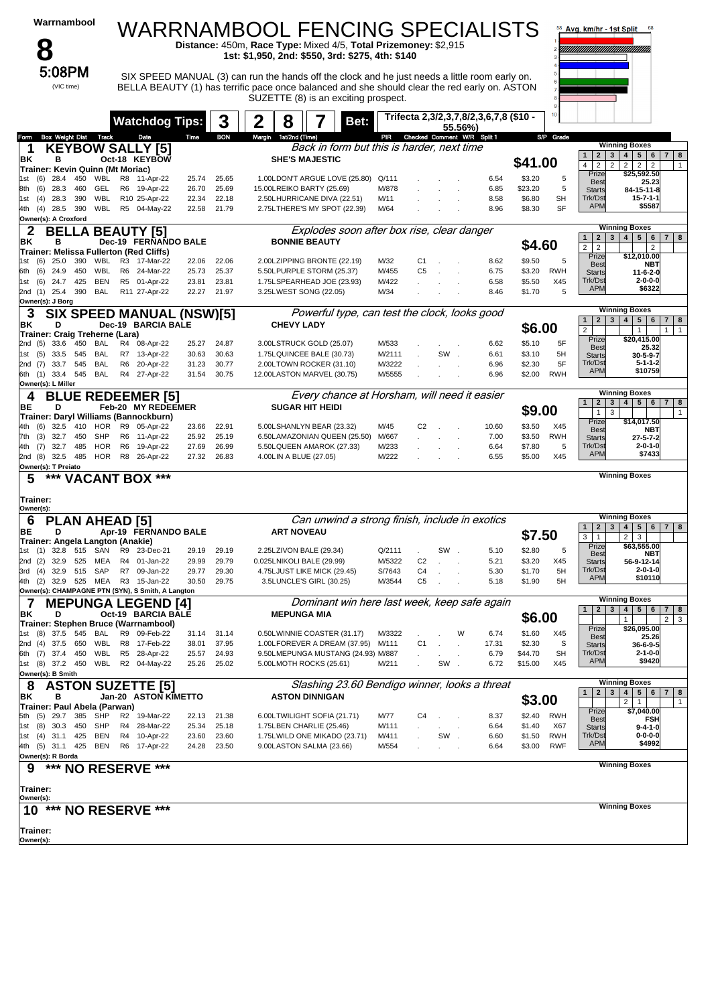| Warrnambool                                                                            |                                                 |                |                | WARRNAMBOOL FENCING SPECIALISTS                                                                                                                                                                                                         |                  |                                        |               |                                            | Avg. km/hr - 1st Split<br>68                                                                                                         |
|----------------------------------------------------------------------------------------|-------------------------------------------------|----------------|----------------|-----------------------------------------------------------------------------------------------------------------------------------------------------------------------------------------------------------------------------------------|------------------|----------------------------------------|---------------|--------------------------------------------|--------------------------------------------------------------------------------------------------------------------------------------|
| $\bullet$                                                                              |                                                 |                |                | Distance: 450m, Race Type: Mixed 4/5, Total Prizemoney: \$2,915<br>1st: \$1,950, 2nd: \$550, 3rd: \$275, 4th: \$140                                                                                                                     |                  |                                        |               |                                            |                                                                                                                                      |
| 5:08PM<br>(VIC time)                                                                   |                                                 |                |                | SIX SPEED MANUAL (3) can run the hands off the clock and he just needs a little room early on.<br>BELLA BEAUTY (1) has terrific pace once balanced and she should clear the red early on. ASTON<br>SUZETTE (8) is an exciting prospect. |                  |                                        |               |                                            |                                                                                                                                      |
|                                                                                        | <b>Watchdog Tips:</b>                           |                | 3              | 2<br>8<br>Bet:                                                                                                                                                                                                                          |                  | Trifecta 2,3/2,3,7,8/2,3,6,7,8 (\$10 - | 55.56%)       |                                            |                                                                                                                                      |
| Box Weight Dist Track<br>Form                                                          | Date                                            | Time           | <b>BON</b>     | Margin 1st/2nd (Time)                                                                                                                                                                                                                   | PIR              | Checked Comment W/R Split 1            |               | S/P Grade                                  | <b>Winning Boxes</b>                                                                                                                 |
| <b>KEYBOW SALLY [5]</b><br>1<br>в<br>ΒK                                                | Oct-18 KEYBOW                                   |                |                | Back in form but this is harder, next time<br><b>SHE'S MAJESTIC</b>                                                                                                                                                                     |                  |                                        |               | \$41.00                                    | 4   5   6   7   8<br>2 <br>3 <br>$\mathbf{1}$<br>$\overline{2}$<br>$2 \mid 2 \mid 2$<br>4<br>$\overline{2}$<br>$\mathbf{1}$          |
| Trainer: Kevin Quinn (Mt Moriac)<br>28.4<br>450<br>WBL<br>(6)<br>1st                   | R8 11-Apr-22                                    | 25.74          | 25.65          | 1.00LDON'T ARGUE LOVE (25.80)                                                                                                                                                                                                           | Q/111            |                                        | 6.54          | \$3.20<br>5                                | \$25,592.50<br>Prize<br>25.23<br><b>Best</b>                                                                                         |
| (6)<br>28.3<br>460<br>GEL<br>8th                                                       | R6<br>19-Apr-22                                 | 26.70          | 25.69          | 15.00LREIKO BARTY (25.69)                                                                                                                                                                                                               | M/878            |                                        | 6.85          | \$23.20<br>5                               | <b>Starts</b><br>84-15-11-8<br>Trk/Dst<br>$15 - 7 - 1 - 1$                                                                           |
| WBL<br>28.3<br>390<br>(4)<br>1st<br>390<br>WBL<br>4th (4) 28.5<br>Owner(s): A Croxford | R10 25-Apr-22<br>R5 04-May-22                   | 22.34<br>22.58 | 22.18<br>21.79 | 2.50LHURRICANE DIVA (22.51)<br>2.75LTHERE'S MY SPOT (22.39)                                                                                                                                                                             | M/11<br>M/64     |                                        | 8.58<br>8.96  | \$6.80<br><b>SH</b><br><b>SF</b><br>\$8.30 | <b>APM</b><br>\$5587                                                                                                                 |
| <b>BELI</b><br>2<br>в<br>ΒK                                                            | A BEAUTY [5].<br>Dec-19 FERNANDO BALE           |                |                | Explodes soon after box rise, clear danger<br><b>BONNIE BEAUTY</b>                                                                                                                                                                      |                  |                                        |               | \$4.60                                     | <b>Winning Boxes</b><br>4   5   6   7   8<br>$2^{\circ}$<br>3 <sup>1</sup><br>$\mathbf{1}$                                           |
| Trainer: Melissa Fullerton (Red Cliffs)<br>25.0<br>390<br>WBL<br>(6)<br>1st            | R3 17-Mar-22                                    | 22.06          | 22.06          | 2.00LZIPPING BRONTE (22.19)                                                                                                                                                                                                             | M/32             | C1                                     | 8.62          | \$9.50<br>5                                | $\overline{2}$<br>$\overline{2}$<br>2<br>Prize<br>\$12,010.00                                                                        |
| 450<br>WBL<br>(6)<br>24.9<br>6th                                                       | R6 24-Mar-22                                    | 25.73          | 25.37          | 5.50LPURPLE STORM (25.37)                                                                                                                                                                                                               | M/455            | C <sub>5</sub><br>$\sim$               | 6.75          | \$3.20<br><b>RWH</b>                       | <b>Best</b><br><b>NBT</b><br><b>Starts</b><br>$11 - 6 - 2 - 0$                                                                       |
| 425<br>BEN<br>(6)<br>24.7<br>1st                                                       | R5 01-Apr-22                                    | 23.81          | 23.81          | 1.75LSPEARHEAD JOE (23.93)                                                                                                                                                                                                              | M/422            |                                        | 6.58          | \$5.50<br>X45                              | Trk/Dst<br>$2 - 0 - 0 - 0$<br><b>APM</b><br>\$6322                                                                                   |
| 2nd (1) 25.4<br>390<br>BAL<br>Owner(s): J Borg                                         | R11 27-Apr-22                                   | 22.27          | 21.97          | 3.25LWEST SONG (22.05)                                                                                                                                                                                                                  | M/34             |                                        | 8.46          | \$1.70<br>5                                |                                                                                                                                      |
| 3<br>ΒK<br>D                                                                           | SIX SPEED MANUAL (NSW)[5]<br>Dec-19 BARCIA BALE |                |                | Powerful type, can test the clock, looks good<br><b>CHEVY LADY</b>                                                                                                                                                                      |                  |                                        |               | \$6.00                                     | <b>Winning Boxes</b><br>2 3 4 5 6 7 8<br>$\mathbf{1}$<br>$\overline{2}$<br>$\mathbf{1}$<br>$\mathbf{1}$<br>$\mathbf{1}$              |
| Trainer: Craig Treherne (Lara)<br>33.6<br>450<br><b>BAL</b><br>2nd (5)                 | R4 08-Apr-22                                    | 25.27          | 24.87          | 3.00LSTRUCK GOLD (25.07)                                                                                                                                                                                                                | M/533            |                                        | 6.62          | \$5.10<br>5F                               | Prize<br>\$20,415.00                                                                                                                 |
| (5)<br>33.5<br>545<br>BAL<br>1st                                                       | R7 13-Apr-22                                    | 30.63          | 30.63          | 1.75LQUINCEE BALE (30.73)                                                                                                                                                                                                               | M/2111           | SW.                                    | 6.61          | \$3.10<br>5H                               | 25.32<br><b>Best</b><br><b>Starts</b><br>$30 - 5 - 9 - 7$                                                                            |
| 33.7 545<br>BAL<br>2nd (7)<br>6th (1) 33.4<br>BAL<br>545                               | R <sub>6</sub><br>20-Apr-22<br>R4 27-Apr-22     | 31.23<br>31.54 | 30.77<br>30.75 | 2.00LTOWN ROCKER (31.10)<br>12.00LASTON MARVEL (30.75)                                                                                                                                                                                  | M/3222<br>M/5555 |                                        | 6.96<br>6.96  | \$2.30<br>5F<br>\$2.00<br>RWH              | Trk/Dst<br>$5 - 1 - 1 - 2$<br><b>APM</b><br>\$10759                                                                                  |
| Owner(s): L Miller                                                                     |                                                 |                |                |                                                                                                                                                                                                                                         |                  |                                        |               |                                            |                                                                                                                                      |
| 4<br>BЕ<br>D                                                                           | <b>BLUE REDEEMER [5]</b><br>Feb-20 MY REDEEMER  |                |                | Every chance at Horsham, will need it easier<br><b>SUGAR HIT HEIDI</b>                                                                                                                                                                  |                  |                                        |               | \$9.00                                     | <b>Winning Boxes</b><br>2 <br>3   4   5   6   7   8<br>1<br>$\mathbf{1}$<br>$\mathbf{1}$<br>3                                        |
| Trainer: Daryl Williams (Bannockburn)<br><b>HOR</b><br>32.5<br>410<br>4th<br>(6)       | R9<br>05-Apr-22                                 | 23.66          | 22.91          | 5.00LSHANLYN BEAR (23.32)                                                                                                                                                                                                               | M/45             | C <sub>2</sub>                         | 10.60         | \$3.50<br>X45                              | Prize<br>\$14,017.50                                                                                                                 |
| SHP<br>(3)<br>32.7 450<br>7th                                                          | R6 11-Apr-22                                    | 25.92          | 25.19          | 6.50LAMAZONIAN QUEEN (25.50)                                                                                                                                                                                                            | M/667            |                                        | 7.00          | \$3.50<br><b>RWH</b>                       | <b>Best</b><br><b>NBT</b><br><b>Starts</b><br>$27 - 5 - 7 - 2$                                                                       |
| <b>HOR</b><br>32.7 485<br>4th<br>(7)<br>HOR<br>2nd (8) 32.5 485<br>Owner(s): T Preiato | R <sub>6</sub><br>19-Apr-22<br>R8 26-Apr-22     | 27.69<br>27.32 | 26.99<br>26.83 | 5.50LQUEEN AMAROK (27.33)<br>4.00LIN A BLUE (27.05)                                                                                                                                                                                     | M/233<br>M/222   |                                        | 6.64<br>6.55  | \$7.80<br>5<br>\$5.00<br>X45               | Trk/Dst<br>$2 - 0 - 1 - 0$<br><b>APM</b><br>\$7433                                                                                   |
| *** VACANT BOX ***<br>5                                                                |                                                 |                |                |                                                                                                                                                                                                                                         |                  |                                        |               |                                            | <b>Winning Boxes</b>                                                                                                                 |
| Trainer:<br>Owner(s):                                                                  |                                                 |                |                |                                                                                                                                                                                                                                         |                  |                                        |               |                                            | <b>Winning Boxes</b>                                                                                                                 |
| <b>PLAN AHEAD [5]</b><br>6<br>ВE<br>D                                                  | Apr-19 FERNANDO BALE                            |                |                | Can unwind a strong finish, include in exotics<br><b>ART NOVEAU</b>                                                                                                                                                                     |                  |                                        |               |                                            | 4   5   6   7   8<br>2 <sup>1</sup><br>3 <sup>1</sup><br>1                                                                           |
| Trainer: Angela Langton (Anakie)                                                       |                                                 |                |                |                                                                                                                                                                                                                                         |                  |                                        |               | \$7.50                                     | 2<br>$\mathbf{3}$<br>3<br>$\mathbf{1}$<br>\$63,555.00<br>Prize                                                                       |
| 1st<br>(1)<br>32.8<br>515<br>SAN<br>(2)<br>32.9<br>525<br>MEA<br>2nd                   | R9<br>23-Dec-21<br>R4 01-Jan-22                 | 29.19<br>29.99 | 29.19<br>29.79 | 2.25LZIVON BALE (29.34)<br>0.025LNIKOLI BALE (29.99)                                                                                                                                                                                    | Q/2111<br>M/5322 | SW<br>C <sub>2</sub>                   | 5.10<br>5.21  | \$2.80<br>5<br>\$3.20<br>X45               | NBT<br><b>Best</b><br>56-9-12-14<br><b>Starts</b>                                                                                    |
| 3rd (4) 32.9 515<br>SAP                                                                | R7 09-Jan-22                                    | 29.77          | 29.30          | 4.75LJUST LIKE MICK (29.45)                                                                                                                                                                                                             | S/7643           | C <sub>4</sub>                         | 5.30          | \$1.70<br>5H                               | Trk/Dst<br>$2 - 0 - 1 - 0$                                                                                                           |
| 4th (2) 32.9 525 MEA<br>Owner(s): CHAMPAGNE PTN (SYN), S Smith, A Langton              | R3 15-Jan-22                                    | 30.50          | 29.75          | 3.5LUNCLE'S GIRL (30.25)                                                                                                                                                                                                                | M/3544           | C <sub>5</sub>                         | 5.18          | \$1.90<br>5H                               | <b>APM</b><br>\$10110                                                                                                                |
| 7                                                                                      | <b>MEPUNGA LEGEND [4]</b>                       |                |                | Dominant win here last week, keep safe again                                                                                                                                                                                            |                  |                                        |               |                                            | <b>Winning Boxes</b>                                                                                                                 |
| ΒK<br>D<br>Trainer: Stephen Bruce (Warrnambool)                                        | Oct-19 BARCIA BALE                              |                |                | <b>MEPUNGA MIA</b>                                                                                                                                                                                                                      |                  |                                        |               | \$6.00                                     | 4   5   6<br>$\mathbf{1}$<br>$\mathbf{2}$<br>3 <sup>1</sup><br>$\overline{7}$<br>8<br>$\overline{2}$<br>$\mathbf{3}$<br>$\mathbf{1}$ |
| $(8)$ 37.5 545<br>BAL<br>1st                                                           | R9 09-Feb-22                                    | 31.14          | 31.14          | 0.50LWINNIE COASTER (31.17)                                                                                                                                                                                                             | M/3322           |                                        | W<br>6.74     | \$1.60<br>X45                              | Prize<br>\$26,095.00<br><b>Best</b><br>25.26                                                                                         |
| 37.5<br>650<br>WBL<br>2nd (4)<br>WBL<br>6th (7) 37.4 450                               | R8<br>17-Feb-22<br>R5 28-Apr-22                 | 38.01<br>25.57 | 37.95<br>24.93 | 1.00LFOREVER A DREAM (37.95)<br>9.50LMEPUNGA MUSTANG (24.93) M/887                                                                                                                                                                      | M/111            | C <sub>1</sub>                         | 17.31<br>6.79 | S<br>\$2.30<br>\$44.70<br><b>SH</b>        | 36-6-9-5<br><b>Starts</b><br>Trk/Dst<br>$2 - 1 - 0 - 0$                                                                              |
| 1st (8) 37.2 450<br>WBL                                                                | R2 04-May-22                                    | 25.26          | 25.02          | 5.00LMOTH ROCKS (25.61)                                                                                                                                                                                                                 | M/211            | SW                                     | 6.72          | \$15.00<br>X45                             | <b>APM</b><br>\$9420                                                                                                                 |
| Owner(s): B Smith                                                                      |                                                 |                |                |                                                                                                                                                                                                                                         |                  |                                        |               |                                            | <b>Winning Boxes</b>                                                                                                                 |
| <b>ASTON SUZETTE [5]</b><br>8<br>в<br>ΒK                                               | Jan-20 ASTON KIMETTO                            |                |                | Slashing 23.60 Bendigo winner, looks a threat<br><b>ASTON DINNIGAN</b>                                                                                                                                                                  |                  |                                        |               |                                            | 4   5   6   7  <br>1<br>$\mathbf{2}$<br>$3^{\circ}$<br>8                                                                             |
| Trainer: Paul Abela (Parwan)                                                           |                                                 |                |                |                                                                                                                                                                                                                                         |                  |                                        |               | \$3.00                                     | $\overline{2}$<br>$\mathbf{1}$<br>$\mathbf{1}$<br>Prize<br>\$7,040.00                                                                |
| 5th (5) 29.7<br>385<br>SHP<br>30.3<br>450<br>SHP<br>(8)<br>1st                         | R2 19-Mar-22<br>28-Mar-22<br>R4                 | 22.13<br>25.34 | 21.38<br>25.18 | 6.00LTWILIGHT SOFIA (21.71)<br>1.75LBEN CHARLIE (25.46)                                                                                                                                                                                 | M/77<br>M/111    | C4                                     | 8.37<br>6.64  | \$2.40<br>RWH<br>\$1.40<br>X67             | <b>Best</b><br>FSH<br><b>Starts</b><br>$9 - 4 - 1 - 0$                                                                               |
| 1st (4) 31.1 425<br>BEN                                                                | R4 10-Apr-22                                    | 23.60          | 23.60          | 1.75LWILD ONE MIKADO (23.71)                                                                                                                                                                                                            | M/411            | SW.                                    | 6.60          | <b>RWH</b><br>\$1.50                       | Trk/Dst<br>$0 - 0 - 0 - 0$                                                                                                           |
| 4th (5) 31.1 425<br>BEN<br>Owner(s): R Borda                                           | R6 17-Apr-22                                    | 24.28          | 23.50          | 9.00LASTON SALMA (23.66)                                                                                                                                                                                                                | M/554            |                                        | 6.64          | <b>RWF</b><br>\$3.00                       | <b>APM</b><br>\$4992                                                                                                                 |
| ***<br>9<br><b>NO RESERVE</b>                                                          | ***                                             |                |                |                                                                                                                                                                                                                                         |                  |                                        |               |                                            | <b>Winning Boxes</b>                                                                                                                 |
| Trainer:                                                                               |                                                 |                |                |                                                                                                                                                                                                                                         |                  |                                        |               |                                            |                                                                                                                                      |
| Owner(s):<br>***<br>10                                                                 | <b>NO RESERVE ***</b>                           |                |                |                                                                                                                                                                                                                                         |                  |                                        |               |                                            | <b>Winning Boxes</b>                                                                                                                 |
| Trainer:<br>Owner(s):                                                                  |                                                 |                |                |                                                                                                                                                                                                                                         |                  |                                        |               |                                            |                                                                                                                                      |
|                                                                                        |                                                 |                |                |                                                                                                                                                                                                                                         |                  |                                        |               |                                            |                                                                                                                                      |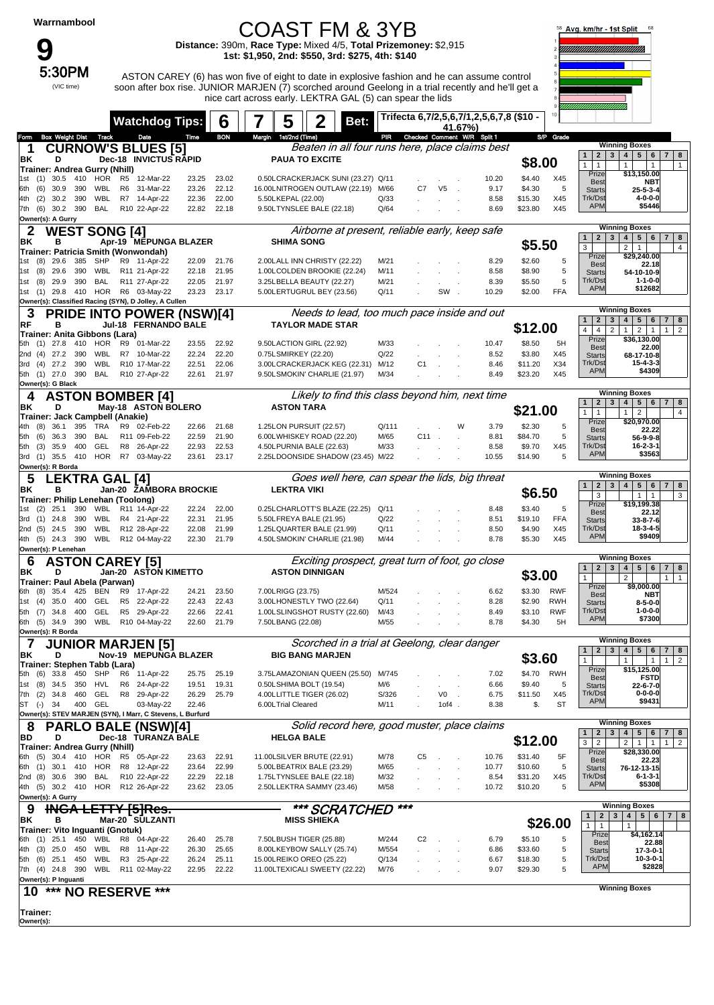**9**<br>5:30PM

(VIC time)

### COAST FM & 3YB **Distance:** 390m, **Race Type:** Mixed 4/5, **Total Prizemoney:** \$2,915

**1st: \$1,950, 2nd: \$550, 3rd: \$275, 4th: \$140**

ASTON CAREY (6) has won five of eight to date in explosive fashion and he can assume control soon after box rise. JUNIOR MARJEN (7) scorched around Geelong in a trial recently and he'll get a nice cart across early. LEKTRA GAL (5) can spear the lids



|                                                                      | <b>Watchdog Tips:</b>                        | 6                                |        | 5                                                       | Bet:                                            |              |                                 |                | Trifecta 6,7/2,5,6,7/1,2,5,6,7,8 (\$10 - |                    | $10 -$           |                                                                                           |                                                                                                    |
|----------------------------------------------------------------------|----------------------------------------------|----------------------------------|--------|---------------------------------------------------------|-------------------------------------------------|--------------|---------------------------------|----------------|------------------------------------------|--------------------|------------------|-------------------------------------------------------------------------------------------|----------------------------------------------------------------------------------------------------|
| <b>Box Weight Dist Track</b><br>Form                                 | Date                                         | Time<br><b>BON</b>               | Margin | 1st/2nd (Time)                                          |                                                 |              | PIR Checked Comment W/R Split 1 | 41.67%)        |                                          |                    | S/P Grade        |                                                                                           |                                                                                                    |
| 1                                                                    | <b>CURNOW'S BLUES [5]</b>                    |                                  |        |                                                         | Beaten in all four runs here, place claims best |              |                                 |                |                                          |                    |                  |                                                                                           | <b>Winning Boxes</b>                                                                               |
| BK<br>D                                                              | <b>Dec-18 INVICTUS RAPID</b>                 |                                  |        | <b>PAUA TO EXCITE</b>                                   |                                                 |              |                                 |                |                                          |                    |                  | $\mathbf{3}$<br>$\overline{2}$<br>1                                                       | 5 <sub>5</sub><br>8<br>$\overline{4}$<br>6<br>7 <sup>1</sup>                                       |
| Trainer: Andrea Gurry (Nhill)                                        |                                              |                                  |        |                                                         |                                                 |              |                                 |                |                                          | \$8.00             |                  | 1<br>$\mathbf{1}$<br>Prize                                                                | $\mathbf{1}$<br>$\mathbf{1}$<br>$\mathbf{1}$<br>\$13,150.00                                        |
| $(1)$ 30.5<br>410<br>1st                                             | HOR R5 12-Mar-22                             | 23.25<br>23.02                   |        |                                                         | 0.50LCRACKERJACK SUNI (23.27) Q/11              |              |                                 |                | 10.20                                    | \$4.40             | X45              | <b>Best</b>                                                                               | <b>NBT</b>                                                                                         |
| (6)<br>30.9<br>390<br>WBL<br>6th                                     | R6<br>31-Mar-22                              | 22.12<br>23.26                   |        |                                                         | 16.00LNITROGEN OUTLAW (22.19)                   | M/66         | C7                              | V <sub>5</sub> | 9.17                                     | \$4.30             | 5                | <b>Starts</b>                                                                             | $25 - 5 - 3 - 4$                                                                                   |
| WBL<br>(2)<br>30.2<br>390<br>4th<br>30.2 390<br>BAL<br>(6)<br>7th    | R7 14-Apr-22<br>R10 22-Apr-22                | 22.00<br>22.36<br>22.18<br>22.82 |        | 5.50LKEPAL (22.00)<br>9.50LTYNSLEE BALE (22.18)         |                                                 | Q/33<br>Q/64 |                                 |                | 8.58<br>8.69                             | \$15.30<br>\$23.80 | X45<br>X45       | Trk/Dst<br><b>APM</b>                                                                     | $4 - 0 - 0 - 0$<br>\$5446                                                                          |
| Owner(s): A Gurry                                                    |                                              |                                  |        |                                                         |                                                 |              |                                 |                |                                          |                    |                  |                                                                                           |                                                                                                    |
| 2<br><b>WEST SONG [4]</b>                                            |                                              |                                  |        |                                                         | Airborne at present, reliable early, keep safe  |              |                                 |                |                                          |                    |                  |                                                                                           | <b>Winning Boxes</b>                                                                               |
| ΒK<br>в                                                              | Apr-19 MEPUNGA BLAZER                        |                                  |        | <b>SHIMA SONG</b>                                       |                                                 |              |                                 |                |                                          | \$5.50             |                  | $\mathbf{1}$<br>$\overline{2}$<br>3                                                       | 5 <sup>5</sup><br>4<br>6<br>7 <br>8                                                                |
| Trainer: Patricia Smith (Wonwondah)                                  |                                              |                                  |        |                                                         |                                                 |              |                                 |                |                                          |                    |                  | 3<br>Prize                                                                                | $\overline{4}$<br>$\overline{2}$<br>$\mathbf{1}$<br>\$29,240.00                                    |
| 385<br>$(8)$ 29.6<br>SHP<br>1st                                      | R9 11-Apr-22                                 | 22.09<br>21.76                   |        |                                                         | 2.00LALL INN CHRISTY (22.22)                    | M/21         |                                 |                | 8.29                                     | \$2.60             | 5                | <b>Best</b>                                                                               | 22.18                                                                                              |
| (8)<br>29.6<br>390<br>WBL<br>1st<br>390<br>BAL<br>(8)<br>29.9<br>1st | R11 21-Apr-22<br>R11 27-Apr-22               | 22.18<br>21.95<br>22.05<br>21.97 |        | 3.25LBELLA BEAUTY (22.27)                               | 1.00LCOLDEN BROOKIE (22.24)                     | M/11<br>M/21 |                                 |                | 8.58<br>8.39                             | \$8.90<br>\$5.50   | 5<br>5           | <b>Starts</b><br>Trk/Dst                                                                  | 54-10-10-9<br>$1 - 1 - 0 - 0$                                                                      |
| 1st (1) 29.8 410 HOR R6 03-May-22                                    |                                              | 23.23<br>23.17                   |        |                                                         | 5.00LERTUGRUL BEY (23.56)                       | Q/11         |                                 | SW.            | 10.29                                    | \$2.00             | <b>FFA</b>       | <b>APM</b>                                                                                | \$12682                                                                                            |
| Owner(s): Classified Racing (SYN), D Jolley, A Cullen                |                                              |                                  |        |                                                         |                                                 |              |                                 |                |                                          |                    |                  |                                                                                           |                                                                                                    |
|                                                                      | <b>PRIDE INTO POWER (NSW)[4]</b>             |                                  |        |                                                         | Needs to lead, too much pace inside and out     |              |                                 |                |                                          |                    |                  |                                                                                           | <b>Winning Boxes</b>                                                                               |
| RF<br>в                                                              | Jul-18 FERNANDO BALE                         |                                  |        |                                                         | <b>TAYLOR MADE STAR</b>                         |              |                                 |                |                                          | \$12.00            |                  | $\overline{2}$<br>3<br>$\mathbf{1}$<br>$\overline{4}$<br>$\overline{4}$<br>$\overline{2}$ | 5 <sub>5</sub><br>4<br>6<br>8<br>7 I<br>$\overline{2}$<br>$\overline{2}$<br>1<br>$\mathbf{1}$<br>1 |
| Trainer: Anita Gibbons (Lara)<br>$(1)$ 27.8<br>410                   | HOR R9 01-Mar-22                             | 23.55<br>22.92                   |        | 9.50LACTION GIRL (22.92)                                |                                                 | M/33         |                                 |                | 10.47                                    | \$8.50             | 5H               | Prize                                                                                     | \$36,130.00                                                                                        |
| 2nd (4) 27.2<br>390<br>WBL                                           | R7 10-Mar-22                                 | 22.20<br>22.24                   |        | 0.75LSMIRKEY (22.20)                                    |                                                 | Q/22         |                                 |                | 8.52                                     | \$3.80             | X45              | <b>Best</b><br><b>Starts</b>                                                              | 22.00<br>68-17-10-8                                                                                |
| 27.2<br>390<br>WBL<br>(4)<br>3rd                                     | R10 17-Mar-22                                | 22.06<br>22.51                   |        |                                                         | 3.00LCRACKERJACK KEG (22.31)                    | M/12         | C <sub>1</sub>                  |                | 8.46                                     | \$11.20            | X34              | Trk/Dst                                                                                   | $15 - 4 - 3 - 3$                                                                                   |
| 5th (1) 27.0 390<br>BAL                                              | R10 27-Apr-22                                | 22.61<br>21.97                   |        |                                                         | 9.50LSMOKIN' CHARLIE (21.97)                    | M/34         |                                 |                | 8.49                                     | \$23.20            | X45              | <b>APM</b>                                                                                | \$4309                                                                                             |
| Owner(s): G Black                                                    |                                              |                                  |        |                                                         |                                                 |              |                                 |                |                                          |                    |                  |                                                                                           |                                                                                                    |
| 4                                                                    | <b>ASTON BOMBER [4]</b>                      |                                  |        |                                                         | Likely to find this class beyond him, next time |              |                                 |                |                                          |                    |                  | 1 <sup>1</sup><br>$\overline{2}$<br>$\mathbf{3}$                                          | <b>Winning Boxes</b><br>4<br>5 <sup>1</sup><br>6 <sup>1</sup><br>$7 \mid 8$                        |
| ΒK<br>D                                                              | May-18 ASTON BOLERO                          |                                  |        | <b>ASTON TARA</b>                                       |                                                 |              |                                 |                |                                          | \$21.00            |                  | $\mathbf{1}$<br>1                                                                         | $\overline{2}$<br>4<br>1                                                                           |
| Trainer: Jack Campbell (Anakie)<br>36.1<br>395<br>TRA<br>(8)<br>4th  | R9 02-Feb-22                                 | 22.66<br>21.68                   |        | 1.25LON PURSUIT (22.57)                                 |                                                 | Q/111        |                                 | W              | 3.79                                     | \$2.30             | 5                | Prize                                                                                     | \$20,970.00                                                                                        |
| (6)<br>36.3<br>390<br>BAL<br>5th                                     | R11 09-Feb-22                                | 22.59<br>21.90                   |        |                                                         | 6.00LWHISKEY ROAD (22.20)                       | M/65         | $C11$ .                         |                | 8.81                                     | \$84.70            | 5                | <b>Best</b><br><b>Starts</b>                                                              | 22.22<br>56-9-9-8                                                                                  |
| GEL<br>(3)<br>35.9<br>400<br>5th                                     | R8 26-Apr-22                                 | 22.53<br>22.93                   |        | 4.50LPURNIA BALE (22.63)                                |                                                 | M/33         |                                 |                | 8.58                                     | \$9.70             | X45              | Trk/Dst                                                                                   | $16 - 2 - 3 - 1$                                                                                   |
| 3rd (1) 35.5 410 HOR R7 03-May-22                                    |                                              | 23.61<br>23.17                   |        |                                                         | 2.25LDOONSIDE SHADOW (23.45) M/22               |              |                                 |                | 10.55                                    | \$14.90            | 5                | <b>APM</b>                                                                                | \$3563                                                                                             |
| Owner(s): R Borda                                                    |                                              |                                  |        |                                                         |                                                 |              |                                 |                |                                          |                    |                  |                                                                                           | <b>Winning Boxes</b>                                                                               |
| 5<br><b>LEKTRA GAL [4]</b>                                           |                                              |                                  |        |                                                         | Goes well here, can spear the lids, big threat  |              |                                 |                |                                          |                    |                  | 2 <br>1 <sup>1</sup><br>$\mathbf{3}$                                                      | 5 <sup>1</sup><br>6<br>4<br>$7 \mid 8$                                                             |
| ΒK<br>в<br>Trainer: Philip Lenehan (Toolong)                         | Jan-20 ZAMBORA BROCKIE                       |                                  |        | <b>LEKTRA VIKI</b>                                      |                                                 |              |                                 |                |                                          | \$6.50             |                  | 3                                                                                         | 1<br>3<br>$\mathbf{1}$                                                                             |
| 25.1<br>390<br>(2)<br>1st                                            | WBL R11 14-Apr-22                            | 22.24<br>22.00                   |        |                                                         | 0.25LCHARLOTT'S BLAZE (22.25)                   | Q/11         |                                 |                | 8.48                                     | \$3.40             | 5                | Prize<br><b>Best</b>                                                                      | \$19,199.38<br>22.12                                                                               |
| $(1)$ 24.8<br>390<br>WBL<br>3rd                                      | R4 21-Apr-22                                 | 22.31<br>21.95                   |        | 5.50LFREYA BALE (21.95)                                 |                                                 | Q/22         |                                 |                | 8.51                                     | \$19.10            | <b>FFA</b>       | <b>Starts</b>                                                                             | 33-8-7-6                                                                                           |
| 390<br>WBL<br>2nd (5) 24.5                                           | R12 28-Apr-22                                | 22.08<br>21.99                   |        |                                                         | 1.25LQUARTER BALE (21.99)                       | Q/11         |                                 |                | 8.50                                     | \$4.90             | X45              | Trk/Dst<br><b>APM</b>                                                                     | 18-3-4-5<br>\$9409                                                                                 |
| 390<br>4th (5) 24.3                                                  | WBL R12 04-May-22                            | 21.79<br>22.30                   |        |                                                         | 4.50LSMOKIN' CHARLIE (21.98)                    | M/44         |                                 |                | 8.78                                     | \$5.30             | X45              |                                                                                           |                                                                                                    |
| Owner(s): P Lenehan<br><b>ASTON CAREY [5]</b><br>6                   |                                              |                                  |        |                                                         | Exciting prospect, great turn of foot, go close |              |                                 |                |                                          |                    |                  |                                                                                           | <b>Winning Boxes</b>                                                                               |
| ΒK<br>D                                                              | Jan-20 ASTON KIMETTO                         |                                  |        | <b>ASTON DINNIGAN</b>                                   |                                                 |              |                                 |                |                                          |                    |                  | 1<br>$\overline{2}$<br>$\mathbf{3}$                                                       | 5 <sup>1</sup><br>4 <br>6<br>$7 \mid 8$                                                            |
| Trainer: Paul Abela (Parwan)                                         |                                              |                                  |        |                                                         |                                                 |              |                                 |                |                                          | \$3.00             |                  | $\mathbf{1}$                                                                              | $\overline{2}$<br>$\mathbf{1}$<br>1                                                                |
| 35.4<br>425<br>BEN<br>(8)<br>6th                                     | R9<br>17-Apr-22                              | 24.21<br>23.50                   |        | 7.00LRIGG (23.75)                                       |                                                 | M/524        |                                 |                | 6.62                                     | \$3.30             | <b>RWF</b>       | Prize<br><b>Best</b>                                                                      | \$9,000.00<br>NBT                                                                                  |
| (4)<br>35.0<br>400<br>GEL<br>1st                                     | R5 22-Apr-22                                 | 22.43<br>22.43                   |        |                                                         | 3.00LHONESTLY TWO (22.64)                       | Q/11         |                                 |                | 8.28                                     | \$2.90             | <b>RWH</b>       | <b>Starts</b><br>Trk/Dst                                                                  | $8 - 5 - 0 - 0$<br>$1 - 0 - 0 - 0$                                                                 |
| GEL<br>400<br>(7)<br>34.8<br>5th<br>WBL<br>6th (5) 34.9 390          | R <sub>5</sub><br>29-Apr-22<br>R10 04-May-22 | 22.41<br>22.66<br>22.60<br>21.79 |        | 7.50LBANG (22.08)                                       | 1.00LSLINGSHOT RUSTY (22.60)                    | M/43<br>M/55 |                                 |                | 8.49<br>8.78                             | \$3.10<br>\$4.30   | <b>RWF</b><br>5H | <b>APM</b>                                                                                | \$7300                                                                                             |
| Owner(s): R Borda                                                    |                                              |                                  |        |                                                         |                                                 |              |                                 |                |                                          |                    |                  |                                                                                           |                                                                                                    |
| 7                                                                    | JUNIOR MARJEN [5]                            |                                  |        |                                                         | Scorched in a trial at Geelong, clear danger    |              |                                 |                |                                          |                    |                  |                                                                                           | <b>Winning Boxes</b>                                                                               |
| ΒK<br>D                                                              | Nov-19 MEPUNGA BLAZER                        |                                  |        | <b>BIG BANG MARJEN</b>                                  |                                                 |              |                                 |                |                                          | \$3.60             |                  | 1 <sup>1</sup><br>2 <sub>1</sub><br>3<br>$\mathbf{1}$                                     | 4 <br>$5 \mid 6$<br>$7 \mid 8$<br>$\mathbf{1}$<br>$\overline{2}$<br>$\mathbf{1}$<br>$1 \vert$      |
| Trainer: Stephen Tabb (Lara)                                         |                                              |                                  |        |                                                         |                                                 |              |                                 |                |                                          |                    |                  | Prize                                                                                     | \$15,125.00                                                                                        |
| $(6)$ 33.8 450<br>SHP<br>5th<br>$(8)$ 34.5<br>HVL<br>350<br>1st      | R6 11-Apr-22<br>R6<br>24-Apr-22              | 25.19<br>25.75<br>19.31<br>19.51 |        | 0.50LSHIMA BOLT (19.54)                                 | 3.75LAMAZONIAN QUEEN (25.50)                    | M/745<br>M/6 |                                 |                | 7.02<br>6.66                             | \$4.70<br>\$9.40   | <b>RWH</b><br>5  | <b>Best</b>                                                                               | <b>FSTD</b>                                                                                        |
| 7th (2) 34.8<br>460<br>GEL                                           | R8 29-Apr-22                                 | 26.29<br>25.79                   |        | 4.00LLITTLE TIGER (26.02)                               |                                                 | S/326        |                                 | V0             | 6.75                                     | \$11.50            | X45              | <b>Starts</b><br>Trk/Dst                                                                  | 22-6-7-0<br>$0 - 0 - 0 - 0$                                                                        |
| 400 GEL<br>ST (-) 34                                                 | 03-May-22                                    | 22.46                            |        | 6.00LTrial Cleared                                      |                                                 | M/11         |                                 | $10f4$ .       | 8.38                                     | \$.                | ST               | <b>APM</b>                                                                                | \$9431                                                                                             |
| Owner(s): STEV MARJEN (SYN), I Marr, C Stevens, L Burfurd            |                                              |                                  |        |                                                         |                                                 |              |                                 |                |                                          |                    |                  |                                                                                           |                                                                                                    |
| 8                                                                    | <b>PARLO BALE (NSW)[4]</b>                   |                                  |        |                                                         | Solid record here, good muster, place claims    |              |                                 |                |                                          |                    |                  | $\overline{2}$<br>$\mathbf{3}$<br>$\mathbf{1}$                                            | <b>Winning Boxes</b><br>$5 \mid 6$                                                                 |
| D<br>BD                                                              | Dec-18 TURANZA BALE                          |                                  |        | <b>HELGA BALE</b>                                       |                                                 |              |                                 |                |                                          | \$12.00            |                  | 3 <sup>1</sup><br>$\overline{2}$                                                          | 4 <br>$7 \mid 8$<br>$\overline{2}$<br>$1 \vert$<br>$1 \mid 2$<br>$\mathbf{1}$                      |
| Trainer: Andrea Gurry (Nhill)<br>6th (5) 30.4 410 HOR R5 05-Apr-22   |                                              |                                  |        |                                                         |                                                 |              |                                 |                |                                          |                    |                  | Prize                                                                                     | \$28,330.00                                                                                        |
| 6th (1) 30.1 410                                                     | HOR R8 12-Apr-22                             | 22.91<br>23.63<br>22.99<br>23.64 |        | 11.00LSILVER BRUTE (22.91)<br>5.00LBEATRIX BALE (23.29) |                                                 | M/78<br>M/65 | C5                              |                | 10.76<br>10.77                           | \$31.40<br>\$10.60 | 5F<br>5          | <b>Best</b><br><b>Starts</b>                                                              | 22.23<br>76-12-13-15                                                                               |
| 2nd (8) 30.6 390<br>BAL                                              | R10 22-Apr-22                                | 22.29<br>22.18                   |        | 1.75LTYNSLEE BALE (22.18)                               |                                                 | M/32         |                                 |                | 8.54                                     | \$31.20            | X45              | Trk/Dst                                                                                   | $6 - 1 - 3 - 1$                                                                                    |
| 4th (5) 30.2 410 HOR R12 26-Apr-22                                   |                                              | 23.62<br>23.05                   |        |                                                         | 2.50LLEKTRA SAMMY (23.46)                       | M/58         |                                 |                | 10.72                                    | \$10.20            | 5                | <b>APM</b>                                                                                | \$5308                                                                                             |
| Owner(s): A Gurry                                                    |                                              |                                  |        |                                                         |                                                 |              |                                 |                |                                          |                    |                  |                                                                                           | <b>Winning Boxes</b>                                                                               |
| <del>INGA LETTY [5]Res.</del>                                        |                                              |                                  |        |                                                         | *** SCRATCHED                                   |              | ***                             |                |                                          |                    |                  | $\mathbf{2}$<br>$\mathbf{1}$                                                              | 3   4   5   6   7   8                                                                              |
| BK<br>в                                                              | Mar-20 SULZANTI                              |                                  |        | <b>MISS SHIEKA</b>                                      |                                                 |              |                                 |                |                                          |                    | \$26.00          | 1<br>$\mathbf{1}$                                                                         | $\mathbf{1}$                                                                                       |
| Trainer: Vito Inguanti (Gnotuk)<br>6th (1) 25.1<br>450               | WBL R8 04-Apr-22                             | 26.40<br>25.78                   |        | 7.50LBUSH TIGER (25.88)                                 |                                                 | M/244        | C <sub>2</sub>                  |                | 6.79                                     | \$5.10             | 5                | Prize                                                                                     | \$4,162.14                                                                                         |
| 4th (3) 25.0<br>WBL<br>450                                           | R8 11-Apr-22                                 | 25.65<br>26.30                   |        |                                                         | 8.00LKEYBOW SALLY (25.74)                       | M/554        |                                 |                | 6.86                                     | \$33.60            | 5                | <b>Best</b><br><b>Starts</b>                                                              | 22.88<br>$17 - 3 - 0 - 1$                                                                          |
| 5th (6) 25.1<br>450<br>WBL                                           | R3 25-Apr-22                                 | 26.24<br>25.11                   |        | 15.00LREIKO OREO (25.22)                                |                                                 | Q/134        |                                 |                | 6.67                                     | \$18.30            | 5                | Trk/Dst                                                                                   | $10 - 3 - 0 - 1$                                                                                   |
| 7th (4) 24.8 390                                                     | WBL R11 02-May-22                            | 22.95<br>22.22                   |        |                                                         | 11.00LTEXICALI SWEETY (22.22)                   | M/76         |                                 |                | 9.07                                     | \$29.30            | 5                | <b>APM</b>                                                                                | \$2828                                                                                             |
| Owner(s): P Inguanti                                                 |                                              |                                  |        |                                                         |                                                 |              |                                 |                |                                          |                    |                  |                                                                                           | <b>Winning Boxes</b>                                                                               |
| *** NO RESERVE ***<br>10                                             |                                              |                                  |        |                                                         |                                                 |              |                                 |                |                                          |                    |                  |                                                                                           |                                                                                                    |
|                                                                      |                                              |                                  |        |                                                         |                                                 |              |                                 |                |                                          |                    |                  |                                                                                           |                                                                                                    |

**Owner(s): Trainer:**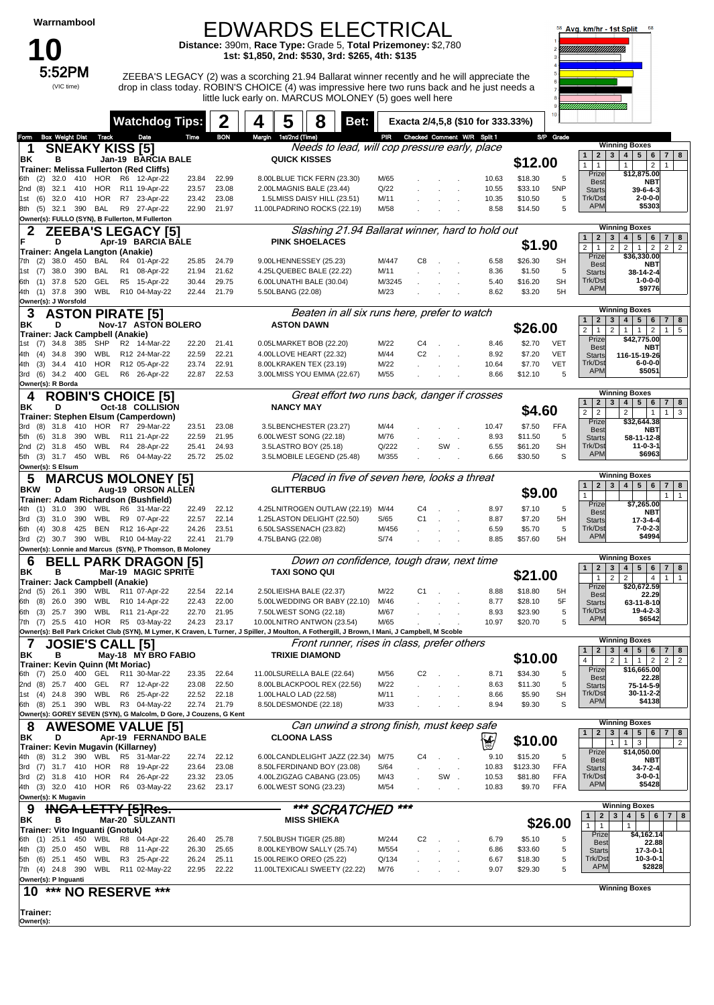**10**<br>5:52PM

(VIC time)

#### EDWARDS ELECTRICAL

little luck early on. MARCUS MOLONEY (5) goes well here

**Distance:** 390m, **Race Type:** Grade 5, **Total Prizemoney:** \$2,780 **1st: \$1,850, 2nd: \$530, 3rd: \$265, 4th: \$135**

ZEEBA'S LEGACY (2) was a scorching 21.94 Ballarat winner recently and he will appreciate the drop in class today. ROBIN'S CHOICE (4) was impressive here two runs back and he just needs a



| <b>Watchdog Tips:</b>                                                                                                                                                                     | 2                                | 5<br>8<br>4<br>Bet:                                      | Exacta 2/4,5,8 (\$10 for 333.33%)                                                                                                                                                                 | ,,,,,,,,,,,,,,,,,,,,,,,,,,,,<br>10                                                                                                                                    |  |  |  |  |  |  |  |
|-------------------------------------------------------------------------------------------------------------------------------------------------------------------------------------------|----------------------------------|----------------------------------------------------------|---------------------------------------------------------------------------------------------------------------------------------------------------------------------------------------------------|-----------------------------------------------------------------------------------------------------------------------------------------------------------------------|--|--|--|--|--|--|--|
| <b>Box Weight Dist Track</b><br>Date<br>Form                                                                                                                                              | <b>BON</b><br>Time               | Margin 1st/2nd (Time)                                    | PIR Checked Comment W/R Split 1                                                                                                                                                                   | S/P Grade                                                                                                                                                             |  |  |  |  |  |  |  |
| <b>SNEAKY KISS [5]</b><br>1                                                                                                                                                               |                                  |                                                          | Needs to lead, will cop pressure early, place                                                                                                                                                     | <b>Winning Boxes</b>                                                                                                                                                  |  |  |  |  |  |  |  |
| в<br>ΒK<br>Jan-19 BARCIA BALE                                                                                                                                                             |                                  | <b>QUICK KISSES</b>                                      |                                                                                                                                                                                                   | 4   5   6<br>$2 \mid 3$<br>7 8<br>$\mathbf{1}$<br>\$12.00<br>$\mathbf{1}$<br>$\overline{2}$<br>$\mathbf{1}$<br>$\mathbf{1}$<br>$\mathbf{1}$                           |  |  |  |  |  |  |  |
| <b>Trainer: Melissa Fullerton (Red Cliffs)</b>                                                                                                                                            |                                  |                                                          |                                                                                                                                                                                                   | Prize<br>\$12,875.00                                                                                                                                                  |  |  |  |  |  |  |  |
| 32.0 410 HOR R6 12-Apr-22<br>6th (2)<br>32.1 410 HOR R11 19-Apr-22                                                                                                                        | 22.99<br>23.84<br>23.08          | 8.00LBLUE TICK FERN (23.30)                              | M/65<br>10.63<br>Q/22                                                                                                                                                                             | \$18.30<br>5<br><b>Best</b><br>NBT<br>\$33.10                                                                                                                         |  |  |  |  |  |  |  |
| 2nd (8)<br>HOR<br>R7 23-Apr-22<br>(6)<br>32.0 410<br>1st                                                                                                                                  | 23.57<br>23.42<br>23.08          | 2.00LMAGNIS BALE (23.44)<br>1.5LMISS DAISY HILL (23.51)  | 10.55<br>M/11<br>10.35                                                                                                                                                                            | 5NP<br><b>Starts</b><br>$39 - 6 - 4 - 3$<br>Trk/Dst<br>$2 - 0 - 0 - 0$<br>\$10.50<br>5                                                                                |  |  |  |  |  |  |  |
| 32.1 390 BAL<br>R9 27-Apr-22<br>8th (5)                                                                                                                                                   | 22.90<br>21.97                   | 11.00LPADRINO ROCKS (22.19)                              | M/58<br>8.58                                                                                                                                                                                      | <b>APM</b><br>\$5303<br>\$14.50<br>5                                                                                                                                  |  |  |  |  |  |  |  |
| Owner(s): FULLO (SYN), B Fullerton, M Fullerton                                                                                                                                           |                                  |                                                          |                                                                                                                                                                                                   |                                                                                                                                                                       |  |  |  |  |  |  |  |
| <b>ZEEBA'S LEGACY [5]</b>                                                                                                                                                                 |                                  |                                                          | Slashing 21.94 Ballarat winner, hard to hold out                                                                                                                                                  | <b>Winning Boxes</b>                                                                                                                                                  |  |  |  |  |  |  |  |
| Apr-19 BARCIA BALE<br>D                                                                                                                                                                   |                                  | <b>PINK SHOELACES</b>                                    | $\overline{2}$<br>$\mathbf{3}$<br>4 <br>$5 \mid 6$<br>$7 \mid 8$<br>$\mathbf{1}$<br>\$1.90<br>$\overline{2}$<br>$2 \mid 1 \mid$<br>$\overline{2}$<br>$\overline{2}$<br>$2 \mid 2$<br>$\mathbf{1}$ |                                                                                                                                                                       |  |  |  |  |  |  |  |
| Trainer: Angela Langton (Anakie)                                                                                                                                                          |                                  |                                                          |                                                                                                                                                                                                   | Prize<br>\$36,330.00                                                                                                                                                  |  |  |  |  |  |  |  |
| R4 01-Apr-22<br>(2)<br>38.0 450<br>BAL<br>7th<br>390<br>1st (7) 38.0<br>BAL<br>R1 08-Apr-22                                                                                               | 25.85<br>24.79<br>21.62<br>21.94 | 9.00LHENNESSEY (25.23)<br>4.25LQUEBEC BALE (22.22)       | M/447<br>C8<br>6.58<br>M/11<br>8.36                                                                                                                                                               | \$26.30<br><b>SH</b><br><b>Best</b><br>NBT<br>\$1.50<br>5                                                                                                             |  |  |  |  |  |  |  |
| 520<br>GEL<br>R5 15-Apr-22<br>6th (1) 37.8                                                                                                                                                | 30.44<br>29.75                   | 6.00LUNATHI BALE (30.04)                                 | M/3245<br>5.40<br>÷.                                                                                                                                                                              | <b>Starts</b><br>38-14-2-4<br>Trk/Dst<br>1-0-0-0<br><b>SH</b><br>\$16.20                                                                                              |  |  |  |  |  |  |  |
| 4th (1) 37.8<br>390<br>WBL R10 04-May-22                                                                                                                                                  | 22.44<br>21.79                   | 5.50LBANG (22.08)                                        | M/23<br>8.62                                                                                                                                                                                      | <b>APM</b><br>\$9776<br>\$3.20<br>5H                                                                                                                                  |  |  |  |  |  |  |  |
| Owner(s): J Worsfold                                                                                                                                                                      |                                  |                                                          |                                                                                                                                                                                                   |                                                                                                                                                                       |  |  |  |  |  |  |  |
| <b>Winning Boxes</b><br>Beaten in all six runs here, prefer to watch<br>3<br><b>ASTON PIRATE [5]</b>                                                                                      |                                  |                                                          |                                                                                                                                                                                                   |                                                                                                                                                                       |  |  |  |  |  |  |  |
| Nov-17 ASTON BOLERO<br>D<br>ΒK                                                                                                                                                            |                                  | <b>ASTON DAWN</b>                                        |                                                                                                                                                                                                   | $\overline{2}$<br>4   5   6<br>$7 \mid 8$<br>$\mathbf{1}$<br>3<br>\$26.00<br>$\overline{2}$<br>$\overline{2}$<br>1<br>$\overline{2}$<br>1<br>5<br>$\overline{1}$<br>1 |  |  |  |  |  |  |  |
| Trainer: Jack Campbell (Anakie)<br>385<br>$(7)$ 34.8<br>SHP<br>R2 14-Mar-22<br>1st                                                                                                        | 22.20<br>21.41                   | 0.05LMARKET BOB (22.20)                                  | M/22<br>C4<br>8.46                                                                                                                                                                                | Prize<br>\$42,775.00<br>\$2.70<br><b>VET</b>                                                                                                                          |  |  |  |  |  |  |  |
| R12 24-Mar-22<br>4th (4)<br>34.8<br>390<br>WBL                                                                                                                                            | 22.21<br>22.59                   | 4.00LLOVE HEART (22.32)                                  | M/44<br>C <sub>2</sub><br>8.92                                                                                                                                                                    | <b>Best</b><br>NBT<br>\$7.20<br><b>VET</b><br><b>Starts</b><br>116-15-19-26                                                                                           |  |  |  |  |  |  |  |
| 34.4 410<br>HOR<br>4th (3)<br>R12 05-Apr-22                                                                                                                                               | 22.91<br>23.74                   | 8.00LKRAKEN TEX (23.19)                                  | M/22<br>10.64                                                                                                                                                                                     | Trk/Dst<br>$6 - 0 - 0 - 0$<br><b>VET</b><br>\$7.70                                                                                                                    |  |  |  |  |  |  |  |
| 3rd (6) 34.2 400<br>GEL<br>R6 26-Apr-22                                                                                                                                                   | 22.87<br>22.53                   | 3.00LMISS YOU EMMA (22.67)                               | M/55<br>8.66                                                                                                                                                                                      | <b>APM</b><br>\$5051<br>\$12.10<br>5                                                                                                                                  |  |  |  |  |  |  |  |
| Owner(s): R Borda                                                                                                                                                                         |                                  |                                                          |                                                                                                                                                                                                   |                                                                                                                                                                       |  |  |  |  |  |  |  |
| <b>ROBIN'S CHOICE [5]</b><br>4                                                                                                                                                            |                                  |                                                          | Great effort two runs back, danger if crosses                                                                                                                                                     | <b>Winning Boxes</b><br>$5 \mid 6$<br>$\mathbf{2}$<br>$\mathbf{3}$<br>4 <sup>1</sup><br>$7 \mid 8$<br>$\mathbf{1}$                                                    |  |  |  |  |  |  |  |
| Oct-18 COLLISION<br>ΒK<br>D                                                                                                                                                               |                                  | <b>NANCY MAY</b>                                         |                                                                                                                                                                                                   | \$4.60<br>$\overline{2}$<br>$\overline{2}$<br>$\overline{2}$<br>1<br>3<br>$\mathbf{1}$                                                                                |  |  |  |  |  |  |  |
| Trainer: Stephen Elsum (Camperdown)<br>31.8 410<br>3rd (8)<br>HOR R7 29-Mar-22                                                                                                            | 23.08<br>23.51                   | 3.5LBENCHESTER (23.27)                                   | M/44<br>10.47                                                                                                                                                                                     | \$32,644.38<br>Prize<br>\$7.50<br><b>FFA</b>                                                                                                                          |  |  |  |  |  |  |  |
| 5th (6) 31.8 390<br>WBL<br>R11 21-Apr-22                                                                                                                                                  | 21.95<br>22.59                   | 6.00LWEST SONG (22.18)                                   | M/76<br>8.93                                                                                                                                                                                      | <b>Best</b><br>NBT<br>\$11.50<br>5<br>58-11-12-8<br><b>Starts</b>                                                                                                     |  |  |  |  |  |  |  |
| 450<br>WBL<br>R4 28-Apr-22<br>2nd (2) 31.8                                                                                                                                                | 25.41<br>24.93                   | 3.5LASTRO BOY (25.18)                                    | Q/222<br>SW.<br>6.55                                                                                                                                                                              | Trk/Dst<br>$11 - 0 - 3 - 1$<br><b>SH</b><br>\$61.20                                                                                                                   |  |  |  |  |  |  |  |
| 5th (3) 31.7 450<br>WBL R6 04-May-22                                                                                                                                                      | 25.02<br>25.72                   | 3.5LMOBILE LEGEND (25.48)                                | M/355<br>6.66                                                                                                                                                                                     | <b>APM</b><br>\$6963<br>\$30.50<br>S                                                                                                                                  |  |  |  |  |  |  |  |
| Owner(s): S Elsum                                                                                                                                                                         |                                  |                                                          |                                                                                                                                                                                                   |                                                                                                                                                                       |  |  |  |  |  |  |  |
| <b>MARCUS MOLONEY [5]</b><br>5                                                                                                                                                            |                                  |                                                          | Placed in five of seven here, looks a threat                                                                                                                                                      | <b>Winning Boxes</b><br>4   5   6<br>$\mathbf{1}$<br>$2 \mid 3$<br>7   8                                                                                              |  |  |  |  |  |  |  |
| Aug-19 ORSON ALLEN<br><b>BKW</b><br>D                                                                                                                                                     |                                  | <b>GLITTERBUG</b>                                        |                                                                                                                                                                                                   | \$9.00<br>$\mathbf{1}$<br>1<br>$\overline{1}$                                                                                                                         |  |  |  |  |  |  |  |
| Trainer: Adam Richardson (Bushfield)<br>WBL R6 31-Mar-22<br>4th (1) 31.0<br>390                                                                                                           | 22.12<br>22.49                   | 4.25LNITROGEN OUTLAW (22.19) M/44                        | C4<br>8.97                                                                                                                                                                                        | \$7,265.00<br>Prize<br>\$7.10<br>5                                                                                                                                    |  |  |  |  |  |  |  |
| 390<br>WBL<br>R9 07-Apr-22<br>3rd (3) 31.0                                                                                                                                                | 22.14<br>22.57                   | 1.25LASTON DELIGHT (22.50)                               | S/65<br>C <sub>1</sub><br>8.87                                                                                                                                                                    | <b>Best</b><br>NBT<br>\$7.20<br>5H<br><b>Starts</b><br>$17 - 3 - 4 - 4$                                                                                               |  |  |  |  |  |  |  |
| 425<br><b>BEN</b><br>R12 16-Apr-22<br>30.8<br>6th (4)                                                                                                                                     | 24.26<br>23.51                   | 6.50LSASSENACH (23.82)                                   | M/456<br>6.59                                                                                                                                                                                     | Trk/Dst<br>$7 - 0 - 2 - 3$<br>5<br>\$5.70                                                                                                                             |  |  |  |  |  |  |  |
| 30.7 390 WBL R10 04-May-22<br>3rd (2)                                                                                                                                                     | 22.41<br>21.79                   | 4.75LBANG (22.08)                                        | S/74<br>8.85                                                                                                                                                                                      | <b>APM</b><br>\$4994<br>\$57.60<br>5H                                                                                                                                 |  |  |  |  |  |  |  |
| Owner(s): Lonnie and Marcus (SYN), P Thomson, B Moloney                                                                                                                                   |                                  |                                                          |                                                                                                                                                                                                   | <b>Winning Boxes</b>                                                                                                                                                  |  |  |  |  |  |  |  |
| <b>BELL PARK DRAGON [5]</b><br>6                                                                                                                                                          |                                  | <b>TAXI SONO QUI</b>                                     | Down on confidence, tough draw, next time                                                                                                                                                         | 5 <sub>1</sub><br>$\mathbf{2}$<br>3<br>$4 \mid$<br>6<br>$7 \mid 8$<br>$\mathbf{1}$                                                                                    |  |  |  |  |  |  |  |
| Mar-19 MAGIC SPRITE<br>ΒK<br>в<br>Trainer: Jack Campbell (Anakie)                                                                                                                         |                                  |                                                          |                                                                                                                                                                                                   | \$21.00<br>$\overline{2}$<br>$\mathbf{1}$<br>$\overline{2}$<br>1<br>$\mathbf{1}$<br>4                                                                                 |  |  |  |  |  |  |  |
| 390<br>26.1<br>WBL R11 07-Apr-22<br>(5)<br>2nd                                                                                                                                            | 22.54<br>22.14                   | 2.50LIEISHA BALE (22.37)                                 | M/22<br>C <sub>1</sub><br>8.88                                                                                                                                                                    | \$20,672.59<br>Prize<br>\$18.80<br>5H<br>22.29<br><b>Best</b>                                                                                                         |  |  |  |  |  |  |  |
| 390<br>WBL<br>R10 14-Apr-22<br>6th (8)<br>26.0                                                                                                                                            | 22.00<br>22.43                   | 5.00LWEDDING OR BABY (22.10)                             | M/46<br>8.77                                                                                                                                                                                      | \$28.10<br>5F<br>63-11-8-10<br><b>Starts</b>                                                                                                                          |  |  |  |  |  |  |  |
| 390<br>WBL<br>R11 21-Apr-22<br>6th (3)<br>25.7                                                                                                                                            | 22.70<br>21.95                   | 7.50LWEST SONG (22.18)                                   | M/67<br>8.93                                                                                                                                                                                      | Trk/Dst<br>19-4-2-3<br>\$23.90<br>5<br><b>APM</b><br>\$6542                                                                                                           |  |  |  |  |  |  |  |
| 25.5 410 HOR R5 03-May-22<br>7th<br>(7)<br>Owner(s): Bell Park Cricket Club (SYN), M Lymer, K Craven, L Turner, J Spiller, J Moulton, A Fothergill, J Brown, I Mani, J Campbell, M Scoble | 24.23<br>23.17                   | 10.00LNITRO ANTWON (23.54)                               | M/65<br>10.97                                                                                                                                                                                     | \$20.70<br>5                                                                                                                                                          |  |  |  |  |  |  |  |
| $\overline{7}$<br><b>JOSIE'S CALL [5]</b>                                                                                                                                                 |                                  |                                                          | Front runner, rises in class, prefer others                                                                                                                                                       | <b>Winning Boxes</b>                                                                                                                                                  |  |  |  |  |  |  |  |
| ΒK<br>в<br>May-18 MY BRO FABIO                                                                                                                                                            |                                  | <b>TRIXIE DIAMOND</b>                                    |                                                                                                                                                                                                   | $\sqrt{5}$<br>$\mathbf{1}$<br>$\overline{2}$<br>3<br>$\overline{\mathbf{4}}$<br>6<br>$\overline{7}$<br>8                                                              |  |  |  |  |  |  |  |
| Trainer: Kevin Quinn (Mt Moriac)                                                                                                                                                          |                                  |                                                          |                                                                                                                                                                                                   | \$10.00<br>4<br>$\overline{2}$<br>$\mathbf{1}$<br>$\mathbf{1}$<br>$\overline{2}$<br>$\overline{2}$<br>$\overline{2}$                                                  |  |  |  |  |  |  |  |
| 6th (7) 25.0 400<br>GEL R11 30-Mar-22                                                                                                                                                     | 22.64<br>23.35                   | 11.00LSURELLA BALE (22.64)                               | M/56<br>C <sub>2</sub><br>8.71                                                                                                                                                                    | \$16,665.00<br>Prize<br>\$34.30<br>5<br><b>Best</b><br>22.28                                                                                                          |  |  |  |  |  |  |  |
| 2nd (8) 25.7 400<br>GEL<br>R7 12-Apr-22                                                                                                                                                   | 23.08<br>22.50                   | 8.00LBLACKPOOL REX (22.56)                               | M/22<br>8.63                                                                                                                                                                                      | \$11.30<br>5<br>75-14-5-9<br><b>Starts</b>                                                                                                                            |  |  |  |  |  |  |  |
| WBL<br>R6 25-Apr-22<br>1st (4) 24.8<br>390<br>6th (8) 25.1 390 WBL R3 04-May-22                                                                                                           | 22.52<br>22.18<br>22.74<br>21.79 | 1.00LHALO LAD (22.58)<br>8.50LDESMONDE (22.18)           | M/11<br>8.66<br>M/33<br>8.94                                                                                                                                                                      | Trk/Dst<br>30-11-2-2<br>\$5.90<br><b>SH</b><br><b>APM</b><br>\$4138<br>S<br>\$9.30                                                                                    |  |  |  |  |  |  |  |
| Owner(s): GOREY SEVEN (SYN), G Malcolm, D Gore, J Couzens, G Kent                                                                                                                         |                                  |                                                          |                                                                                                                                                                                                   |                                                                                                                                                                       |  |  |  |  |  |  |  |
| 8<br><b>AWESOME VALUE 15</b>                                                                                                                                                              |                                  |                                                          | Can unwind a strong finish, must keep safe                                                                                                                                                        | <b>Winning Boxes</b>                                                                                                                                                  |  |  |  |  |  |  |  |
| Apr-19 FERNANDO BALE<br>ΒK<br>D                                                                                                                                                           |                                  | <b>CLOONA LASS</b>                                       |                                                                                                                                                                                                   | 5 6 <br>$\mathbf{2}$<br>3<br>$4 \mid$<br>7 8<br>$\mathbf{1}$<br>\$10.00                                                                                               |  |  |  |  |  |  |  |
| Trainer: Kevin Mugavin (Killarney)                                                                                                                                                        |                                  |                                                          | ∖∳                                                                                                                                                                                                | $1 \mid$<br>$\mathbf{3}$<br>$\overline{2}$<br>$\mathbf{1}$<br>\$14,050.00<br>Prize                                                                                    |  |  |  |  |  |  |  |
| $(8)$ 31.2 390<br>WBL R5 31-Mar-22<br>4th                                                                                                                                                 | 22.12<br>22.74                   | 6.00LCANDLELIGHT JAZZ (22.34)                            | 9.10<br>M/75<br>C4                                                                                                                                                                                | \$15.20<br>5<br>NBT<br><b>Best</b>                                                                                                                                    |  |  |  |  |  |  |  |
| 3rd (7) 31.7 410<br>HOR<br>R8 19-Apr-22<br><b>HOR</b><br>3rd (2) 31.8 410<br>R4 26-Apr-22                                                                                                 | 23.64<br>23.08<br>23.32<br>23.05 | 8.50LFERDINAND BOY (23.08)<br>4.00LZIGZAG CABANG (23.05) | S/64<br>10.83<br>SW.<br>10.53<br>M/43                                                                                                                                                             | \$123.30<br>FFA<br>34-7-2-4<br><b>Starts</b><br>Trk/Dst<br>$3 - 0 - 0 - 1$<br>\$81.80<br>FFA                                                                          |  |  |  |  |  |  |  |
| 4th (3) 32.0 410<br>HOR R6 03-May-22                                                                                                                                                      | 23.62<br>23.17                   | 6.00LWEST SONG (23.23)                                   | M/54<br>10.83                                                                                                                                                                                     | <b>APM</b><br>\$5428<br><b>FFA</b><br>\$9.70                                                                                                                          |  |  |  |  |  |  |  |
| Owner(s): K Mugavin                                                                                                                                                                       |                                  |                                                          |                                                                                                                                                                                                   |                                                                                                                                                                       |  |  |  |  |  |  |  |
| <b>INGA LETTY [5]Res.</b><br>9                                                                                                                                                            |                                  | *** SCRATCHED                                            | ***                                                                                                                                                                                               | <b>Winning Boxes</b>                                                                                                                                                  |  |  |  |  |  |  |  |
| в<br>Mar-20 SULZANTI<br>ΒK                                                                                                                                                                |                                  | <b>MISS SHIEKA</b>                                       |                                                                                                                                                                                                   | $5 \mid 6$<br>$\mathbf{1}$<br>$\overline{2}$<br>3<br>4<br>7 8<br>\$26.00<br>1<br>$\mathbf{1}$<br>1                                                                    |  |  |  |  |  |  |  |
| Trainer: Vito Inguanti (Gnotuk)                                                                                                                                                           |                                  |                                                          |                                                                                                                                                                                                   | \$4,162.14<br>Prize                                                                                                                                                   |  |  |  |  |  |  |  |
| 6th (1) 25.1<br>450<br>WBL R8 04-Apr-22<br>R8 11-Apr-22<br>4th (3) 25.0 450<br>WBL                                                                                                        | 25.78<br>26.40<br>26.30<br>25.65 | 7.50LBUSH TIGER (25.88)<br>8.00LKEYBOW SALLY (25.74)     | M/244<br>C2<br>6.79<br>M/554<br>6.86                                                                                                                                                              | \$5.10<br>5<br><b>Best</b><br>22.88<br>\$33.60<br>5                                                                                                                   |  |  |  |  |  |  |  |
| WBL<br>R3 25-Apr-22<br>5th (6) 25.1<br>450                                                                                                                                                | 26.24<br>25.11                   | 15.00LREIKO OREO (25.22)                                 | Q/134<br>6.67                                                                                                                                                                                     | $17 - 3 - 0 - 1$<br><b>Starts</b><br>Trk/Dst<br>$10-3-0-1$<br>\$18.30<br>5                                                                                            |  |  |  |  |  |  |  |
| 7th (4) 24.8 390<br>WBL R11 02-May-22                                                                                                                                                     | 22.95<br>22.22                   | 11.00LTEXICALI SWEETY (22.22)                            | M/76<br>9.07                                                                                                                                                                                      | <b>APM</b><br>\$2828<br>\$29.30<br>5                                                                                                                                  |  |  |  |  |  |  |  |
| Owner(s): P Inguanti                                                                                                                                                                      |                                  |                                                          |                                                                                                                                                                                                   |                                                                                                                                                                       |  |  |  |  |  |  |  |
| ***<br>***<br>10<br><b>NO RESERVE</b>                                                                                                                                                     |                                  |                                                          |                                                                                                                                                                                                   | <b>Winning Boxes</b>                                                                                                                                                  |  |  |  |  |  |  |  |
| <b>Trainer:</b>                                                                                                                                                                           |                                  |                                                          |                                                                                                                                                                                                   |                                                                                                                                                                       |  |  |  |  |  |  |  |

**Owner(s):**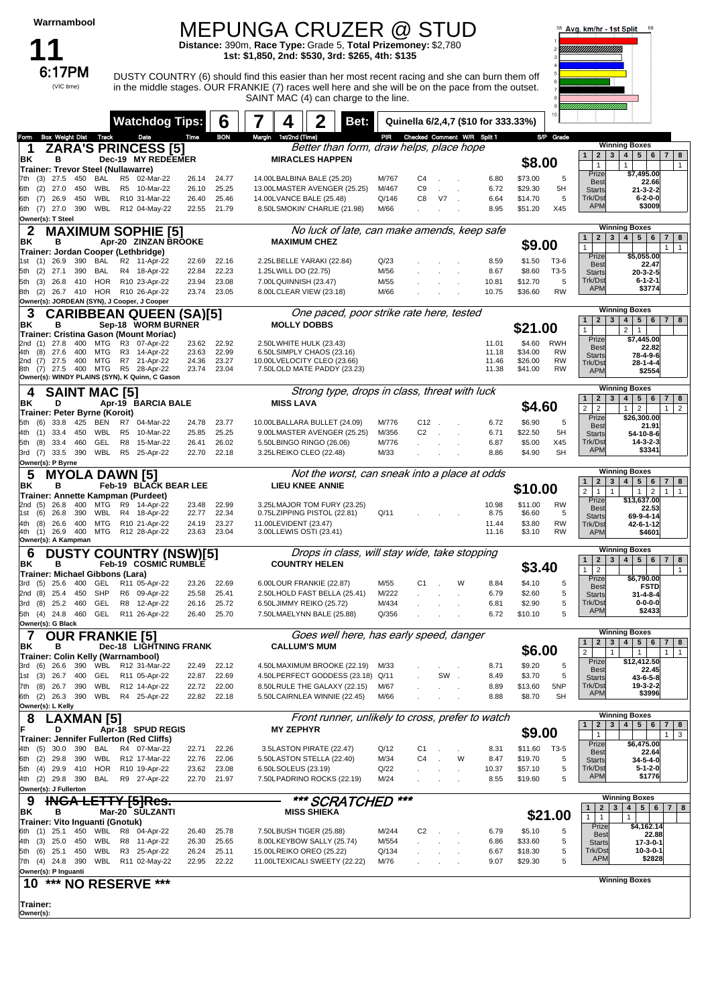## MEPUNGA CRUZER @ STUD **Distance:** 390m, **Race Type:** Grade 5, **Total Prizemoney:** \$2,780

**1st: \$1,850, 2nd: \$530, 3rd: \$265, 4th: \$135**

DUSTY COUNTRY (6) should find this easier than her most recent racing and she can burn them off in the middle stages. OUR FRANKIE (7) races well here and she will be on the pace from the outset. SAINT MAC (4) can charge to the line.



|                                                                      | <b>Watchdog Tips:</b>                          |                | b              | Bet:                                                        |                |                             |                                | Quinella 6/2,4,7 (\$10 for 333.33%) |                    |                        |                                                                                      |                                                                         |
|----------------------------------------------------------------------|------------------------------------------------|----------------|----------------|-------------------------------------------------------------|----------------|-----------------------------|--------------------------------|-------------------------------------|--------------------|------------------------|--------------------------------------------------------------------------------------|-------------------------------------------------------------------------|
| <b>Box Weight Dist Track</b><br>Form                                 | Date                                           | Time           | <b>BON</b>     | 1st/2nd (Time)<br>Margin                                    | PIR            | Checked Comment W/R Split 1 |                                |                                     |                    | S/P Grade              |                                                                                      |                                                                         |
| 1                                                                    | ZARA'S PRINCESS [5]                            |                |                | Better than form, draw helps, place hope                    |                |                             |                                |                                     |                    |                        | $\mathbf{1}$                                                                         | <b>Winning Boxes</b>                                                    |
| ΒK<br>в                                                              | Dec-19 MY REDEEMER                             |                |                | <b>MIRACLES HAPPEN</b>                                      |                |                             |                                |                                     | \$8.00             |                        | $\mathbf{2}$<br>$3^{\circ}$<br>$\mathbf{1}$                                          | $4 \mid 5 \mid 6$<br>78<br>$\mathbf{1}$<br>$\mathbf{1}$                 |
| Trainer: Trevor Steel (Nullawarre)<br>27.5<br>450<br>BAL             | R5<br>02-Mar-22                                | 26.14          | 24.77          | 14.00LBALBINA BALE (25.20)                                  | M/767          | C4                          |                                | 6.80                                | \$73.00            | 5                      | Prize                                                                                | \$7,495.00                                                              |
| (3)<br>7th<br>WBL<br>(2)<br>27.0<br>450<br>6th                       | R5 10-Mar-22                                   | 26.10          | 25.25          | 13.00LMASTER AVENGER (25.25)                                | M/467          | C <sub>9</sub>              | $\sim$                         | 6.72                                | \$29.30            | 5H                     | <b>Best</b><br><b>Starts</b>                                                         | 22.66<br>$21 - 3 - 2 - 2$                                               |
| WBL<br>(7)<br>26.9<br>450<br>6th                                     | R10 31-Mar-22                                  | 26.40          | 25.46          | 14.00LVANCE BALE (25.48)                                    | Q/146          | C8                          | V7                             | 6.64                                | \$14.70            | 5                      | Trk/Dst                                                                              | $6 - 2 - 0 - 0$                                                         |
| 6th (7) 27.0<br>390<br>WBL                                           | R12 04-May-22                                  | 22.55          | 21.79          | 8.50LSMOKIN' CHARLIE (21.98)                                | M/66           |                             |                                | 8.95                                | \$51.20            | X45                    | <b>APM</b>                                                                           | \$3009                                                                  |
| Owner(s): T Steel                                                    |                                                |                |                |                                                             |                |                             |                                |                                     |                    |                        |                                                                                      |                                                                         |
| 2                                                                    | <b>MAXIMUM SOPHIE [5]</b>                      |                |                | No luck of late, can make amends, keep safe                 |                |                             |                                |                                     |                    |                        | 2 <sub>1</sub><br>3 <br>$\mathbf{1}$                                                 | <b>Winning Boxes</b><br>$4 \mid 5 \mid 6$<br>$7 \mid 8$                 |
| ΒK<br>в                                                              | Apr-20 ZINZAN BROOKE                           |                |                | <b>MAXIMUM CHEZ</b>                                         |                |                             |                                |                                     | \$9.00             |                        | $\mathbf{1}$                                                                         | 1 <sup>1</sup><br>$\overline{1}$                                        |
| Trainer: Jordan Cooper (Lethbridge)<br>26.9<br>390<br>BAL<br>1st (1) | R2 11-Apr-22                                   | 22.69          | 22.16          | 2.25LBELLE YARAKI (22.84)                                   | Q/23           |                             |                                | 8.59                                | \$1.50             | T3-6                   | Prize                                                                                | \$5,055.00                                                              |
| (2)<br>27.1<br>390<br>BAL<br>5th                                     | R4 18-Apr-22                                   | 22.84          | 22.23          | 1.25LWILL DO (22.75)                                        | M/56           |                             |                                | 8.67                                | \$8.60             | $T3-5$                 | <b>Best</b><br><b>Starts</b>                                                         | 22.47<br>$20-3-2-5$                                                     |
| <b>HOR</b><br>26.8<br>410<br>5th<br>(3)                              | R10 23-Apr-22                                  | 23.94          | 23.08          | 7.00LQUINNISH (23.47)                                       | M/55           |                             |                                | 10.81                               | \$12.70            | 5                      | Trk/Dst                                                                              | $6 - 1 - 2 - 1$                                                         |
| 26.7 410<br>HOR<br>8th<br>(2)                                        | R10 26-Apr-22                                  | 23.74          | 23.05          | 8.00LCLEAR VIEW (23.18)                                     | M/66           |                             |                                | 10.75                               | \$36.60            | <b>RW</b>              | <b>APM</b>                                                                           | \$3774                                                                  |
| Owner(s): JORDEAN (SYN), J Cooper, J Cooper                          |                                                |                |                |                                                             |                |                             |                                |                                     |                    |                        |                                                                                      | <b>Winning Boxes</b>                                                    |
| З                                                                    | <b>CARIBBEAN QUEEN (SA)[5]</b>                 |                |                | One paced, poor strike rate here, tested                    |                |                             |                                |                                     |                    |                        | $\mathbf{1}$<br>$2^{\circ}$<br>$\mathbf{3}$                                          | 4   5   6   7   8                                                       |
| ΒK<br>в<br>Trainer: Cristina Gason (Mount Moriac)                    | Sep-18 WORM BURNER                             |                |                | <b>MOLLY DOBBS</b>                                          |                |                             |                                |                                     | \$21.00            |                        | $\mathbf{1}$                                                                         | 2<br>$\mathbf{1}$                                                       |
| 27.8<br>400<br>MTG<br>2nd (1)                                        | R3 07-Apr-22                                   | 23.62          | 22.92          | 2.50LWHITE HULK (23.43)                                     |                |                             |                                | 11.01                               | \$4.60             | <b>RWH</b>             | Prize<br><b>Best</b>                                                                 | \$7,445.00<br>22.82                                                     |
| 27.6<br>400<br>MTG<br>4th<br>(8)<br>(7)<br>27.5<br>400<br>MTG<br>2nd | R <sub>3</sub><br>14-Apr-22<br>R7<br>21-Apr-22 | 23.63          | 22.99<br>23.27 | 6.50LSIMPLY CHAOS (23.16)<br>10.00LVELOCITY CLEO (23.66)    |                |                             |                                | 11.18                               | \$34.00<br>\$26.00 | <b>RW</b><br><b>RW</b> | <b>Starts</b>                                                                        | 78-4-9-6                                                                |
| $(7)$ 27.5<br>400 MTG<br>8th                                         | R5<br>28-Apr-22                                | 24.36<br>23.74 | 23.04          | 7.50LOLD MATE PADDY (23.23)                                 |                |                             |                                | 11.46<br>11.38                      | \$41.00            | <b>RW</b>              | Trk/Dst<br><b>APM</b>                                                                | $28 - 1 - 4 - 4$<br>\$2554                                              |
| Owner(s): WINDY PLAINS (SYN), K Quinn, C Gason                       |                                                |                |                |                                                             |                |                             |                                |                                     |                    |                        |                                                                                      |                                                                         |
| <b>SAINT MAC [5]</b><br>4                                            |                                                |                |                | Strong type, drops in class, threat with luck               |                |                             |                                |                                     |                    |                        |                                                                                      | <b>Winning Boxes</b>                                                    |
| D<br>ΒK                                                              | Apr-19 BARCIA BALE                             |                |                | <b>MISS LAVA</b>                                            |                |                             |                                |                                     | \$4.60             |                        | 2 <sup>1</sup><br>3 <sup>1</sup><br>$\mathbf{1}$<br>$\overline{2}$<br>$\overline{2}$ | 4   5   6<br>$7 \mid 8$<br>$\overline{2}$<br>$\overline{2}$<br>1<br>1   |
| Trainer: Peter Byrne (Koroit)<br>33.8<br>425<br>BEN                  |                                                |                |                |                                                             |                | $C12$ .                     |                                | 6.72                                |                    |                        | Prize                                                                                | \$26,300.00                                                             |
| (6)<br>5th<br>WBL<br>(1)<br>33.4<br>450<br>4th                       | R7<br>04-Mar-22<br>R <sub>5</sub><br>10-Mar-22 | 24.78<br>25.85 | 23.77<br>25.25 | 10.00LBALLARA BULLET (24.09)<br>9.00LMASTER AVENGER (25.25) | M/776<br>M/356 | C <sub>2</sub>              | $\sim$                         | 6.71                                | \$6.90<br>\$22.50  | 5<br>5H                | <b>Best</b><br><b>Starts</b>                                                         | 21.91<br>54-10-8-6                                                      |
| (8)<br>33.4<br>460<br>GEL<br>5th                                     | R <sub>8</sub><br>15-Mar-22                    | 26.41          | 26.02          | 5.50LBINGO RINGO (26.06)                                    | M/776          |                             |                                | 6.87                                | \$5.00             | X45                    | Trk/Dst                                                                              | $14 - 3 - 2 - 3$                                                        |
| WBL<br>3rd (7) 33.5 390                                              | R5 25-Apr-22                                   | 22.70          | 22.18          | 3.25LREIKO CLEO (22.48)                                     | M/33           |                             |                                | 8.86                                | \$4.90             | <b>SH</b>              | <b>APM</b>                                                                           | \$3341                                                                  |
| Owner(s): P Byrne                                                    |                                                |                |                |                                                             |                |                             |                                |                                     |                    |                        |                                                                                      | <b>Winning Boxes</b>                                                    |
| 5<br><b>MYOLA DAWN [5]</b>                                           |                                                |                |                | Not the worst, can sneak into a place at odds               |                |                             |                                |                                     |                    |                        | $\mathbf{1}$                                                                         | 2   3   4   5   6<br>7 8                                                |
| ΒK<br>в<br>Trainer: Annette Kampman (Purdeet)                        | Feb-19 BLACK BEAR LEE                          |                |                | <b>LIEU KNEE ANNIE</b>                                      |                |                             |                                |                                     | \$10.00            |                        | $\overline{2}$<br>$\mathbf{1}$                                                       | $\mathbf{1}$<br>$\overline{2}$<br>$\mathbf{1}$<br>$\mathbf{1}$          |
| 26.8<br>400<br>MTG<br>(5)<br>2nd                                     | R9<br>14-Apr-22                                | 23.48          | 22.99          | 3.25LMAJOR TOM FURY (23.25)                                 |                |                             |                                | 10.98                               | \$11.00            | <b>RW</b>              | Prize                                                                                | \$13,637.00<br>22.53                                                    |
| 390<br>WBL<br>1st<br>(6)<br>26.8                                     | R4 18-Apr-22                                   | 22.77          | 22.34          | 0.75LZIPPING PISTOL (22.81)                                 | Q/11           |                             |                                | 8.75                                | \$6.60             | 5                      | <b>Best</b><br><b>Starts</b>                                                         | 69-9-4-14                                                               |
| 400<br>(8)<br>26.6<br>MTG<br>4th<br>4th (1) 26.9<br>400<br>MTG       | R10 21-Apr-22<br>R12 28-Apr-22                 | 24.19<br>23.63 | 23.27<br>23.04 | 11.00LEVIDENT (23.47)<br>3.00LLEWIS OSTI (23.41)            |                |                             |                                | 11.44<br>11.16                      | \$3.80<br>\$3.10   | <b>RW</b><br><b>RW</b> | Trk/Dst<br><b>APM</b>                                                                | 42-6-1-12<br>\$4601                                                     |
| Owner(s): A Kampman                                                  |                                                |                |                |                                                             |                |                             |                                |                                     |                    |                        |                                                                                      |                                                                         |
| 6                                                                    | <b>DUSTY COUNTRY (NSW)[5]</b>                  |                |                | Drops in class, will stay wide, take stopping               |                |                             |                                |                                     |                    |                        |                                                                                      | <b>Winning Boxes</b>                                                    |
| ΒK<br>в                                                              | Feb-19 COSMIC RUMBLE                           |                |                | <b>COUNTRY HELEN</b>                                        |                |                             |                                |                                     | \$3.40             |                        | 2 <sub>1</sub><br>$\mathbf{1}$<br>$\overline{2}$<br>1                                | 3   4   5   6   7   8<br>$\mathbf{1}$                                   |
| Trainer: Michael Gibbons (Lara)<br>25.6<br>400<br>GEL                | R11 05-Apr-22                                  | 23.26          | 22.69          | 6.00LOUR FRANKIE (22.87)                                    | M/55           | C <sub>1</sub>              | W                              | 8.84                                | \$4.10             | 5                      | Prize                                                                                | \$6,790.00                                                              |
| (5)<br>3rd<br>25.4<br>450<br>SHP<br>2nd (8)                          | R6 09-Apr-22                                   | 25.58          | 25.41          | 2.50LHOLD FAST BELLA (25.41)                                | M/222          |                             |                                | 6.79                                | \$2.60             | 5                      | <b>Best</b><br><b>Starts</b>                                                         | <b>FSTD</b><br>31-4-8-4                                                 |
| <b>GEL</b><br>25.2<br>460<br>3rd<br>(8)                              | R8<br>12-Apr-22                                | 26.16          | 25.72          | 6.50LJIMMY REIKO (25.72)                                    | M/434          |                             |                                | 6.81                                | \$2.90             | 5                      | Trk/Dst                                                                              | $0 - 0 - 0 - 0$                                                         |
| 5th (4) 24.8<br>460<br>GEL                                           | R11 26-Apr-22                                  | 26.40          | 25.70          | 7.50LMAELYNN BALE (25.88)                                   | Q/356          |                             |                                | 6.72                                | \$10.10            | 5                      | <b>APM</b>                                                                           | \$2433                                                                  |
| Owner(s): G Black                                                    |                                                |                |                |                                                             |                |                             |                                |                                     |                    |                        |                                                                                      |                                                                         |
| <b>OUR FRANKIE [5]</b><br>7                                          |                                                |                |                | Goes well here, has early speed, danger                     |                |                             |                                |                                     |                    |                        | $\mathbf{2}$<br>3 <br>$\mathbf{1}$                                                   | <b>Winning Boxes</b><br>4<br>5 <sup>1</sup><br>6<br>$\overline{7}$<br>8 |
| ΒK<br>в<br>Trainer: Colin Kelly (Warrnambool)                        | Dec-18 LIGHTNING FRANK                         |                |                | <b>CALLUM'S MUM</b>                                         |                |                             |                                |                                     | \$6.00             |                        | $\overline{2}$<br>$\mathbf{1}$                                                       | $1\overline{1}$<br>$\mathbf{1}$                                         |
| 26.6<br>390<br>WBL<br>3rd<br>(6)                                     | R12 31-Mar-22                                  | 22.49          | 22.12          | 4.50LMAXIMUM BROOKE (22.19)                                 | M/33           |                             |                                | 8.71                                | \$9.20             | 5                      | Prize                                                                                | \$12,412.50                                                             |
| 26.7<br>400<br>GEL<br>1st (3)                                        | R11 05-Apr-22                                  | 22.87          | 22.69          | 4.50LPERFECT GODDESS (23.18)                                | Q/11           |                             | SW<br>$\overline{\phantom{a}}$ | 8.49                                | \$3.70             | 5                      | Best<br><b>Starts</b>                                                                | 22.45<br>43-6-5-8                                                       |
| WBL<br>26.7 390<br>7th (8)                                           | R12 14-Apr-22                                  | 22.72          | 22.00          | 8.50LRULE THE GALAXY (22.15)                                | M/67           |                             |                                | 8.89                                | \$13.60            | 5NP                    | Trk/Dst                                                                              | 19-3-2-2<br>\$3996                                                      |
| 6th (2) 26.3 390                                                     | WBL R4 25-Apr-22                               | 22.82          | 22.18          | 5.50LCAIRNLEA WINNIE (22.45)                                | M/66           |                             |                                | 8.88                                | \$8.70             | <b>SH</b>              | <b>APM</b>                                                                           |                                                                         |
| Owner(s): L Kelly                                                    |                                                |                |                | Front runner, unlikely to cross, prefer to watch            |                |                             |                                |                                     |                    |                        |                                                                                      | <b>Winning Boxes</b>                                                    |
| <b>LAXMAN</b> [5]<br>8<br>F<br>D                                     | Apr-18 SPUD REGIS                              |                |                | <b>MY ZEPHYR</b>                                            |                |                             |                                |                                     |                    |                        | 2 <sup>1</sup><br>3 <sup>1</sup><br>$\mathbf{1}$                                     | 4   5   6<br>$\overline{7}$<br>8                                        |
| Trainer: Jennifer Fullerton (Red Cliffs)                             |                                                |                |                |                                                             |                |                             |                                |                                     | \$9.00             |                        |                                                                                      | 3<br>$\mathbf{1}$                                                       |
| 30.0<br>390<br>BAL<br>4th (5)                                        | R4 07-Mar-22                                   | 22.71          | 22.26          | 3.5LASTON PIRATE (22.47)                                    | Q/12           | C1                          |                                | 8.31                                | \$11.60            | T3-5                   | Prize<br><b>Best</b>                                                                 | \$6,475.00<br>22.64                                                     |
| 6th (2) 29.8<br>390<br>WBL                                           | R12 17-Mar-22                                  | 22.76          | 22.06          | 5.50LASTON STELLA (22.40)                                   | M/34           | C <sub>4</sub>              | W                              | 8.47                                | \$19.70            | 5                      | <b>Starts</b>                                                                        | 34-5-4-0                                                                |
| <b>HOR</b><br>5th (4) 29.9<br>410                                    | R10 19-Apr-22                                  | 23.62          | 23.08          | 6.50LSOLEUS (23.19)                                         | Q/22           |                             |                                | 10.37                               | \$57.10            | 5<br>5                 | Trk/Dst<br><b>APM</b>                                                                | $5 - 1 - 2 - 0$<br>\$1776                                               |
| 4th (2) 29.8 390<br><b>BAL</b><br>Owner(s): J Fullerton              | R9 27-Apr-22                                   | 22.70          | 21.97          | 7.50LPADRINO ROCKS (22.19)                                  | M/24           |                             |                                | 8.55                                | \$19.60            |                        |                                                                                      |                                                                         |
| 9                                                                    | <del>LETTY [5]Res.</del>                       |                |                | *** SCRATCHED                                               |                | ***                         |                                |                                     |                    |                        |                                                                                      | <b>Winning Boxes</b>                                                    |
| в<br>ΒK                                                              | Mar-20 SULZANTI                                |                |                | <b>MISS SHIEKA</b>                                          |                |                             |                                |                                     |                    | \$21.00                | 1<br>2 <sup>1</sup>                                                                  | 3 <br>4 <sup>1</sup><br>5   6   7  <br>8                                |
| Trainer: Vito Inguanti (Gnotuk)                                      |                                                |                |                |                                                             |                |                             |                                |                                     |                    |                        | $\mathbf{1}$<br>$\mathbf{1}$<br>Prize                                                | 1<br>\$4,162.14                                                         |
| 6th (1) 25.1<br>450<br>WBL                                           | 04-Apr-22<br>R8                                | 26.40          | 25.78          | 7.50LBUSH TIGER (25.88)                                     | M/244          | C <sub>2</sub>              |                                | 6.79                                | \$5.10             | 5                      | <b>Best</b>                                                                          | 22.88                                                                   |
| 4th (3) 25.0<br>450<br>WBL<br><b>WBL</b><br>5th (6) 25.1<br>450      | R8<br>11-Apr-22<br>R3 25-Apr-22                | 26.30<br>26.24 | 25.65<br>25.11 | 8.00LKEYBOW SALLY (25.74)<br>15.00LREIKO OREO (25.22)       | M/554<br>Q/134 |                             |                                | 6.86<br>6.67                        | \$33.60<br>\$18.30 | 5<br>5                 | <b>Starts</b><br>Trk/Dst                                                             | 17-3-0-1<br>$10-3-0-1$                                                  |
| 7th (4) 24.8 390<br>WBL                                              | R11 02-May-22                                  | 22.95          | 22.22          | 11.00LTEXICALI SWEETY (22.22)                               | M/76           |                             |                                | 9.07                                | \$29.30            | 5                      | <b>APM</b>                                                                           | \$2828                                                                  |
| Owner(s): P Inguanti                                                 |                                                |                |                |                                                             |                |                             |                                |                                     |                    |                        |                                                                                      |                                                                         |
| ***<br>10                                                            | <b>NO RESERVE ***</b>                          |                |                |                                                             |                |                             |                                |                                     |                    |                        |                                                                                      | <b>Winning Boxes</b>                                                    |
|                                                                      |                                                |                |                |                                                             |                |                             |                                |                                     |                    |                        |                                                                                      |                                                                         |
| Trainer:<br>Owner(s):                                                |                                                |                |                |                                                             |                |                             |                                |                                     |                    |                        |                                                                                      |                                                                         |